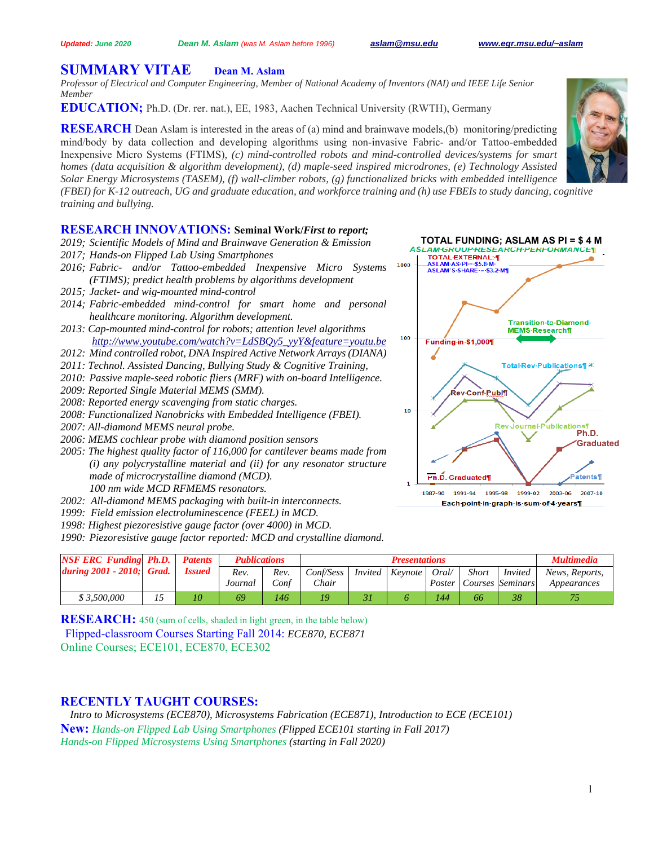# **SUMMARY VITAE Dean M. Aslam**

*Professor of Electrical and Computer Engineering, Member of National Academy of Inventors (NAI) and IEEE Life Senior Member*

**EDUCATION;** Ph.D. (Dr. rer. nat.), EE, 1983, Aachen Technical University (RWTH), Germany

**RESEARCH** Dean Aslam is interested in the areas of (a) mind and brainwave models,(b) monitoring/predicting mind/body by data collection and developing algorithms using non-invasive Fabric- and/or Tattoo-embedded Inexpensive Micro Systems (FTIMS)*, (c) mind-controlled robots and mind-controlled devices/systems for smart homes (data acquisition & algorithm development), (d) maple-seed inspired microdrones, (e) Technology Assisted Solar Energy Microsystems (TASEM), (f) wall-climber robots, (g) functionalized bricks with embedded intelligence (FBEI) for K-12 outreach, UG and graduate education, and workforce training and (h) use FBEIs to study dancing, cognitive training and bullying.*

# **RESEARCH INNOVATIONS: Seminal Work/***First to report;*

- *2019; Scientific Models of Mind and Brainwave Generation & Emission*
- *2017; Hands-on Flipped Lab Using Smartphones*
- *2016; Fabric- and/or Tattoo-embedded Inexpensive Micro Systems (FTIMS); predict health problems by algorithms development*
- *2015; Jacket- and wig-mounted mind-control*
- *2014; Fabric-embedded mind-control for smart home and personal healthcare monitoring. Algorithm development.*
- *2013: Cap-mounted mind-control for robots; attention level algorithms http://www.youtube.com/watch?v=LdSBQy5\_yyY&feature=youtu.be*
- *2012: Mind controlled robot, DNA Inspired Active Network Arrays (DIANA)*
- *2011: Technol. Assisted Dancing, Bullying Study & Cognitive Training,*
- *2010: Passive maple-seed robotic fliers (MRF) with on-board Intelligence.*
- *2009: Reported Single Material MEMS (SMM).*
- *2008: Reported energy scavenging from static charges.*
- *2008: Functionalized Nanobricks with Embedded Intelligence (FBEI).*
- *2007: All-diamond MEMS neural probe.*
- *2006: MEMS cochlear probe with diamond position sensors*
- *2005: The highest quality factor of 116,000 for cantilever beams made from (i) any polycrystalline material and (ii) for any resonator structure made of microcrystalline diamond (MCD). 100 nm wide MCD RFMEMS resonators.*
- *2002: All-diamond MEMS packaging with built-in interconnects.*
- *1999: Field emission electroluminescence (FEEL) in MCD.*
- *1998: Highest piezoresistive gauge factor (over 4000) in MCD.*
- *1990: Piezoresistive gauge factor reported: MCD and crystalline diamond.*

| <b>NSF ERC Funding Ph.D.</b> | <b>Patents</b> | <b>Publications</b> |      |              | <b>Presentations</b>  |        |              |                  | Multimedia     |
|------------------------------|----------------|---------------------|------|--------------|-----------------------|--------|--------------|------------------|----------------|
| during $2001 - 2010$ ; Grad. | <i>Issued</i>  | Rev.                | Rev. | Conf/Sess    | Invited Keynote Oral/ |        | <b>Short</b> | <i>Invited</i>   | News, Reports. |
|                              |                | Journal             | Conf | <i>Chair</i> |                       | Poster |              | Courses Seminars | Appearances    |
| \$3.500.000                  |                | 69                  | 146  | 19           |                       | 144    | 66           | 38               |                |

**RESEARCH:** 450 (sum of cells, shaded in light green, in the table below) Flipped-classroom Courses Starting Fall 2014: *ECE870, ECE871* Online Courses; ECE101, ECE870, ECE302

# **RECENTLY TAUGHT COURSES:**

*Intro to Microsystems (ECE870), Microsystems Fabrication (ECE871), Introduction to ECE (ECE101)*  **New:** *Hands-on Flipped Lab Using Smartphones (Flipped ECE101 starting in Fall 2017) Hands-on Flipped Microsystems Using Smartphones (starting in Fall 2020)*



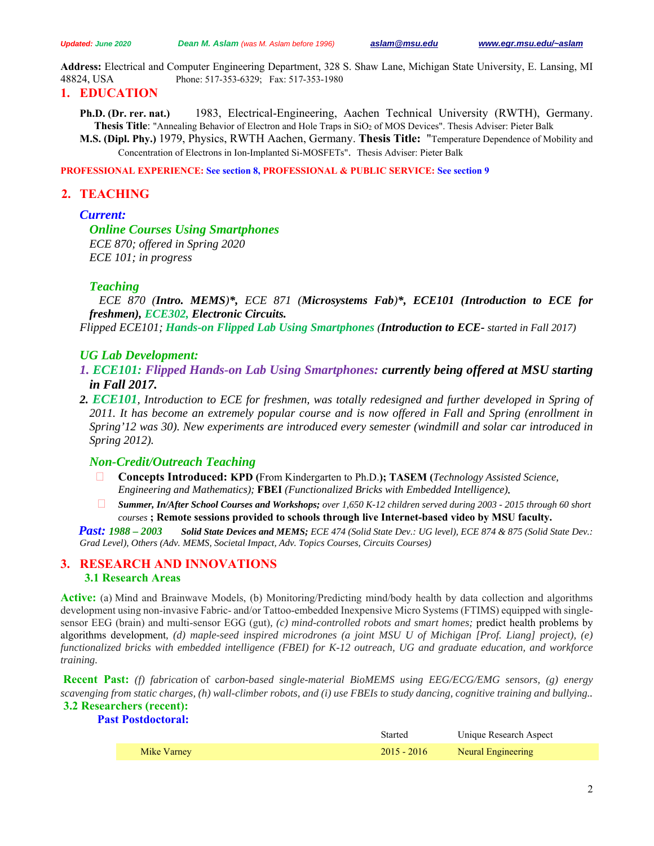**Address:** Electrical and Computer Engineering Department, 328 S. Shaw Lane, Michigan State University, E. Lansing, MI 48824, USA Phone: 517-353-6329; Fax: 517-353-1980

## **1. EDUCATION**

**Ph.D. (Dr. rer. nat.)** 1983, Electrical-Engineering, Aachen Technical University (RWTH), Germany. **Thesis Title**: "Annealing Behavior of Electron and Hole Traps in SiO2 of MOS Devices". Thesis Adviser: Pieter Balk

**M.S. (Dipl. Phy.)** 1979, Physics, RWTH Aachen, Germany. **Thesis Title:** "Temperature Dependence of Mobility and Concentration of Electrons in Ion-Implanted Si-MOSFETs". Thesis Adviser: Pieter Balk

**PROFESSIONAL EXPERIENCE: See section 8, PROFESSIONAL & PUBLIC SERVICE: See section 9** 

# **2. TEACHING**

## *Current:*

*Online Courses Using Smartphones ECE 870; offered in Spring 2020 ECE 101; in progress*

# *Teaching*

*ECE 870 (Intro. MEMS)\*, ECE 871 (Microsystems Fab)\*, ECE101 (Introduction to ECE for freshmen), ECE302, Electronic Circuits.* 

*Flipped ECE101; Hands-on Flipped Lab Using Smartphones (Introduction to ECE- started in Fall 2017)*

## *UG Lab Development:*

- *1. ECE101: Flipped Hands-on Lab Using Smartphones: currently being offered at MSU starting in Fall 2017.*
- *2. ECE101, Introduction to ECE for freshmen, was totally redesigned and further developed in Spring of 2011. It has become an extremely popular course and is now offered in Fall and Spring (enrollment in Spring'12 was 30). New experiments are introduced every semester (windmill and solar car introduced in Spring 2012).*

## *Non-Credit/Outreach Teaching*

- **Concepts Introduced: KPD (**From Kindergarten to Ph.D.**); TASEM (***Technology Assisted Science, Engineering and Mathematics);* **FBEI** *(Functionalized Bricks with Embedded Intelligence)***.**
- *Summer, In/After School Courses and Workshops; over 1,650 K-12 children served during 2003 2015 through 60 short courses* **; Remote sessions provided to schools through live Internet-based video by MSU faculty.**

*Past: 1988 – 2003 Solid State Devices and MEMS; ECE 474 (Solid State Dev.: UG level), ECE 874 & 875 (Solid State Dev.: Grad Level), Others (Adv. MEMS, Societal Impact, Adv. Topics Courses, Circuits Courses)* 

## **3. RESEARCH AND INNOVATIONS 3.1 Research Areas**

**Active:** (a) Mind and Brainwave Models, (b) Monitoring/Predicting mind/body health by data collection and algorithms development using non-invasive Fabric- and/or Tattoo-embedded Inexpensive Micro Systems (FTIMS) equipped with singlesensor EEG (brain) and multi-sensor EGG (gut)*, (c) mind-controlled robots and smart homes;* predict health problems by algorithms development*, (d) maple-seed inspired microdrones (a joint MSU U of Michigan [Prof. Liang] project), (e) functionalized bricks with embedded intelligence (FBEI) for K-12 outreach, UG and graduate education, and workforce training.* 

**Recent Past:** *(f) fabrication* of c*arbon-based single-material BioMEMS using EEG/ECG/EMG sensors, (g) energy scavenging from static charges, (h) wall-climber robots, and (i) use FBEIs to study dancing, cognitive training and bullying..* **3.2 Researchers (recent):** 

# **Past Postdoctoral:**

|             | Started       | Unique Research Aspect |
|-------------|---------------|------------------------|
| Mike Varney | $2015 - 2016$ | Neural Engineering     |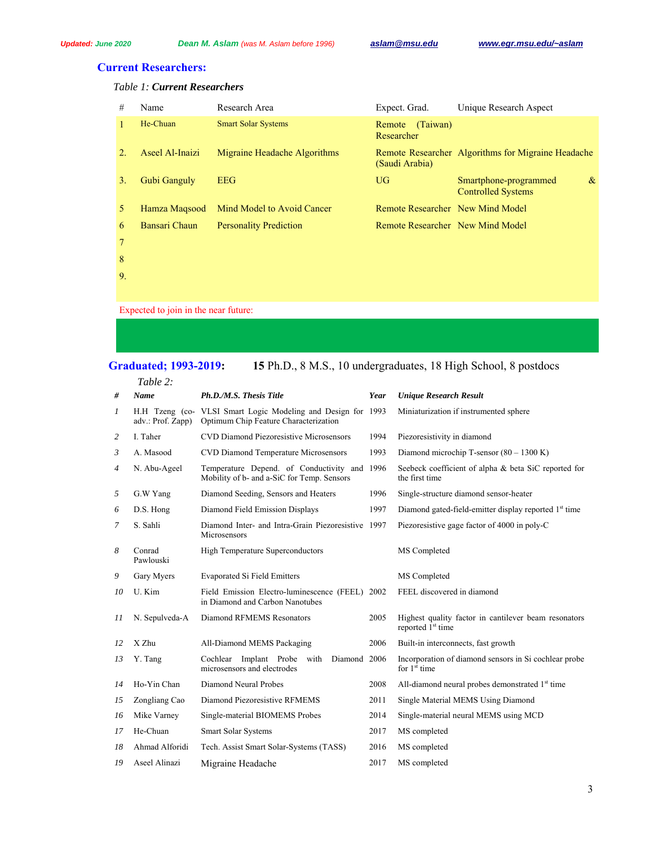# **Current Researchers:**

## *Table 1: Current Researchers*

| #  | Name            | Research Area                 | Expect. Grad.                    | Unique Research Aspect                                     |
|----|-----------------|-------------------------------|----------------------------------|------------------------------------------------------------|
|    | He-Chuan        | <b>Smart Solar Systems</b>    | (Taiwan)<br>Remote<br>Researcher |                                                            |
|    | Aseel Al-Inaizi | Migraine Headache Algorithms  | (Saudi Arabia)                   | Remote Researcher Algorithms for Migraine Headache         |
| 3. | Gubi Ganguly    | <b>EEG</b>                    | <b>UG</b>                        | Smartphone-programmed<br>$\&$<br><b>Controlled Systems</b> |
| 5. | Hamza Magsood   | Mind Model to Avoid Cancer    | Remote Researcher New Mind Model |                                                            |
| 6  | Bansari Chaun   | <b>Personality Prediction</b> | Remote Researcher New Mind Model |                                                            |
|    |                 |                               |                                  |                                                            |

8 9.

Expected to join in the near future:

# **Graduated; 1993-2019: 15** Ph.D., 8 M.S., 10 undergraduates, 18 High School, 8 postdocs

*Table 2:* 

| #              | <b>Name</b>         | Ph.D./M.S. Thesis Title<br>Year                                                                       |      | <b>Unique Research Result</b>                                                         |
|----------------|---------------------|-------------------------------------------------------------------------------------------------------|------|---------------------------------------------------------------------------------------|
| 1              | adv.: Prof. Zapp)   | H.H Tzeng (co- VLSI Smart Logic Modeling and Design for 1993<br>Optimum Chip Feature Characterization |      | Miniaturization if instrumented sphere                                                |
| 2              | I. Taher            | CVD Diamond Piezoresistive Microsensors                                                               |      | Piezoresistivity in diamond                                                           |
| 3              | A. Masood           | CVD Diamond Temperature Microsensors                                                                  |      | Diamond microchip T-sensor $(80 - 1300 \text{ K})$                                    |
| $\overline{4}$ | N. Abu-Ageel        | Temperature Depend. of Conductivity and 1996<br>Mobility of b- and a-SiC for Temp. Sensors            |      | Seebeck coefficient of alpha & beta SiC reported for<br>the first time                |
| 5              | G.W Yang            | Diamond Seeding, Sensors and Heaters                                                                  | 1996 | Single-structure diamond sensor-heater                                                |
| 6              | D.S. Hong           | Diamond Field Emission Displays                                                                       | 1997 | Diamond gated-field-emitter display reported 1 <sup>st</sup> time                     |
| 7              | S. Sahli            | Diamond Inter- and Intra-Grain Piezoresistive 1997<br>Microsensors                                    |      | Piezoresistive gage factor of 4000 in poly-C                                          |
| 8              | Conrad<br>Pawlouski | <b>High Temperature Superconductors</b>                                                               |      | MS Completed                                                                          |
| 9              | Gary Myers          | <b>Evaporated Si Field Emitters</b>                                                                   |      | MS Completed                                                                          |
| 10             | U. Kim              | Field Emission Electro-luminescence (FEEL) 2002<br>in Diamond and Carbon Nanotubes                    |      | FEEL discovered in diamond                                                            |
| 11             | N. Sepulveda-A      | Diamond RFMEMS Resonators                                                                             | 2005 | Highest quality factor in cantilever beam resonators<br>reported 1 <sup>st</sup> time |
| 12             | X Zhu               | All-Diamond MEMS Packaging                                                                            | 2006 | Built-in interconnects, fast growth                                                   |
| 13             | Y. Tang             | Diamond 2006<br>Cochlear Implant Probe with<br>microsensors and electrodes                            |      | Incorporation of diamond sensors in Si cochlear probe<br>for $1st$ time               |
| 14             | Ho-Yin Chan         | Diamond Neural Probes                                                                                 | 2008 | All-diamond neural probes demonstrated 1 <sup>st</sup> time                           |
| 15             | Zongliang Cao       | Diamond Piezoresistive RFMEMS                                                                         | 2011 | Single Material MEMS Using Diamond                                                    |
| 16             | Mike Varney         | Single-material BIOMEMS Probes                                                                        | 2014 | Single-material neural MEMS using MCD                                                 |
| 17             | He-Chuan            | <b>Smart Solar Systems</b>                                                                            | 2017 | MS completed                                                                          |
| 18             | Ahmad Alforidi      | Tech. Assist Smart Solar-Systems (TASS)                                                               | 2016 | MS completed                                                                          |
| 19             | Aseel Alinazi       | Migraine Headache                                                                                     | 2017 | MS completed                                                                          |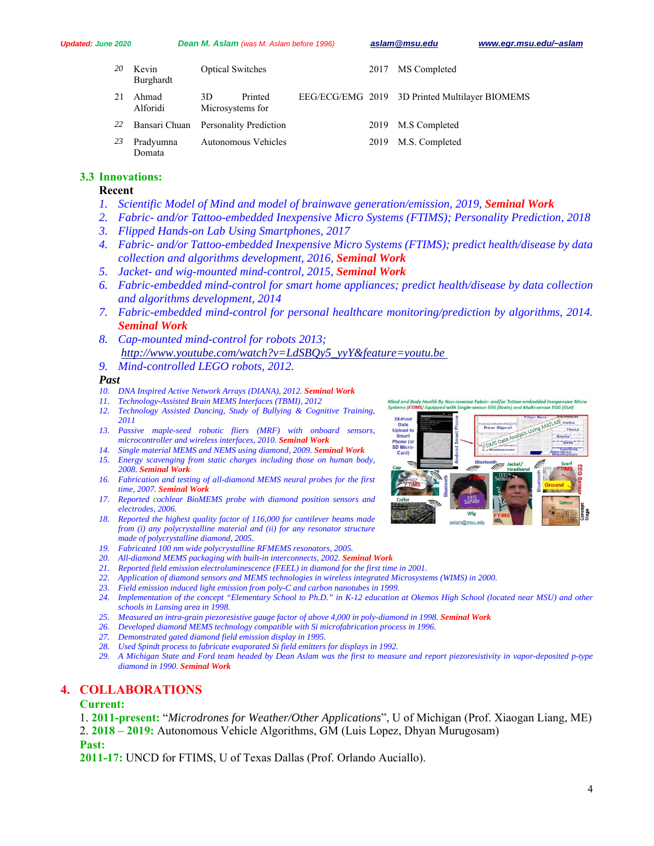| 20  | Kevin<br>Burghardt  | <b>Optical Switches</b>              | 2017 MS Completed                              |
|-----|---------------------|--------------------------------------|------------------------------------------------|
| 2.1 | Ahmad<br>Alforidi   | Printed<br>3D<br>Microsystems for    | EEG/ECG/EMG 2019 3D Printed Multilayer BIOMEMS |
| 22  |                     | Bansari Chuan Personality Prediction | 2019 M.S Completed                             |
| 23  | Pradyumna<br>Domata | Autonomous Vehicles                  | 2019 M.S. Completed                            |

#### **3.3 Innovations:**

#### **Recent**

- *1. Scientific Model of Mind and model of brainwave generation/emission, 2019, Seminal Work*
- *2. Fabric- and/or Tattoo-embedded Inexpensive Micro Systems (FTIMS); Personality Prediction, 2018*
- *3. Flipped Hands-on Lab Using Smartphones, 2017*
- *4. Fabric- and/or Tattoo-embedded Inexpensive Micro Systems (FTIMS); predict health/disease by data collection and algorithms development, 2016, Seminal Work*
- *5. Jacket- and wig-mounted mind-control, 2015, Seminal Work*
- *6. Fabric-embedded mind-control for smart home appliances; predict health/disease by data collection and algorithms development, 2014*
- *7. Fabric-embedded mind-control for personal healthcare monitoring/prediction by algorithms, 2014. Seminal Work*
- *8. Cap-mounted mind-control for robots 2013; http://www.youtube.com/watch?v=LdSBQy5\_yyY&feature=youtu.be*
- *9. Mind-controlled LEGO robots, 2012.*

#### *Past*

- *10. DNA Inspired Active Network Arrays (DIANA), 2012. Seminal Work*
- *11. Technology-Assisted Brain MEMS Interfaces (TBMI), 2012*
- *12. Technology Assisted Dancing, Study of Bullying & Cognitive Training, 2011*
- *13. Passive maple-seed robotic fliers (MRF) with onboard sensors, microcontroller and wireless interfaces, 2010. Seminal Work*
- *14. Single material MEMS and NEMS using diamond, 2009. Seminal Work*
- *15. Energy scavenging from static charges including those on human body, 2008. Seminal Work*
- *16. Fabrication and testing of all-diamond MEMS neural probes for the first time, 2007. Seminal Work*
- *17. Reported cochlear BioMEMS probe with diamond position sensors and electrodes, 2006.*
- *18. Reported the highest quality factor of 116,000 for cantilever beams made from (i) any polycrystalline material and (ii) for any resonator structure made of polycrystalline diamond, 2005.*
- *19. Fabricated 100 nm wide polycrystalline RFMEMS resonators, 2005.*
- *20. All-diamond MEMS packaging with built-in interconnects, 2002. Seminal Work*
- *21. Reported field emission electroluminescence (FEEL) in diamond for the first time in 2001.*
- *22. Application of diamond sensors and MEMS technologies in wireless integrated Microsystems (WIMS) in 2000.*
- *23. Field emission induced light emission from poly-C and carbon nanotubes in 1999.*
- *24. Implementation of the concept "Elementary School to Ph.D." in K-12 education at Okemos High School (located near MSU) and other schools in Lansing area in 1998.*
- *25. Measured an intra-grain piezoresistive gauge factor of above 4,000 in poly-diamond in 1998. Seminal Work*
- *26. Developed diamond MEMS technology compatible with Si microfabrication process in 1996.*
- *27. Demonstrated gated diamond field emission display in 1995.*
- *28. Used Spindt process to fabricate evaporated Si field emitters for displays in 1992.*
- *29. A Michigan State and Ford team headed by Dean Aslam was the first to measure and report piezoresistivity in vapor-deposited p-type diamond in 1990. Seminal Work*

#### **4. COLLABORATIONS**

#### **Current:**

- 1. **2011-present:** "*Microdrones for Weather/Other Applications*", U of Michigan (Prof. Xiaogan Liang, ME)
- 2. **2018 2019:** Autonomous Vehicle Algorithms, GM (Luis Lopez, Dhyan Murugosam)

#### **Past:**

**2011-17:** UNCD for FTIMS, U of Texas Dallas (Prof. Orlando Auciallo).

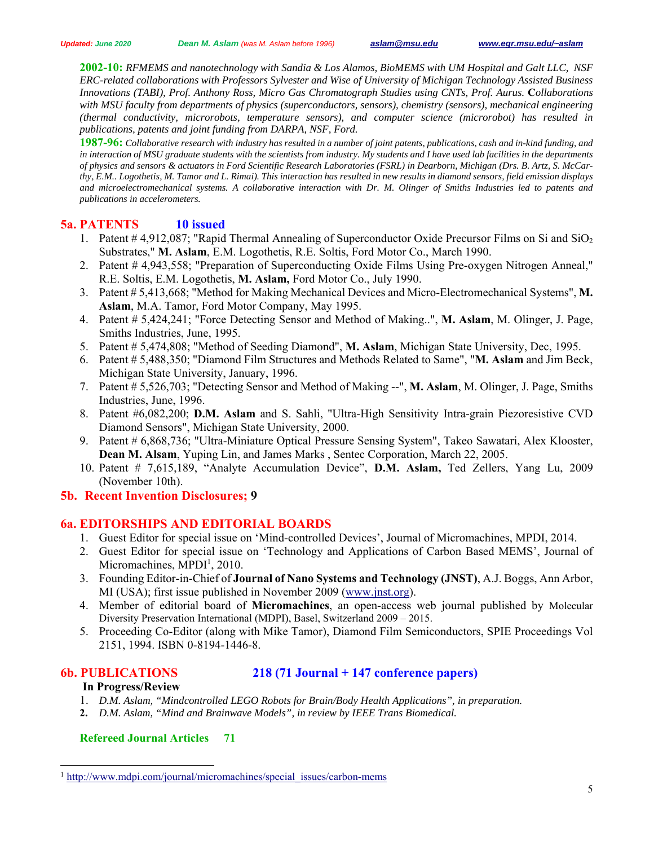**2002-10:** *RFMEMS and nanotechnology with Sandia & Los Alamos, BioMEMS with UM Hospital and Galt LLC, NSF ERC-related collaborations with Professors Sylvester and Wise of University of Michigan Technology Assisted Business Innovations (TABI), Prof. Anthony Ross, Micro Gas Chromatograph Studies using CNTs, Prof. Aurus.* **C***ollaborations with MSU faculty from departments of physics (superconductors, sensors), chemistry (sensors), mechanical engineering (thermal conductivity, microrobots, temperature sensors), and computer science (microrobot) has resulted in publications, patents and joint funding from DARPA, NSF, Ford.* 

**1987-96:** *Collaborative research with industry has resulted in a number of joint patents, publications, cash and in-kind funding, and in interaction of MSU graduate students with the scientists from industry. My students and I have used lab facilities in the departments of physics and sensors & actuators in Ford Scientific Research Laboratories (FSRL) in Dearborn, Michigan (Drs. B. Artz, S. McCarthy, E.M.. Logothetis, M. Tamor and L. Rimai). This interaction has resulted in new results in diamond sensors, field emission displays and microelectromechanical systems. A collaborative interaction with Dr. M. Olinger of Smiths Industries led to patents and publications in accelerometers.* 

# **5a. PATENTS 10 issued**

- 1. Patent  $\#$  4,912,087; "Rapid Thermal Annealing of Superconductor Oxide Precursor Films on Si and SiO<sub>2</sub> Substrates," **M. Aslam**, E.M. Logothetis, R.E. Soltis, Ford Motor Co., March 1990.
- 2. Patent # 4,943,558; "Preparation of Superconducting Oxide Films Using Pre-oxygen Nitrogen Anneal," R.E. Soltis, E.M. Logothetis, **M. Aslam,** Ford Motor Co., July 1990.
- 3. Patent # 5,413,668; "Method for Making Mechanical Devices and Micro-Electromechanical Systems", **M. Aslam**, M.A. Tamor, Ford Motor Company, May 1995.
- 4. Patent # 5,424,241; "Force Detecting Sensor and Method of Making..", **M. Aslam**, M. Olinger, J. Page, Smiths Industries, June, 1995.
- 5. Patent # 5,474,808; "Method of Seeding Diamond", **M. Aslam**, Michigan State University, Dec, 1995.
- 6. Patent # 5,488,350; "Diamond Film Structures and Methods Related to Same", "**M. Aslam** and Jim Beck, Michigan State University, January, 1996.
- 7. Patent # 5,526,703; "Detecting Sensor and Method of Making --", **M. Aslam**, M. Olinger, J. Page, Smiths Industries, June, 1996.
- 8. Patent #6,082,200; **D.M. Aslam** and S. Sahli, "Ultra-High Sensitivity Intra-grain Piezoresistive CVD Diamond Sensors", Michigan State University, 2000.
- 9. Patent # 6,868,736; "Ultra-Miniature Optical Pressure Sensing System", Takeo Sawatari, Alex Klooster, **Dean M. Alsam**, Yuping Lin, and James Marks , Sentec Corporation, March 22, 2005.
- 10. Patent # 7,615,189, "Analyte Accumulation Device", **D.M. Aslam,** Ted Zellers, Yang Lu, 2009 (November 10th).

# **5b. Recent Invention Disclosures; 9**

# **6a. EDITORSHIPS AND EDITORIAL BOARDS**

- 1. Guest Editor for special issue on 'Mind-controlled Devices', Journal of Micromachines, MPDI, 2014.
- 2. Guest Editor for special issue on 'Technology and Applications of Carbon Based MEMS', Journal of Micromachines, MPDI<sup>1</sup>, 2010.
- 3. Founding Editor-in-Chief of **Journal of Nano Systems and Technology (JNST)**, A.J. Boggs, Ann Arbor, MI (USA); first issue published in November 2009 (www.jnst.org).
- 4. Member of editorial board of **Micromachines**, an open-access web journal published by Molecular Diversity Preservation International (MDPI), Basel, Switzerland 2009 – 2015.
- 5. Proceeding Co-Editor (along with Mike Tamor), Diamond Film Semiconductors, SPIE Proceedings Vol 2151, 1994. ISBN 0-8194-1446-8.

 $\overline{a}$ 

## **6b. PUBLICATIONS 218 (71 Journal + 147 conference papers)**

# **In Progress/Review**

- 1. *D.M. Aslam, "Mindcontrolled LEGO Robots for Brain/Body Health Applications", in preparation.*
- **2.** *D.M. Aslam, "Mind and Brainwave Models", in review by IEEE Trans Biomedical.*

## **Refereed Journal Articles 71**

<sup>&</sup>lt;sup>1</sup> http://www.mdpi.com/journal/micromachines/special\_issues/carbon-mems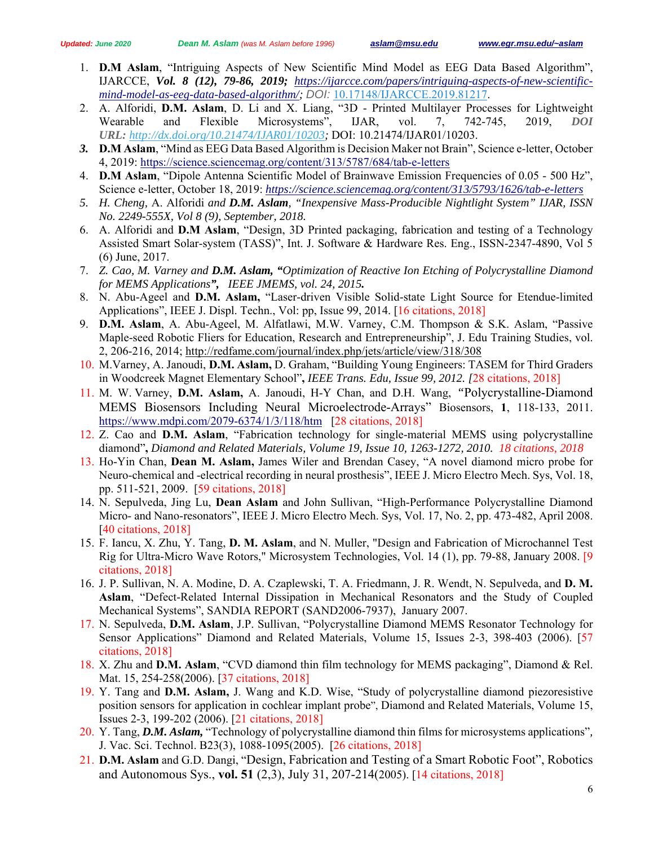- 1. **D.M Aslam**, "Intriguing Aspects of New Scientific Mind Model as EEG Data Based Algorithm", IJARCCE, *Vol. 8 (12), 79-86, 2019; https://ijarcce.com/papers/intriguing-aspects-of-new-scientificmind-model-as-eeg-data-based-algorithm/; DOI:* 10.17148/IJARCCE.2019.81217.
- 2. A. Alforidi, **D.M. Aslam**, D. Li and X. Liang, "3D Printed Multilayer Processes for Lightweight Wearable and Flexible Microsystems", IJAR, vol. 7, 742-745, 2019, *DOI URL: http://dx.doi.org/10.21474/IJAR01/10203;* DOI: 10.21474/IJAR01/10203.
- *3.* **D.M Aslam**, "Mind as EEG Data Based Algorithm is Decision Maker not Brain", Science e-letter, October 4, 2019: https://science.sciencemag.org/content/313/5787/684/tab-e-letters
- 4. **D.M Aslam**, "Dipole Antenna Scientific Model of Brainwave Emission Frequencies of 0.05 500 Hz", Science e-letter, October 18, 2019: *https://science.sciencemag.org/content/313/5793/1626/tab-e-letters*
- *5. H. Cheng,* A. Alforidi *and D.M. Aslam, "Inexpensive Mass-Producible Nightlight System" IJAR, ISSN No. 2249-555X, Vol 8 (9), September, 2018.*
- 6. A. Alforidi and **D.M Aslam**, "Design, 3D Printed packaging, fabrication and testing of a Technology Assisted Smart Solar-system (TASS)", Int. J. Software & Hardware Res. Eng., ISSN-2347-4890, Vol 5 (6) June, 2017.
- 7. *Z. Cao, M. Varney and D.M. Aslam, "Optimization of Reactive Ion Etching of Polycrystalline Diamond for MEMS Applications", IEEE JMEMS, vol. 24, 2015.*
- 8. N. Abu-Ageel and **D.M. Aslam,** "Laser-driven Visible Solid-state Light Source for Etendue-limited Applications", IEEE J. Displ. Techn., Vol: pp, Issue 99, 2014. [16 citations, 2018]
- 9. **D.M. Aslam**, A. Abu-Ageel, M. Alfatlawi, M.W. Varney, C.M. Thompson & S.K. Aslam, "Passive Maple-seed Robotic Fliers for Education, Research and Entrepreneurship", J. Edu Training Studies, vol. 2, 206-216, 2014; http://redfame.com/journal/index.php/jets/article/view/318/308
- 10. M.Varney, A. Janoudi, **D.M. Aslam,** D. Graham, "Building Young Engineers: TASEM for Third Graders in Woodcreek Magnet Elementary School"**,** *IEEE Trans. Edu, Issue 99, 2012. [*28 citations, 2018]
- 11. M. W. Varney, **D.M. Aslam,** A. Janoudi, H-Y Chan, and D.H. Wang, *"*Polycrystalline-Diamond MEMS Biosensors Including Neural Microelectrode-Arrays" Biosensors, **1**, 118-133, 2011. https://www.mdpi.com/2079-6374/1/3/118/htm [28 citations, 2018]
- 12. Z. Cao and **D.M. Aslam**, "Fabrication technology for single-material MEMS using polycrystalline diamond"**,** *Diamond and Related Materials, Volume 19, Issue 10, 1263-1272, 2010. 18 citations, 2018*
- 13. Ho-Yin Chan, **Dean M. Aslam,** James Wiler and Brendan Casey, "A novel diamond micro probe for Neuro-chemical and -electrical recording in neural prosthesis", IEEE J. Micro Electro Mech. Sys, Vol. 18, pp. 511-521, 2009. [59 citations, 2018]
- 14. N. Sepulveda, Jing Lu, **Dean Aslam** and John Sullivan, "High-Performance Polycrystalline Diamond Micro- and Nano-resonators", IEEE J. Micro Electro Mech. Sys, Vol. 17, No. 2, pp. 473-482, April 2008. [40 citations, 2018]
- 15. F. Iancu, X. Zhu, Y. Tang, **D. M. Aslam**, and N. Muller, "Design and Fabrication of Microchannel Test Rig for Ultra-Micro Wave Rotors," Microsystem Technologies, Vol. 14 (1), pp. 79-88, January 2008. [9 citations, 2018]
- 16. J. P. Sullivan, N. A. Modine, D. A. Czaplewski, T. A. Friedmann, J. R. Wendt, N. Sepulveda, and **D. M. Aslam**, "Defect-Related Internal Dissipation in Mechanical Resonators and the Study of Coupled Mechanical Systems", SANDIA REPORT (SAND2006-7937), January 2007.
- 17. N. Sepulveda, **D.M. Aslam**, J.P. Sullivan, "Polycrystalline Diamond MEMS Resonator Technology for Sensor Applications" Diamond and Related Materials, Volume 15, Issues 2-3, 398-403 (2006). [57 citations, 2018]
- 18. X. Zhu and **D.M. Aslam**, "CVD diamond thin film technology for MEMS packaging", Diamond & Rel. Mat. 15, 254-258(2006). [37 citations, 2018]
- 19. Y. Tang and **D.M. Aslam,** J. Wang and K.D. Wise, "Study of polycrystalline diamond piezoresistive position sensors for application in cochlear implant probe", Diamond and Related Materials, Volume 15, Issues 2-3, 199-202 (2006). [21 citations, 2018]
- 20. Y. Tang, *D.M. Aslam,* "Technology of polycrystalline diamond thin films for microsystems applications"*,* J. Vac. Sci. Technol. B23(3), 1088-1095(2005). [26 citations, 2018]
- 21. **D.M. Aslam** and G.D. Dangi, "Design, Fabrication and Testing of a Smart Robotic Foot", Robotics and Autonomous Sys., **vol. 51** (2,3), July 31, 207-214(2005). [14 citations, 2018]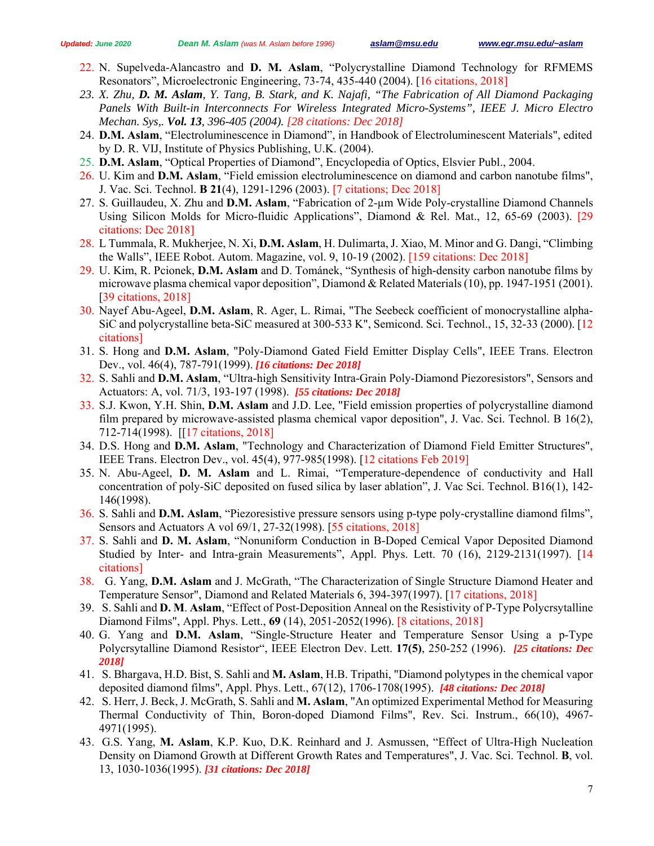- 22. N. Supelveda-Alancastro and **D. M. Aslam**, "Polycrystalline Diamond Technology for RFMEMS Resonators", Microelectronic Engineering, 73-74, 435-440 (2004). [16 citations, 2018]
- *23. X. Zhu, D. M. Aslam, Y. Tang, B. Stark, and K. Najafi, "The Fabrication of All Diamond Packaging Panels With Built-in Interconnects For Wireless Integrated Micro-Systems", IEEE J. Micro Electro Mechan. Sys,. Vol. 13, 396-405 (2004). [28 citations: Dec 2018]*
- 24. **D.M. Aslam**, "Electroluminescence in Diamond", in Handbook of Electroluminescent Materials", edited by D. R. VIJ, Institute of Physics Publishing, U.K. (2004).
- 25. **D.M. Aslam**, "Optical Properties of Diamond", Encyclopedia of Optics, Elsvier Publ., 2004.
- 26. U. Kim and **D.M. Aslam**, "Field emission electroluminescence on diamond and carbon nanotube films", J. Vac. Sci. Technol. **B 21**(4), 1291-1296 (2003). [7 citations; Dec 2018]
- 27. S. Guillaudeu, X. Zhu and **D.M. Aslam**, "Fabrication of 2-µm Wide Poly-crystalline Diamond Channels Using Silicon Molds for Micro-fluidic Applications", Diamond & Rel. Mat., 12, 65-69 (2003). [29 citations: Dec 2018]
- 28. L Tummala, R. Mukherjee, N. Xi, **D.M. Aslam**, H. Dulimarta, J. Xiao, M. Minor and G. Dangi, "Climbing the Walls", IEEE Robot. Autom. Magazine, vol. 9, 10-19 (2002). [159 citations: Dec 2018]
- 29. U. Kim, R. Pcionek, **D.M. Aslam** and D. Tománek, "Synthesis of high-density carbon nanotube films by microwave plasma chemical vapor deposition", Diamond & Related Materials (10), pp. 1947-1951 (2001). [39 citations, 2018]
- 30. Nayef Abu-Ageel, **D.M. Aslam**, R. Ager, L. Rimai, "The Seebeck coefficient of monocrystalline alpha-SiC and polycrystalline beta-SiC measured at 300-533 K", Semicond. Sci. Technol., 15, 32-33 (2000). [12 citations]
- 31. S. Hong and **D.M. Aslam**, "Poly-Diamond Gated Field Emitter Display Cells", IEEE Trans. Electron Dev., vol. 46(4), 787-791(1999). *[16 citations: Dec 2018]*
- 32. S. Sahli and **D.M. Aslam**, "Ultra-high Sensitivity Intra-Grain Poly-Diamond Piezoresistors", Sensors and Actuators: A, vol. 71/3, 193-197 (1998). *[55 citations: Dec 2018]*
- 33. S.J. Kwon, Y.H. Shin, **D.M. Aslam** and J.D. Lee, "Field emission properties of polycrystalline diamond film prepared by microwave-assisted plasma chemical vapor deposition", J. Vac. Sci. Technol. B 16(2), 712-714(1998). [[17 citations, 2018]
- 34. D.S. Hong and **D.M. Aslam**, "Technology and Characterization of Diamond Field Emitter Structures", IEEE Trans. Electron Dev., vol. 45(4), 977-985(1998). [12 citations Feb 2019]
- 35. N. Abu-Ageel, **D. M. Aslam** and L. Rimai, "Temperature-dependence of conductivity and Hall concentration of poly-SiC deposited on fused silica by laser ablation", J. Vac Sci. Technol. B16(1), 142- 146(1998).
- 36. S. Sahli and **D.M. Aslam**, "Piezoresistive pressure sensors using p-type poly-crystalline diamond films", Sensors and Actuators A vol 69/1, 27-32(1998). [55 citations, 2018]
- 37. S. Sahli and **D. M. Aslam**, "Nonuniform Conduction in B-Doped Cemical Vapor Deposited Diamond Studied by Inter- and Intra-grain Measurements", Appl. Phys. Lett. 70 (16), 2129-2131(1997). [14 citations]
- 38. G. Yang, **D.M. Aslam** and J. McGrath, "The Characterization of Single Structure Diamond Heater and Temperature Sensor", Diamond and Related Materials 6, 394-397(1997). [17 citations, 2018]
- 39. S. Sahli and **D. M**. **Aslam**, "Effect of Post-Deposition Anneal on the Resistivity of P-Type Polycrsytalline Diamond Films", Appl. Phys. Lett., **69** (14), 2051-2052(1996). [8 citations, 2018]
- 40. G. Yang and **D.M. Aslam**, "Single-Structure Heater and Temperature Sensor Using a p-Type Polycrsytalline Diamond Resistor", IEEE Electron Dev. Lett. **17(5)**, 250-252 (1996). *[25 citations: Dec 2018]*
- 41. S. Bhargava, H.D. Bist, S. Sahli and **M. Aslam**, H.B. Tripathi, "Diamond polytypes in the chemical vapor deposited diamond films", Appl. Phys. Lett., 67(12), 1706-1708(1995). *[48 citations: Dec 2018]*
- 42. S. Herr, J. Beck, J. McGrath, S. Sahli and **M. Aslam**, "An optimized Experimental Method for Measuring Thermal Conductivity of Thin, Boron-doped Diamond Films", Rev. Sci. Instrum., 66(10), 4967- 4971(1995).
- 43. G.S. Yang, **M. Aslam**, K.P. Kuo, D.K. Reinhard and J. Asmussen, "Effect of Ultra-High Nucleation Density on Diamond Growth at Different Growth Rates and Temperatures", J. Vac. Sci. Technol. **B**, vol. 13, 1030-1036(1995). *[31 citations: Dec 2018]*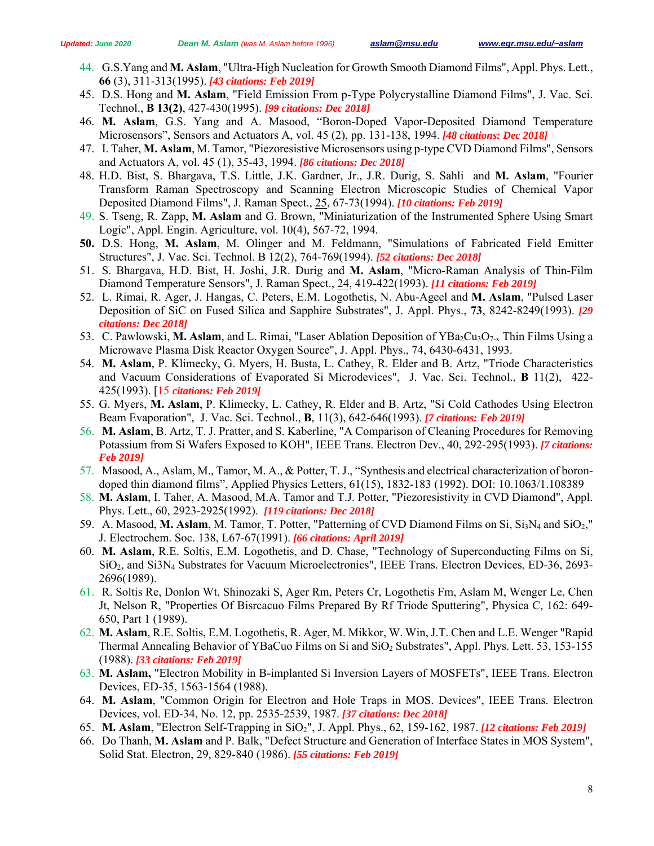- 44. G.S.Yang and **M. Aslam**, "Ultra-High Nucleation for Growth Smooth Diamond Films", Appl. Phys. Lett., **66** (3), 311-313(1995). *[43 citations: Feb 2019]*
- 45. D.S. Hong and **M. Aslam**, "Field Emission From p-Type Polycrystalline Diamond Films", J. Vac. Sci. Technol., **B 13(2)**, 427-430(1995). *[99 citations: Dec 2018]*
- 46. **M. Aslam**, G.S. Yang and A. Masood, "Boron-Doped Vapor-Deposited Diamond Temperature Microsensors", Sensors and Actuators A, vol. 45 (2), pp. 131-138, 1994. *[48 citations: Dec 2018]*
- 47. I. Taher, **M. Aslam**, M. Tamor, "Piezoresistive Microsensors using p-type CVD Diamond Films", Sensors and Actuators A, vol. 45 (1), 35-43, 1994. *[86 citations: Dec 2018]*
- 48. H.D. Bist, S. Bhargava, T.S. Little, J.K. Gardner, Jr., J.R. Durig, S. Sahli and **M. Aslam**, "Fourier Transform Raman Spectroscopy and Scanning Electron Microscopic Studies of Chemical Vapor Deposited Diamond Films", J. Raman Spect., 25, 67-73(1994). *[10 citations: Feb 2019]*
- 49. S. Tseng, R. Zapp, **M. Aslam** and G. Brown, "Miniaturization of the Instrumented Sphere Using Smart Logic", Appl. Engin. Agriculture, vol. 10(4), 567-72, 1994.
- **50.** D.S. Hong, **M. Aslam**, M. Olinger and M. Feldmann, "Simulations of Fabricated Field Emitter Structures", J. Vac. Sci. Technol. B 12(2), 764-769(1994). *[52 citations: Dec 2018]*
- 51. S. Bhargava, H.D. Bist, H. Joshi, J.R. Durig and **M. Aslam**, "Micro-Raman Analysis of Thin-Film Diamond Temperature Sensors", J. Raman Spect., 24, 419-422(1993). *[11 citations: Feb 2019]*
- 52. L. Rimai, R. Ager, J. Hangas, C. Peters, E.M. Logothetis, N. Abu-Ageel and **M. Aslam**, "Pulsed Laser Deposition of SiC on Fused Silica and Sapphire Substrates", J. Appl. Phys., **73**, 8242-8249(1993). *[29 citations: Dec 2018]*
- 53. C. Pawlowski, M. Aslam, and L. Rimai, "Laser Ablation Deposition of YBa<sub>2</sub>Cu<sub>3</sub>O<sub>7-x</sub> Thin Films Using a Microwave Plasma Disk Reactor Oxygen Source", J. Appl. Phys., 74, 6430-6431, 1993.
- 54. **M. Aslam**, P. Klimecky, G. Myers, H. Busta, L. Cathey, R. Elder and B. Artz, "Triode Characteristics and Vacuum Considerations of Evaporated Si Microdevices", J. Vac. Sci. Technol., **B** 11(2), 422- 425(1993). [15 *citations: Feb 2019]*
- 55. G. Myers, **M. Aslam**, P. Klimecky, L. Cathey, R. Elder and B. Artz, "Si Cold Cathodes Using Electron Beam Evaporation", J. Vac. Sci. Technol., **B**, 11(3), 642-646(1993). *[7 citations: Feb 2019]*
- 56. **M. Aslam**, B. Artz, T. J. Pratter, and S. Kaberline, "A Comparison of Cleaning Procedures for Removing Potassium from Si Wafers Exposed to KOH", IEEE Trans. Electron Dev., 40, 292-295(1993). *[7 citations: Feb 2019]*
- 57. Masood, A., Aslam, M., Tamor, M. A., & Potter, T. J., "Synthesis and electrical characterization of borondoped thin diamond films", Applied Physics Letters, 61(15), 1832-183 (1992). DOI: 10.1063/1.108389
- 58. **M. Aslam**, I. Taher, A. Masood, M.A. Tamor and T.J. Potter, "Piezoresistivity in CVD Diamond", Appl. Phys. Lett., 60, 2923-2925(1992). *[119 citations: Dec 2018]*
- 59. A. Masood, M. Aslam, M. Tamor, T. Potter, "Patterning of CVD Diamond Films on Si, Si<sub>3</sub>N<sub>4</sub> and SiO<sub>2</sub>," J. Electrochem. Soc. 138, L67-67(1991). *[66 citations: April 2019]*
- 60. **M. Aslam**, R.E. Soltis, E.M. Logothetis, and D. Chase, "Technology of Superconducting Films on Si, SiO2, and Si3N4 Substrates for Vacuum Microelectronics", IEEE Trans. Electron Devices, ED-36, 2693- 2696(1989).
- 61. R. Soltis Re, Donlon Wt, Shinozaki S, Ager Rm, Peters Cr, Logothetis Fm, Aslam M, Wenger Le, Chen Jt, Nelson R, "Properties Of Bisrcacuo Films Prepared By Rf Triode Sputtering", Physica C, 162: 649- 650, Part 1 (1989).
- 62. **M. Aslam**, R.E. Soltis, E.M. Logothetis, R. Ager, M. Mikkor, W. Win, J.T. Chen and L.E. Wenger "Rapid Thermal Annealing Behavior of YBaCuo Films on Si and SiO2 Substrates", Appl. Phys. Lett. 53, 153-155 (1988). *[33 citations: Feb 2019]*
- 63. **M. Aslam,** "Electron Mobility in B-implanted Si Inversion Layers of MOSFETs", IEEE Trans. Electron Devices, ED-35, 1563-1564 (1988).
- 64. **M. Aslam**, "Common Origin for Electron and Hole Traps in MOS. Devices", IEEE Trans. Electron Devices, vol. ED-34, No. 12, pp. 2535-2539, 1987. *[37 citations: Dec 2018]*
- 65. M. Aslam, "Electron Self-Trapping in SiO<sub>2</sub>", J. Appl. Phys., 62, 159-162, 1987. [12 citations: Feb 2019]
- 66. Do Thanh, **M. Aslam** and P. Balk, "Defect Structure and Generation of Interface States in MOS System", Solid Stat. Electron, 29, 829-840 (1986). *[55 citations: Feb 2019]*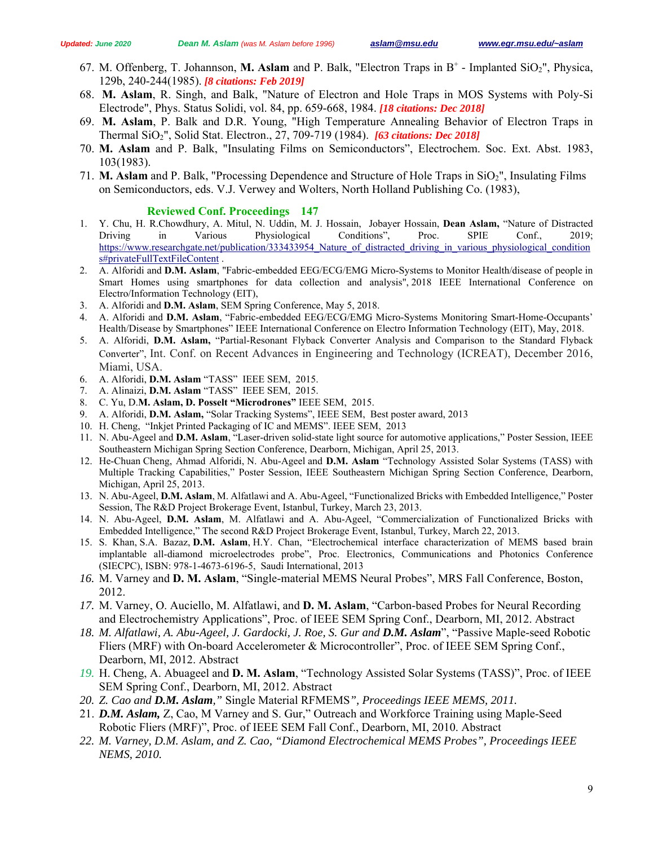- 67. M. Offenberg, T. Johannson, M. Aslam and P. Balk, "Electron Traps in B<sup>+</sup> Implanted SiO<sub>2</sub>", Physica, 129b, 240-244(1985). *[8 citations: Feb 2019]*
- 68. **M. Aslam**, R. Singh, and Balk, "Nature of Electron and Hole Traps in MOS Systems with Poly-Si Electrode", Phys. Status Solidi, vol. 84, pp. 659-668, 1984. *[18 citations: Dec 2018]*
- 69. **M. Aslam**, P. Balk and D.R. Young, "High Temperature Annealing Behavior of Electron Traps in Thermal SiO2", Solid Stat. Electron., 27, 709-719 (1984). *[63 citations: Dec 2018]*
- 70. **M. Aslam** and P. Balk, "Insulating Films on Semiconductors", Electrochem. Soc. Ext. Abst. 1983, 103(1983).
- 71. **M. Aslam** and P. Balk, "Processing Dependence and Structure of Hole Traps in SiO2", Insulating Films on Semiconductors, eds. V.J. Verwey and Wolters, North Holland Publishing Co. (1983),

#### **Reviewed Conf. Proceedings 147**

- 1. Y. Chu, H. R.Chowdhury, A. Mitul, N. Uddin, M. J. Hossain, Jobayer Hossain, **Dean Aslam,** "Nature of Distracted Driving in Various Physiological Conditions", Proc. SPIE Conf., 2019; https://www.researchgate.net/publication/333433954\_Nature\_of\_distracted\_driving\_in\_various\_physiological\_condition s#privateFullTextFileContent .
- 2. A. Alforidi and **D.M. Aslam**, "Fabric-embedded EEG/ECG/EMG Micro-Systems to Monitor Health/disease of people in Smart Homes using smartphones for data collection and analysis", 2018 IEEE International Conference on Electro/Information Technology (EIT),
- 3. A. Alforidi and **D.M. Aslam**, SEM Spring Conference, May 5, 2018.
- 4. A. Alforidi and **D.M. Aslam**, "Fabric-embedded EEG/ECG/EMG Micro-Systems Monitoring Smart-Home-Occupants' Health/Disease by Smartphones" IEEE International Conference on Electro Information Technology (EIT), May, 2018.
- 5. A. Alforidi, **D.M. Aslam,** "Partial-Resonant Flyback Converter Analysis and Comparison to the Standard Flyback Converter", Int. Conf. on Recent Advances in Engineering and Technology (ICREAT), December 2016, Miami, USA.
- 6. A. Alforidi, **D.M. Aslam** "TASS" IEEE SEM, 2015.
- 7. A. Alinaizi, **D.M. Aslam** "TASS" IEEE SEM, 2015.
- 8. C. Yu, D.**M. Aslam, D. Posselt "Microdrones"** IEEE SEM, 2015.
- 9. A. Alforidi, **D.M. Aslam,** "Solar Tracking Systems", IEEE SEM, Best poster award, 2013
- 10. H. Cheng, "Inkjet Printed Packaging of IC and MEMS". IEEE SEM, 2013
- 11. N. Abu-Ageel and **D.M. Aslam**, "Laser-driven solid-state light source for automotive applications," Poster Session, IEEE Southeastern Michigan Spring Section Conference, Dearborn, Michigan, April 25, 2013.
- 12. He-Chuan Cheng, Ahmad Alforidi, N. Abu-Ageel and **D.M. Aslam** "Technology Assisted Solar Systems (TASS) with Multiple Tracking Capabilities," Poster Session, IEEE Southeastern Michigan Spring Section Conference, Dearborn, Michigan, April 25, 2013.
- 13. N. Abu-Ageel, **D.M. Aslam**, M. Alfatlawi and A. Abu-Ageel, "Functionalized Bricks with Embedded Intelligence," Poster Session, The R&D Project Brokerage Event, Istanbul, Turkey, March 23, 2013.
- 14. N. Abu-Ageel, **D.M. Aslam**, M. Alfatlawi and A. Abu-Ageel, "Commercialization of Functionalized Bricks with Embedded Intelligence," The second R&D Project Brokerage Event, Istanbul, Turkey, March 22, 2013.
- 15. S. Khan, S.A. Bazaz, **D.M. Aslam**, H.Y. Chan, "Electrochemical interface characterization of MEMS based brain implantable all-diamond microelectrodes probe", Proc. Electronics, Communications and Photonics Conference (SIECPC), ISBN: 978-1-4673-6196-5, Saudi International, 2013
- *16.* M. Varney and **D. M. Aslam**, "Single-material MEMS Neural Probes", MRS Fall Conference, Boston, 2012.
- *17.* M. Varney, O. Auciello, M. Alfatlawi, and **D. M. Aslam**, "Carbon-based Probes for Neural Recording and Electrochemistry Applications", Proc. of IEEE SEM Spring Conf., Dearborn, MI, 2012. Abstract
- 18. *M. Alfatlawi, A. Abu-Ageel, J. Gardocki, J. Roe, S. Gur and D.M. Aslam", "Passive Maple-seed Robotic* Fliers (MRF) with On-board Accelerometer & Microcontroller", Proc. of IEEE SEM Spring Conf., Dearborn, MI, 2012. Abstract
- *19.* H. Cheng, A. Abuageel and **D. M. Aslam**, "Technology Assisted Solar Systems (TASS)", Proc. of IEEE SEM Spring Conf., Dearborn, MI, 2012. Abstract
- *20. Z. Cao and D.M. Aslam,"* Single Material RFMEMS*", Proceedings IEEE MEMS, 2011.*
- 21. *D.M. Aslam,* Z, Cao, M Varney and S. Gur," Outreach and Workforce Training using Maple-Seed Robotic Fliers (MRF)", Proc. of IEEE SEM Fall Conf., Dearborn, MI, 2010. Abstract
- *22. M. Varney, D.M. Aslam, and Z. Cao, "Diamond Electrochemical MEMS Probes", Proceedings IEEE NEMS, 2010.*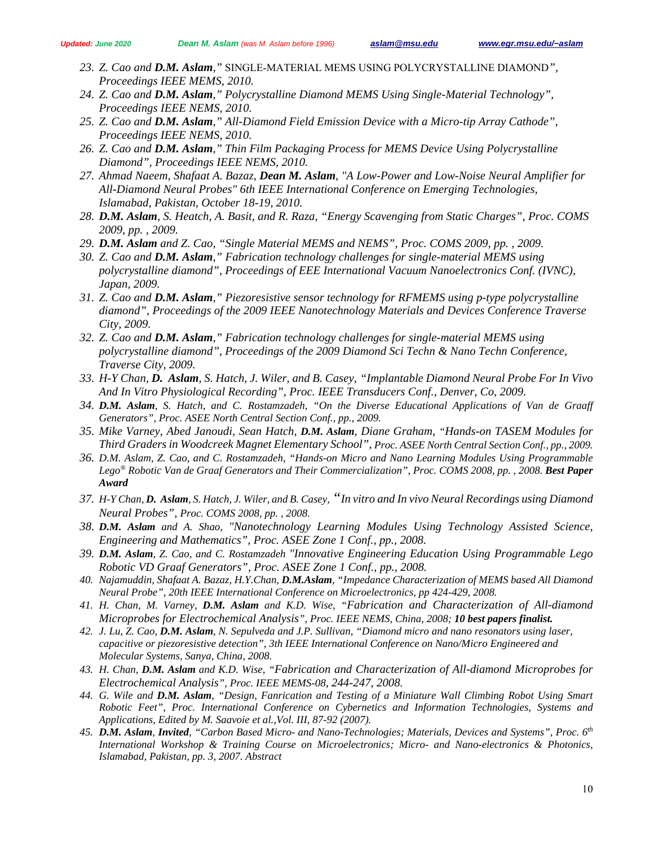- *23. Z. Cao and D.M. Aslam,"* SINGLE-MATERIAL MEMS USING POLYCRYSTALLINE DIAMOND*", Proceedings IEEE MEMS, 2010.*
- *24. Z. Cao and D.M. Aslam," Polycrystalline Diamond MEMS Using Single-Material Technology", Proceedings IEEE NEMS, 2010.*
- *25. Z. Cao and D.M. Aslam," All-Diamond Field Emission Device with a Micro-tip Array Cathode", Proceedings IEEE NEMS, 2010.*
- *26. Z. Cao and D.M. Aslam," Thin Film Packaging Process for MEMS Device Using Polycrystalline Diamond", Proceedings IEEE NEMS, 2010.*
- *27. Ahmad Naeem, Shafaat A. Bazaz, Dean M. Aslam, "A Low-Power and Low-Noise Neural Amplifier for All-Diamond Neural Probes" 6th IEEE International Conference on Emerging Technologies, Islamabad, Pakistan, October 18-19, 2010.*
- *28. D.M. Aslam, S. Heatch, A. Basit, and R. Raza, "Energy Scavenging from Static Charges", Proc. COMS 2009, pp. , 2009.*
- *29. D.M. Aslam and Z. Cao, "Single Material MEMS and NEMS", Proc. COMS 2009, pp. , 2009.*
- *30. Z. Cao and D.M. Aslam," Fabrication technology challenges for single-material MEMS using polycrystalline diamond", Proceedings of EEE International Vacuum Nanoelectronics Conf. (IVNC), Japan, 2009.*
- *31. Z. Cao and D.M. Aslam," Piezoresistive sensor technology for RFMEMS using p-type polycrystalline diamond", Proceedings of the 2009 IEEE Nanotechnology Materials and Devices Conference Traverse City, 2009.*
- *32. Z. Cao and D.M. Aslam," Fabrication technology challenges for single-material MEMS using polycrystalline diamond", Proceedings of the 2009 Diamond Sci Techn & Nano Techn Conference, Traverse City, 2009.*
- *33. H-Y Chan, D. Aslam, S. Hatch, J. Wiler, and B. Casey, "Implantable Diamond Neural Probe For In Vivo And In Vitro Physiological Recording", Proc. IEEE Transducers Conf., Denver, Co, 2009.*
- *34. D.M. Aslam, S. Hatch, and C. Rostamzadeh, "On the Diverse Educational Applications of Van de Graaff Generators", Proc. ASEE North Central Section Conf., pp., 2009.*
- *35. Mike Varney, Abed Janoudi, Sean Hatch, D.M. Aslam, Diane Graham, "Hands-on TASEM Modules for Third Graders in Woodcreek Magnet Elementary School", Proc. ASEE North Central Section Conf., pp., 2009.*
- *36. D.M. Aslam, Z. Cao, and C. Rostamzadeh, "Hands-on Micro and Nano Learning Modules Using Programmable*  Lego<sup>®</sup> Robotic Van de Graaf Generators and Their Commercialization", Proc. COMS 2008, pp., 2008. **Best Paper** *Award*
- *37. H-Y Chan, D. Aslam, S. Hatch, J. Wiler, and B. Casey, "In vitro and In vivo Neural Recordings using Diamond Neural Probes", Proc. COMS 2008, pp. , 2008.*
- *38. D.M. Aslam and A. Shao, "Nanotechnology Learning Modules Using Technology Assisted Science, Engineering and Mathematics", Proc. ASEE Zone 1 Conf., pp., 2008.*
- *39. D.M. Aslam, Z. Cao, and C. Rostamzadeh "Innovative Engineering Education Using Programmable Lego Robotic VD Graaf Generators", Proc. ASEE Zone 1 Conf., pp., 2008.*
- *40. Najamuddin, Shafaat A. Bazaz, H.Y.Chan, D.M.Aslam, "Impedance Characterization of MEMS based All Diamond Neural Probe", 20th IEEE International Conference on Microelectronics, pp 424-429, 2008.*
- *41. H. Chan, M. Varney, D.M. Aslam and K.D. Wise, "Fabrication and Characterization of All-diamond Microprobes for Electrochemical Analysis", Proc. IEEE NEMS, China, 2008; 10 best papers finalist.*
- *42. J. Lu, Z. Cao, D.M. Aslam, N. Sepulveda and J.P. Sullivan, "Diamond micro and nano resonators using laser, capacitive or piezoresistive detection", 3th IEEE International Conference on Nano/Micro Engineered and Molecular Systems, Sanya, China, 2008.*
- *43. H. Chan, D.M. Aslam and K.D. Wise, "Fabrication and Characterization of All-diamond Microprobes for Electrochemical Analysis", Proc. IEEE MEMS-08, 244-247, 2008.*
- *44. G. Wile and D.M. Aslam, "Design, Fanrication and Testing of a Miniature Wall Climbing Robot Using Smart Robotic Feet", Proc. International Conference on Cybernetics and Information Technologies, Systems and Applications, Edited by M. Saavoie et al.,Vol. III, 87-92 (2007).*
- *45. D.M. Aslam, Invited, "Carbon Based Micro- and Nano-Technologies; Materials, Devices and Systems", Proc. 6th International Workshop & Training Course on Microelectronics; Micro- and Nano-electronics & Photonics, Islamabad, Pakistan, pp. 3, 2007. Abstract*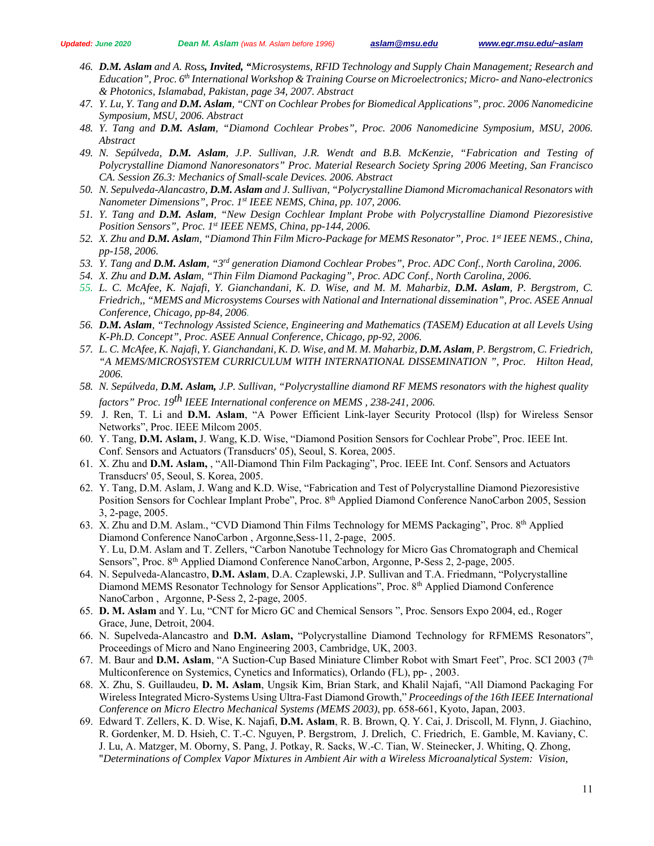- *46. D.M. Aslam and A. Ross, Invited, "Microsystems, RFID Technology and Supply Chain Management; Research and Education", Proc. 6th International Workshop & Training Course on Microelectronics; Micro- and Nano-electronics & Photonics, Islamabad, Pakistan, page 34, 2007. Abstract*
- *47. Y. Lu, Y. Tang and D.M. Aslam, "CNT on Cochlear Probes for Biomedical Applications", proc. 2006 Nanomedicine Symposium, MSU, 2006. Abstract*
- *48. Y. Tang and D.M. Aslam, "Diamond Cochlear Probes", Proc. 2006 Nanomedicine Symposium, MSU, 2006. Abstract*
- *49. N. Sepúlveda, D.M. Aslam, J.P. Sullivan, J.R. Wendt and B.B. McKenzie, "Fabrication and Testing of Polycrystalline Diamond Nanoresonators" Proc. Material Research Society Spring 2006 Meeting, San Francisco CA. Session Z6.3: Mechanics of Small-scale Devices. 2006. Abstract*
- *50. N. Sepulveda-Alancastro, D.M. Aslam and J. Sullivan, "Polycrystalline Diamond Micromachanical Resonators with Nanometer Dimensions", Proc. 1st IEEE NEMS, China, pp. 107, 2006.*
- *51. Y. Tang and D.M. Aslam, "New Design Cochlear Implant Probe with Polycrystalline Diamond Piezoresistive Position Sensors", Proc. 1st IEEE NEMS, China, pp-144, 2006.*
- *52. X. Zhu and D.M. Aslam, "Diamond Thin Film Micro-Package for MEMS Resonator", Proc. 1st IEEE NEMS., China, pp-158, 2006.*
- *53. Y. Tang and D.M. Aslam, "3rd generation Diamond Cochlear Probes", Proc. ADC Conf., North Carolina, 2006.*
- *54. X. Zhu and D.M. Aslam, "Thin Film Diamond Packaging", Proc. ADC Conf., North Carolina, 2006.*
- *55. L. C. McAfee, K. Najafi, Y. Gianchandani, K. D. Wise, and M. M. Maharbiz, D.M. Aslam, P. Bergstrom, C. Friedrich,, "MEMS and Microsystems Courses with National and International dissemination", Proc. ASEE Annual Conference, Chicago, pp-84, 2006.*
- *56. D.M. Aslam, "Technology Assisted Science, Engineering and Mathematics (TASEM) Education at all Levels Using K-Ph.D. Concept", Proc. ASEE Annual Conference, Chicago, pp-92, 2006.*
- *57. L. C. McAfee, K. Najafi, Y. Gianchandani, K. D. Wise, and M. M. Maharbiz, D.M. Aslam, P. Bergstrom, C. Friedrich, "A MEMS/MICROSYSTEM CURRICULUM WITH INTERNATIONAL DISSEMINATION ", Proc. Hilton Head, 2006.*
- *58. N. Sepúlveda, D.M. Aslam, J.P. Sullivan, "Polycrystalline diamond RF MEMS resonators with the highest quality factors" Proc. 19th IEEE International conference on MEMS , 238-241, 2006.*
- 59. J. Ren, T. Li and **D.M. Aslam**, "A Power Efficient Link-layer Security Protocol (llsp) for Wireless Sensor Networks", Proc. IEEE Milcom 2005.
- 60. Y. Tang, **D.M. Aslam,** J. Wang, K.D. Wise, "Diamond Position Sensors for Cochlear Probe", Proc. IEEE Int. Conf. Sensors and Actuators (Transducrs' 05), Seoul, S. Korea, 2005.
- 61. X. Zhu and **D.M. Aslam,** , "All-Diamond Thin Film Packaging", Proc. IEEE Int. Conf. Sensors and Actuators Transducrs' 05, Seoul, S. Korea, 2005.
- 62. Y. Tang, D.M. Aslam, J. Wang and K.D. Wise, "Fabrication and Test of Polycrystalline Diamond Piezoresistive Position Sensors for Cochlear Implant Probe", Proc. 8<sup>th</sup> Applied Diamond Conference NanoCarbon 2005, Session 3, 2-page, 2005.
- 63. X. Zhu and D.M. Aslam., "CVD Diamond Thin Films Technology for MEMS Packaging", Proc. 8th Applied Diamond Conference NanoCarbon , Argonne,Sess-11, 2-page, 2005. Y. Lu, D.M. Aslam and T. Zellers, "Carbon Nanotube Technology for Micro Gas Chromatograph and Chemical Sensors", Proc. 8<sup>th</sup> Applied Diamond Conference NanoCarbon, Argonne, P-Sess 2, 2-page, 2005.
- 64. N. Sepulveda-Alancastro, **D.M. Aslam**, D.A. Czaplewski, J.P. Sullivan and T.A. Friedmann, "Polycrystalline Diamond MEMS Resonator Technology for Sensor Applications", Proc. 8<sup>th</sup> Applied Diamond Conference NanoCarbon , Argonne, P-Sess 2, 2-page, 2005.
- 65. **D. M. Aslam** and Y. Lu, "CNT for Micro GC and Chemical Sensors ", Proc. Sensors Expo 2004, ed., Roger Grace, June, Detroit, 2004.
- 66. N. Supelveda-Alancastro and **D.M. Aslam,** "Polycrystalline Diamond Technology for RFMEMS Resonators", Proceedings of Micro and Nano Engineering 2003, Cambridge, UK, 2003.
- 67. M. Baur and D.M. Aslam, "A Suction-Cup Based Miniature Climber Robot with Smart Feet", Proc. SCI 2003 (7<sup>th</sup> Multiconference on Systemics, Cynetics and Informatics), Orlando (FL), pp- , 2003.
- 68. X. Zhu, S. Guillaudeu, **D. M. Aslam**, Ungsik Kim, Brian Stark, and Khalil Najafi, "All Diamond Packaging For Wireless Integrated Micro-Systems Using Ultra-Fast Diamond Growth," *Proceedings of the 16th IEEE International Conference on Micro Electro Mechanical Systems (MEMS 2003)*, pp. 658-661, Kyoto, Japan, 2003.
- 69. Edward T. Zellers, K. D. Wise, K. Najafi, **D.M. Aslam**, R. B. Brown, Q. Y. Cai, J. Driscoll, M. Flynn, J. Giachino, R. Gordenker, M. D. Hsieh, C. T.-C. Nguyen, P. Bergstrom, J. Drelich, C. Friedrich, E. Gamble, M. Kaviany, C. J. Lu, A. Matzger, M. Oborny, S. Pang, J. Potkay, R. Sacks, W.-C. Tian, W. Steinecker, J. Whiting, Q. Zhong, "*Determinations of Complex Vapor Mixtures in Ambient Air with a Wireless Microanalytical System: Vision,*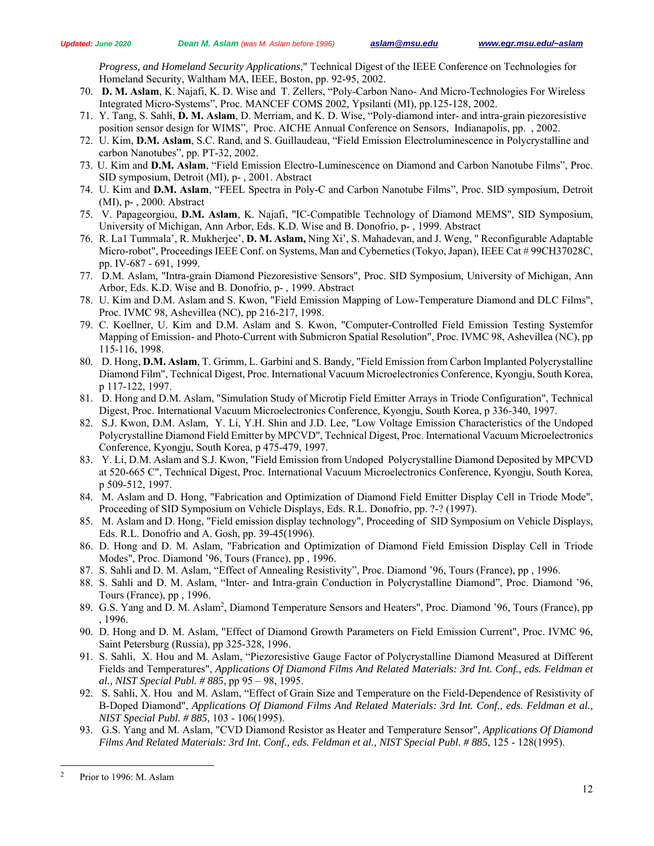*Progress, and Homeland Security Applications*," Technical Digest of the IEEE Conference on Technologies for Homeland Security, Waltham MA, IEEE, Boston, pp. 92-95, 2002.

- 70. **D. M. Aslam**, K. Najafi, K. D. Wise and T. Zellers, "Poly-Carbon Nano- And Micro-Technologies For Wireless Integrated Micro-Systems", Proc. MANCEF COMS 2002, Ypsilanti (MI), pp.125-128, 2002.
- 71. Y. Tang, S. Sahli, **D. M. Aslam**, D. Merriam, and K. D. Wise, "Poly-diamond inter- and intra-grain piezoresistive position sensor design for WIMS", Proc. AICHE Annual Conference on Sensors, Indianapolis, pp. , 2002.
- 72. U. Kim, **D.M. Aslam**, S.C. Rand, and S. Guillaudeau, "Field Emission Electroluminescence in Polycrystalline and carbon Nanotubes", pp. PT-32, 2002.
- 73. U. Kim and **D.M. Aslam**, "Field Emission Electro-Luminescence on Diamond and Carbon Nanotube Films", Proc. SID symposium, Detroit (MI), p- , 2001. Abstract
- 74. U. Kim and **D.M. Aslam**, "FEEL Spectra in Poly-C and Carbon Nanotube Films", Proc. SID symposium, Detroit (MI), p- , 2000. Abstract
- 75. V. Papageorgiou, **D.M. Aslam**, K. Najafi, "IC-Compatible Technology of Diamond MEMS", SID Symposium, University of Michigan, Ann Arbor, Eds. K.D. Wise and B. Donofrio, p- , 1999. Abstract
- 76. R. La1 Tummala', R. Mukherjee', **D. M. Aslam,** Ning Xi', S. Mahadevan, and J. Weng, " Reconfigurable Adaptable Micro-robot", Proceedings IEEE Conf. on Systems, Man and Cybernetics (Tokyo, Japan), IEEE Cat # 99CH37028C, pp. IV-687 - 691, 1999.
- 77. D.M. Aslam, "Intra-grain Diamond Piezoresistive Sensors", Proc. SID Symposium, University of Michigan, Ann Arbor, Eds. K.D. Wise and B. Donofrio, p- , 1999. Abstract
- 78. U. Kim and D.M. Aslam and S. Kwon, "Field Emission Mapping of Low-Temperature Diamond and DLC Films", Proc. IVMC 98, Ashevillea (NC), pp 216-217, 1998.
- 79. C. Koellner, U. Kim and D.M. Aslam and S. Kwon, "Computer-Controlled Field Emission Testing Systemfor Mapping of Emission- and Photo-Current with Submicron Spatial Resolution", Proc. IVMC 98, Ashevillea (NC), pp 115-116, 1998.
- 80. D. Hong, **D.M. Aslam**, T. Grimm, L. Garbini and S. Bandy, "Field Emission from Carbon Implanted Polycrystalline Diamond Film", Technical Digest, Proc. International Vacuum Microelectronics Conference, Kyongju, South Korea, p 117-122, 1997.
- 81. D. Hong and D.M. Aslam, "Simulation Study of Microtip Field Emitter Arrays in Triode Configuration", Technical Digest, Proc. International Vacuum Microelectronics Conference, Kyongju, South Korea, p 336-340, 1997.
- 82. S.J. Kwon, D.M. Aslam, Y. Li, Y.H. Shin and J.D. Lee, "Low Voltage Emission Characteristics of the Undoped Polycrystalline Diamond Field Emitter by MPCVD", Technical Digest, Proc. International Vacuum Microelectronics Conference, Kyongju, South Korea, p 475-479, 1997.
- 83. Y. Li, D.M. Aslam and S.J. Kwon, "Field Emission from Undoped Polycrystalline Diamond Deposited by MPCVD at 520-665 C", Technical Digest, Proc. International Vacuum Microelectronics Conference, Kyongju, South Korea, p 509-512, 1997.
- 84. M. Aslam and D. Hong, "Fabrication and Optimization of Diamond Field Emitter Display Cell in Triode Mode", Proceeding of SID Symposium on Vehicle Displays, Eds. R.L. Donofrio, pp. ?-? (1997).
- 85. M. Aslam and D. Hong, "Field emission display technology", Proceeding of SID Symposium on Vehicle Displays, Eds. R.L. Donofrio and A. Gosh, pp. 39-45(1996).
- 86. D. Hong and D. M. Aslam, "Fabrication and Optimization of Diamond Field Emission Display Cell in Triode Modes", Proc. Diamond '96, Tours (France), pp , 1996.
- 87. S. Sahli and D. M. Aslam, "Effect of Annealing Resistivity", Proc. Diamond '96, Tours (France), pp , 1996.
- 88. S. Sahli and D. M. Aslam, "Inter- and Intra-grain Conduction in Polycrystalline Diamond", Proc. Diamond '96, Tours (France), pp , 1996.
- 89. G.S. Yang and D. M. Aslam<sup>2</sup>, Diamond Temperature Sensors and Heaters", Proc. Diamond '96, Tours (France), pp , 1996.
- 90. D. Hong and D. M. Aslam, "Effect of Diamond Growth Parameters on Field Emission Current", Proc. IVMC 96, Saint Petersburg (Russia), pp 325-328, 1996.
- 91. S. Sahli, X. Hou and M. Aslam, "Piezoresistive Gauge Factor of Polycrystalline Diamond Measured at Different Fields and Temperatures", *Applications Of Diamond Films And Related Materials: 3rd Int. Conf., eds. Feldman et al., NIST Special Publ. # 885*, pp 95 – 98, 1995.
- 92. S. Sahli, X. Hou and M. Aslam, "Effect of Grain Size and Temperature on the Field-Dependence of Resistivity of B-Doped Diamond", *Applications Of Diamond Films And Related Materials: 3rd Int. Conf., eds. Feldman et al., NIST Special Publ. # 885*, 103 - 106(1995).
- 93. G.S. Yang and M. Aslam, "CVD Diamond Resistor as Heater and Temperature Sensor", *Applications Of Diamond Films And Related Materials: 3rd Int. Conf., eds. Feldman et al., NIST Special Publ. # 885*, 125 - 128(1995).

 $\overline{a}$ 

Prior to 1996: M. Aslam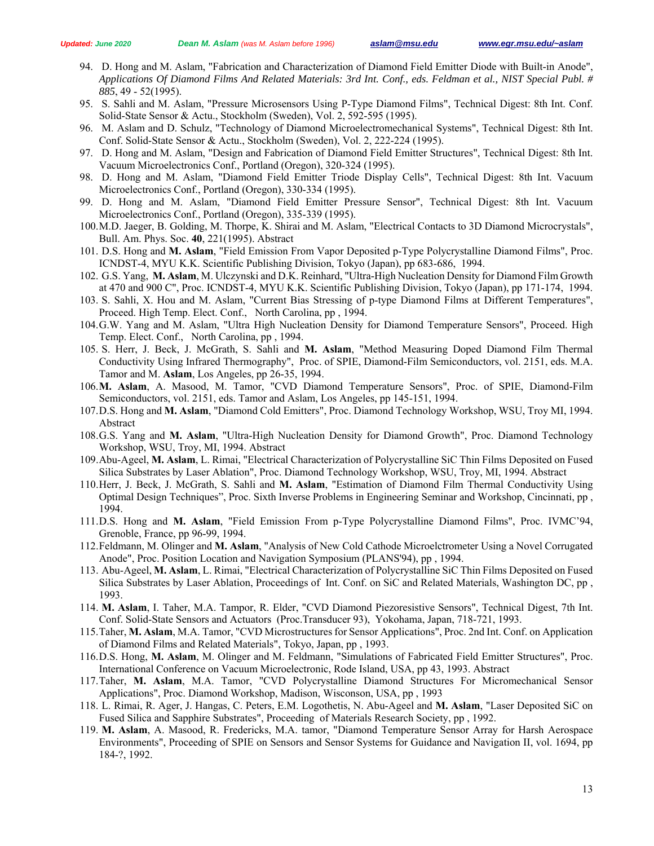- 94. D. Hong and M. Aslam, "Fabrication and Characterization of Diamond Field Emitter Diode with Built-in Anode", *Applications Of Diamond Films And Related Materials: 3rd Int. Conf., eds. Feldman et al., NIST Special Publ. # 885*, 49 - 52(1995).
- 95. S. Sahli and M. Aslam, "Pressure Microsensors Using P-Type Diamond Films", Technical Digest: 8th Int. Conf. Solid-State Sensor & Actu., Stockholm (Sweden), Vol. 2, 592-595 (1995).
- 96. M. Aslam and D. Schulz, "Technology of Diamond Microelectromechanical Systems", Technical Digest: 8th Int. Conf. Solid-State Sensor & Actu., Stockholm (Sweden), Vol. 2, 222-224 (1995).
- 97. D. Hong and M. Aslam, "Design and Fabrication of Diamond Field Emitter Structures", Technical Digest: 8th Int. Vacuum Microelectronics Conf., Portland (Oregon), 320-324 (1995).
- 98. D. Hong and M. Aslam, "Diamond Field Emitter Triode Display Cells", Technical Digest: 8th Int. Vacuum Microelectronics Conf., Portland (Oregon), 330-334 (1995).
- 99. D. Hong and M. Aslam, "Diamond Field Emitter Pressure Sensor", Technical Digest: 8th Int. Vacuum Microelectronics Conf., Portland (Oregon), 335-339 (1995).
- 100.M.D. Jaeger, B. Golding, M. Thorpe, K. Shirai and M. Aslam, "Electrical Contacts to 3D Diamond Microcrystals", Bull. Am. Phys. Soc. **40**, 221(1995). Abstract
- 101. D.S. Hong and **M. Aslam**, "Field Emission From Vapor Deposited p-Type Polycrystalline Diamond Films", Proc. ICNDST-4, MYU K.K. Scientific Publishing Division, Tokyo (Japan), pp 683-686, 1994.
- 102. G.S. Yang, **M. Aslam**, M. Ulczynski and D.K. Reinhard, "Ultra-High Nucleation Density for Diamond Film Growth at 470 and 900 C", Proc. ICNDST-4, MYU K.K. Scientific Publishing Division, Tokyo (Japan), pp 171-174, 1994.
- 103. S. Sahli, X. Hou and M. Aslam, "Current Bias Stressing of p-type Diamond Films at Different Temperatures", Proceed. High Temp. Elect. Conf., North Carolina, pp , 1994.
- 104.G.W. Yang and M. Aslam, "Ultra High Nucleation Density for Diamond Temperature Sensors", Proceed. High Temp. Elect. Conf., North Carolina, pp , 1994.
- 105. S. Herr, J. Beck, J. McGrath, S. Sahli and **M. Aslam**, "Method Measuring Doped Diamond Film Thermal Conductivity Using Infrared Thermography", Proc. of SPIE, Diamond-Film Semiconductors, vol. 2151, eds. M.A. Tamor and M. **Aslam**, Los Angeles, pp 26-35, 1994.
- 106.**M. Aslam**, A. Masood, M. Tamor, "CVD Diamond Temperature Sensors", Proc. of SPIE, Diamond-Film Semiconductors, vol. 2151, eds. Tamor and Aslam, Los Angeles, pp 145-151, 1994.
- 107.D.S. Hong and **M. Aslam**, "Diamond Cold Emitters", Proc. Diamond Technology Workshop, WSU, Troy MI, 1994. Abstract
- 108.G.S. Yang and **M. Aslam**, "Ultra-High Nucleation Density for Diamond Growth", Proc. Diamond Technology Workshop, WSU, Troy, MI, 1994. Abstract
- 109.Abu-Ageel, **M. Aslam**, L. Rimai, "Electrical Characterization of Polycrystalline SiC Thin Films Deposited on Fused Silica Substrates by Laser Ablation", Proc. Diamond Technology Workshop, WSU, Troy, MI, 1994. Abstract
- 110.Herr, J. Beck, J. McGrath, S. Sahli and **M. Aslam**, "Estimation of Diamond Film Thermal Conductivity Using Optimal Design Techniques", Proc. Sixth Inverse Problems in Engineering Seminar and Workshop, Cincinnati, pp , 1994.
- 111.D.S. Hong and **M. Aslam**, "Field Emission From p-Type Polycrystalline Diamond Films", Proc. IVMC'94, Grenoble, France, pp 96-99, 1994.
- 112.Feldmann, M. Olinger and **M. Aslam**, "Analysis of New Cold Cathode Microelctrometer Using a Novel Corrugated Anode", Proc. Position Location and Navigation Symposium (PLANS'94), pp , 1994.
- 113. Abu-Ageel, **M. Aslam**, L. Rimai, "Electrical Characterization of Polycrystalline SiC Thin Films Deposited on Fused Silica Substrates by Laser Ablation, Proceedings of Int. Conf. on SiC and Related Materials, Washington DC, pp , 1993.
- 114. **M. Aslam**, I. Taher, M.A. Tampor, R. Elder, "CVD Diamond Piezoresistive Sensors", Technical Digest, 7th Int. Conf. Solid-State Sensors and Actuators (Proc.Transducer 93), Yokohama, Japan, 718-721, 1993.
- 115.Taher, **M. Aslam**, M.A. Tamor, "CVD Microstructures for Sensor Applications", Proc. 2nd Int. Conf. on Application of Diamond Films and Related Materials", Tokyo, Japan, pp , 1993.
- 116.D.S. Hong, **M. Aslam**, M. Olinger and M. Feldmann, "Simulations of Fabricated Field Emitter Structures", Proc. International Conference on Vacuum Microelectronic, Rode Island, USA, pp 43, 1993. Abstract
- 117.Taher, **M. Aslam**, M.A. Tamor, "CVD Polycrystalline Diamond Structures For Micromechanical Sensor Applications", Proc. Diamond Workshop, Madison, Wisconson, USA, pp , 1993
- 118. L. Rimai, R. Ager, J. Hangas, C. Peters, E.M. Logothetis, N. Abu-Ageel and **M. Aslam**, "Laser Deposited SiC on Fused Silica and Sapphire Substrates", Proceeding of Materials Research Society, pp , 1992.
- 119. **M. Aslam**, A. Masood, R. Fredericks, M.A. tamor, "Diamond Temperature Sensor Array for Harsh Aerospace Environments", Proceeding of SPIE on Sensors and Sensor Systems for Guidance and Navigation II, vol. 1694, pp 184-?, 1992.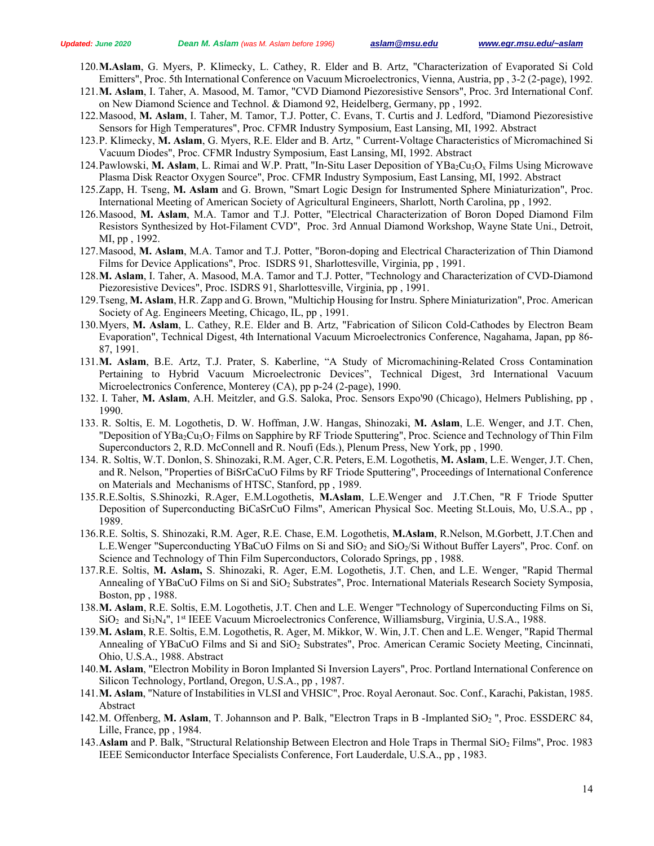- 120.**M.Aslam**, G. Myers, P. Klimecky, L. Cathey, R. Elder and B. Artz, "Characterization of Evaporated Si Cold Emitters", Proc. 5th International Conference on Vacuum Microelectronics, Vienna, Austria, pp , 3-2 (2-page), 1992.
- 121.**M. Aslam**, I. Taher, A. Masood, M. Tamor, "CVD Diamond Piezoresistive Sensors", Proc. 3rd International Conf. on New Diamond Science and Technol. & Diamond 92, Heidelberg, Germany, pp , 1992.
- 122.Masood, **M. Aslam**, I. Taher, M. Tamor, T.J. Potter, C. Evans, T. Curtis and J. Ledford, "Diamond Piezoresistive Sensors for High Temperatures", Proc. CFMR Industry Symposium, East Lansing, MI, 1992. Abstract
- 123.P. Klimecky, **M. Aslam**, G. Myers, R.E. Elder and B. Artz, " Current-Voltage Characteristics of Micromachined Si Vacuum Diodes", Proc. CFMR Industry Symposium, East Lansing, MI, 1992. Abstract
- 124.Pawlowski, M. Aslam, L. Rimai and W.P. Pratt, "In-Situ Laser Deposition of YBa<sub>2</sub>Cu<sub>3</sub>O<sub>x</sub> Films Using Microwave Plasma Disk Reactor Oxygen Source", Proc. CFMR Industry Symposium, East Lansing, MI, 1992. Abstract
- 125.Zapp, H. Tseng, **M. Aslam** and G. Brown, "Smart Logic Design for Instrumented Sphere Miniaturization", Proc. International Meeting of American Society of Agricultural Engineers, Sharlott, North Carolina, pp , 1992.
- 126.Masood, **M. Aslam**, M.A. Tamor and T.J. Potter, "Electrical Characterization of Boron Doped Diamond Film Resistors Synthesized by Hot-Filament CVD", Proc. 3rd Annual Diamond Workshop, Wayne State Uni., Detroit, MI, pp , 1992.
- 127.Masood, **M. Aslam**, M.A. Tamor and T.J. Potter, "Boron-doping and Electrical Characterization of Thin Diamond Films for Device Applications", Proc. ISDRS 91, Sharlottesville, Virginia, pp , 1991.
- 128.**M. Aslam**, I. Taher, A. Masood, M.A. Tamor and T.J. Potter, "Technology and Characterization of CVD-Diamond Piezoresistive Devices", Proc. ISDRS 91, Sharlottesville, Virginia, pp , 1991.
- 129.Tseng, **M. Aslam**, H.R. Zapp and G. Brown, "Multichip Housing for Instru. Sphere Miniaturization", Proc. American Society of Ag. Engineers Meeting, Chicago, IL, pp , 1991.
- 130.Myers, **M. Aslam**, L. Cathey, R.E. Elder and B. Artz, "Fabrication of Silicon Cold-Cathodes by Electron Beam Evaporation", Technical Digest, 4th International Vacuum Microelectronics Conference, Nagahama, Japan, pp 86- 87, 1991.
- 131.**M. Aslam**, B.E. Artz, T.J. Prater, S. Kaberline, "A Study of Micromachining-Related Cross Contamination Pertaining to Hybrid Vacuum Microelectronic Devices", Technical Digest, 3rd International Vacuum Microelectronics Conference, Monterey (CA), pp p-24 (2-page), 1990.
- 132. I. Taher, **M. Aslam**, A.H. Meitzler, and G.S. Saloka, Proc. Sensors Expo'90 (Chicago), Helmers Publishing, pp , 1990.
- 133. R. Soltis, E. M. Logothetis, D. W. Hoffman, J.W. Hangas, Shinozaki, **M. Aslam**, L.E. Wenger, and J.T. Chen, "Deposition of YBa<sub>2</sub>Cu<sub>3</sub>O<sub>7</sub> Films on Sapphire by RF Triode Sputtering", Proc. Science and Technology of Thin Film Superconductors 2, R.D. McConnell and R. Noufi (Eds.), Plenum Press, New York, pp , 1990.
- 134. R. Soltis, W.T. Donlon, S. Shinozaki, R.M. Ager, C.R. Peters, E.M. Logothetis, **M. Aslam**, L.E. Wenger, J.T. Chen, and R. Nelson, "Properties of BiSrCaCuO Films by RF Triode Sputtering", Proceedings of International Conference on Materials and Mechanisms of HTSC, Stanford, pp , 1989.
- 135.R.E.Soltis, S.Shinozki, R.Ager, E.M.Logothetis, **M.Aslam**, L.E.Wenger and J.T.Chen, "R F Triode Sputter Deposition of Superconducting BiCaSrCuO Films", American Physical Soc. Meeting St.Louis, Mo, U.S.A., pp , 1989.
- 136.R.E. Soltis, S. Shinozaki, R.M. Ager, R.E. Chase, E.M. Logothetis, **M.Aslam**, R.Nelson, M.Gorbett, J.T.Chen and L.E.Wenger "Superconducting YBaCuO Films on Si and SiO<sub>2</sub> and SiO<sub>2</sub>/Si Without Buffer Layers", Proc. Conf. on Science and Technology of Thin Film Superconductors, Colorado Springs, pp , 1988.
- 137.R.E. Soltis, **M. Aslam,** S. Shinozaki, R. Ager, E.M. Logothetis, J.T. Chen, and L.E. Wenger, "Rapid Thermal Annealing of YBaCuO Films on Si and SiO2 Substrates", Proc. International Materials Research Society Symposia, Boston, pp , 1988.
- 138.**M. Aslam**, R.E. Soltis, E.M. Logothetis, J.T. Chen and L.E. Wenger "Technology of Superconducting Films on Si, SiO2 and Si3N4", 1st IEEE Vacuum Microelectronics Conference, Williamsburg, Virginia, U.S.A., 1988.
- 139.**M. Aslam**, R.E. Soltis, E.M. Logothetis, R. Ager, M. Mikkor, W. Win, J.T. Chen and L.E. Wenger, "Rapid Thermal Annealing of YBaCuO Films and Si and SiO<sub>2</sub> Substrates", Proc. American Ceramic Society Meeting, Cincinnati, Ohio, U.S.A., 1988. Abstract
- 140.**M. Aslam**, "Electron Mobility in Boron Implanted Si Inversion Layers", Proc. Portland International Conference on Silicon Technology, Portland, Oregon, U.S.A., pp , 1987.
- 141.**M. Aslam**, "Nature of Instabilities in VLSI and VHSIC", Proc. Royal Aeronaut. Soc. Conf., Karachi, Pakistan, 1985. Abstract
- 142.M. Offenberg, **M. Aslam**, T. Johannson and P. Balk, "Electron Traps in B -Implanted SiO2 ", Proc. ESSDERC 84, Lille, France, pp , 1984.
- 143.**Aslam** and P. Balk, "Structural Relationship Between Electron and Hole Traps in Thermal SiO2 Films", Proc. 1983 IEEE Semiconductor Interface Specialists Conference, Fort Lauderdale, U.S.A., pp , 1983.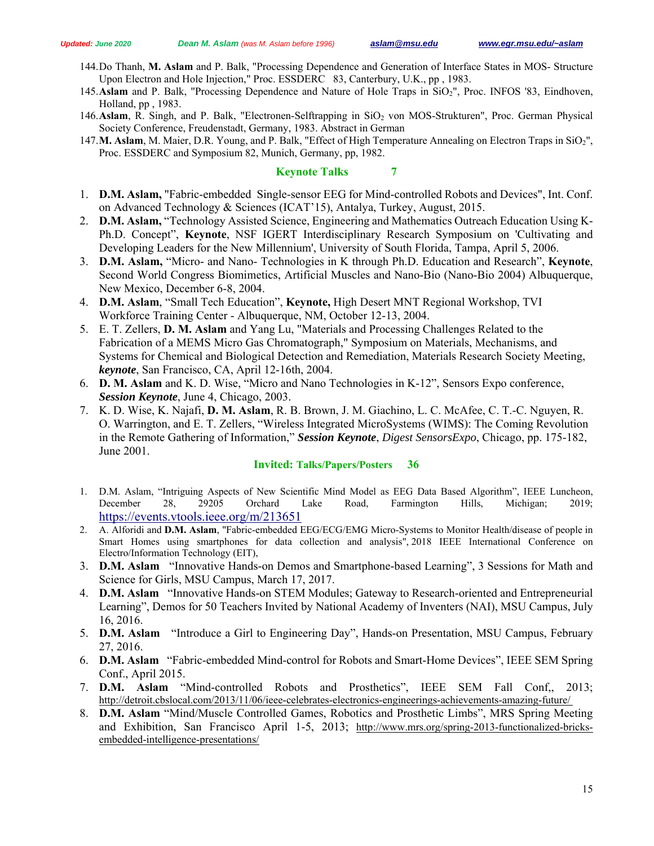- 144.Do Thanh, **M. Aslam** and P. Balk, "Processing Dependence and Generation of Interface States in MOS- Structure Upon Electron and Hole Injection," Proc. ESSDERC 83, Canterbury, U.K., pp , 1983.
- 145.**Aslam** and P. Balk, "Processing Dependence and Nature of Hole Traps in SiO2", Proc. INFOS '83, Eindhoven, Holland, pp , 1983.
- 146. Aslam, R. Singh, and P. Balk, "Electronen-Selftrapping in SiO<sub>2</sub> von MOS-Strukturen", Proc. German Physical Society Conference, Freudenstadt, Germany, 1983. Abstract in German
- 147.**M. Aslam**, M. Maier, D.R. Young, and P. Balk, "Effect of High Temperature Annealing on Electron Traps in SiO2", Proc. ESSDERC and Symposium 82, Munich, Germany, pp, 1982.

#### **Keynote Talks**

- 1. **D.M. Aslam,** "Fabric-embedded Single-sensor EEG for Mind-controlled Robots and Devices", Int. Conf. on Advanced Technology & Sciences (ICAT'15), Antalya, Turkey, August, 2015.
- 2. **D.M. Aslam,** "Technology Assisted Science, Engineering and Mathematics Outreach Education Using K-Ph.D. Concept", **Keynote**, NSF IGERT Interdisciplinary Research Symposium on 'Cultivating and Developing Leaders for the New Millennium', University of South Florida, Tampa, April 5, 2006.
- 3. **D.M. Aslam,** "Micro- and Nano- Technologies in K through Ph.D. Education and Research", **Keynote**, Second World Congress Biomimetics, Artificial Muscles and Nano-Bio (Nano-Bio 2004) Albuquerque, New Mexico, December 6-8, 2004.
- 4. **D.M. Aslam**, "Small Tech Education", **Keynote,** High Desert MNT Regional Workshop, TVI Workforce Training Center - Albuquerque, NM, October 12-13, 2004.
- 5. E. T. Zellers, **D. M. Aslam** and Yang Lu, "Materials and Processing Challenges Related to the Fabrication of a MEMS Micro Gas Chromatograph," Symposium on Materials, Mechanisms, and Systems for Chemical and Biological Detection and Remediation, Materials Research Society Meeting, *keynote*, San Francisco, CA, April 12-16th, 2004.
- 6. **D. M. Aslam** and K. D. Wise, "Micro and Nano Technologies in K-12", Sensors Expo conference, *Session Keynote*, June 4, Chicago, 2003.
- 7. K. D. Wise, K. Najafi, **D. M. Aslam**, R. B. Brown, J. M. Giachino, L. C. McAfee, C. T.-C. Nguyen, R. O. Warrington, and E. T. Zellers, "Wireless Integrated MicroSystems (WIMS): The Coming Revolution in the Remote Gathering of Information," *Session Keynote*, *Digest SensorsExpo*, Chicago, pp. 175-182, June 2001.

#### **Invited: Talks/Papers/Posters 36**

- 1. D.M. Aslam, "Intriguing Aspects of New Scientific Mind Model as EEG Data Based Algorithm", IEEE Luncheon, December 28, 29205 Orchard Lake Road, Farmington Hills, Michigan; 2019; https://events.vtools.ieee.org/m/213651
- 2. A. Alforidi and **D.M. Aslam**, "Fabric-embedded EEG/ECG/EMG Micro-Systems to Monitor Health/disease of people in Smart Homes using smartphones for data collection and analysis", 2018 IEEE International Conference on Electro/Information Technology (EIT),
- 3. **D.M. Aslam** "Innovative Hands-on Demos and Smartphone-based Learning", 3 Sessions for Math and Science for Girls, MSU Campus, March 17, 2017.
- 4. **D.M. Aslam** "Innovative Hands-on STEM Modules; Gateway to Research-oriented and Entrepreneurial Learning", Demos for 50 Teachers Invited by National Academy of Inventers (NAI), MSU Campus, July 16, 2016.
- 5. **D.M. Aslam** "Introduce a Girl to Engineering Day", Hands-on Presentation, MSU Campus, February 27, 2016.
- 6. **D.M. Aslam** "Fabric-embedded Mind-control for Robots and Smart-Home Devices", IEEE SEM Spring Conf., April 2015.
- 7. **D.M. Aslam** "Mind-controlled Robots and Prosthetics", IEEE SEM Fall Conf,, 2013; http://detroit.cbslocal.com/2013/11/06/ieee-celebrates-electronics-engineerings-achievements-amazing-future/
- 8. **D.M. Aslam** "Mind/Muscle Controlled Games, Robotics and Prosthetic Limbs", MRS Spring Meeting and Exhibition, San Francisco April 1-5, 2013; http://www.mrs.org/spring-2013-functionalized-bricksembedded-intelligence-presentations/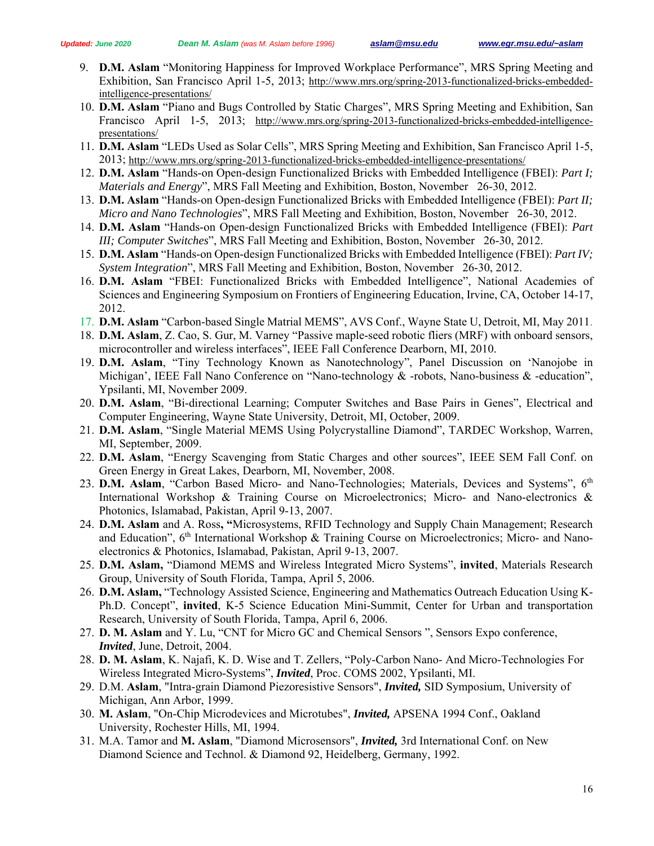- 9. **D.M. Aslam** "Monitoring Happiness for Improved Workplace Performance", MRS Spring Meeting and Exhibition, San Francisco April 1-5, 2013; http://www.mrs.org/spring-2013-functionalized-bricks-embeddedintelligence-presentations/
- 10. **D.M. Aslam** "Piano and Bugs Controlled by Static Charges", MRS Spring Meeting and Exhibition, San Francisco April 1-5, 2013; http://www.mrs.org/spring-2013-functionalized-bricks-embedded-intelligencepresentations/
- 11. **D.M. Aslam** "LEDs Used as Solar Cells", MRS Spring Meeting and Exhibition, San Francisco April 1-5, 2013; http://www.mrs.org/spring-2013-functionalized-bricks-embedded-intelligence-presentations/
- 12. **D.M. Aslam** "Hands-on Open-design Functionalized Bricks with Embedded Intelligence (FBEI): *Part I; Materials and Energy*", MRS Fall Meeting and Exhibition, Boston, November 26-30, 2012.
- 13. **D.M. Aslam** "Hands-on Open-design Functionalized Bricks with Embedded Intelligence (FBEI): *Part II; Micro and Nano Technologies*", MRS Fall Meeting and Exhibition, Boston, November 26-30, 2012.
- 14. **D.M. Aslam** "Hands-on Open-design Functionalized Bricks with Embedded Intelligence (FBEI): *Part III; Computer Switches*", MRS Fall Meeting and Exhibition, Boston, November 26-30, 2012.
- 15. **D.M. Aslam** "Hands-on Open-design Functionalized Bricks with Embedded Intelligence (FBEI): *Part IV; System Integration*", MRS Fall Meeting and Exhibition, Boston, November 26-30, 2012.
- 16. **D.M. Aslam** "FBEI: Functionalized Bricks with Embedded Intelligence", National Academies of Sciences and Engineering Symposium on Frontiers of Engineering Education, Irvine, CA, October 14-17, 2012.
- 17. **D.M. Aslam** "Carbon-based Single Matrial MEMS", AVS Conf., Wayne State U, Detroit, MI, May 2011.
- 18. **D.M. Aslam**, Z. Cao, S. Gur, M. Varney "Passive maple-seed robotic fliers (MRF) with onboard sensors, microcontroller and wireless interfaces", IEEE Fall Conference Dearborn, MI, 2010.
- 19. **D.M. Aslam**, "Tiny Technology Known as Nanotechnology", Panel Discussion on 'Nanojobe in Michigan', IEEE Fall Nano Conference on "Nano-technology & -robots, Nano-business & -education", Ypsilanti, MI, November 2009.
- 20. **D.M. Aslam**, "Bi-directional Learning; Computer Switches and Base Pairs in Genes", Electrical and Computer Engineering, Wayne State University, Detroit, MI, October, 2009.
- 21. **D.M. Aslam**, "Single Material MEMS Using Polycrystalline Diamond", TARDEC Workshop, Warren, MI, September, 2009.
- 22. **D.M. Aslam**, "Energy Scavenging from Static Charges and other sources", IEEE SEM Fall Conf. on Green Energy in Great Lakes, Dearborn, MI, November, 2008.
- 23. D.M. Aslam, "Carbon Based Micro- and Nano-Technologies; Materials, Devices and Systems", 6<sup>th</sup> International Workshop & Training Course on Microelectronics; Micro- and Nano-electronics & Photonics, Islamabad, Pakistan, April 9-13, 2007.
- 24. **D.M. Aslam** and A. Ross**, "**Microsystems, RFID Technology and Supply Chain Management; Research and Education",  $6<sup>th</sup>$  International Workshop & Training Course on Microelectronics; Micro- and Nanoelectronics & Photonics, Islamabad, Pakistan, April 9-13, 2007.
- 25. **D.M. Aslam,** "Diamond MEMS and Wireless Integrated Micro Systems", **invited**, Materials Research Group, University of South Florida, Tampa, April 5, 2006.
- 26. **D.M. Aslam,** "Technology Assisted Science, Engineering and Mathematics Outreach Education Using K-Ph.D. Concept", **invited**, K-5 Science Education Mini-Summit, Center for Urban and transportation Research, University of South Florida, Tampa, April 6, 2006.
- 27. **D. M. Aslam** and Y. Lu, "CNT for Micro GC and Chemical Sensors ", Sensors Expo conference, *Invited*, June, Detroit, 2004.
- 28. **D. M. Aslam**, K. Najafi, K. D. Wise and T. Zellers, "Poly-Carbon Nano- And Micro-Technologies For Wireless Integrated Micro-Systems", *Invited*, Proc. COMS 2002, Ypsilanti, MI.
- 29. D.M. **Aslam**, "Intra-grain Diamond Piezoresistive Sensors", *Invited,* SID Symposium, University of Michigan, Ann Arbor, 1999.
- 30. **M. Aslam**, "On-Chip Microdevices and Microtubes", *Invited,* APSENA 1994 Conf., Oakland University, Rochester Hills, MI, 1994.
- 31. M.A. Tamor and **M. Aslam**, "Diamond Microsensors", *Invited,* 3rd International Conf. on New Diamond Science and Technol. & Diamond 92, Heidelberg, Germany, 1992.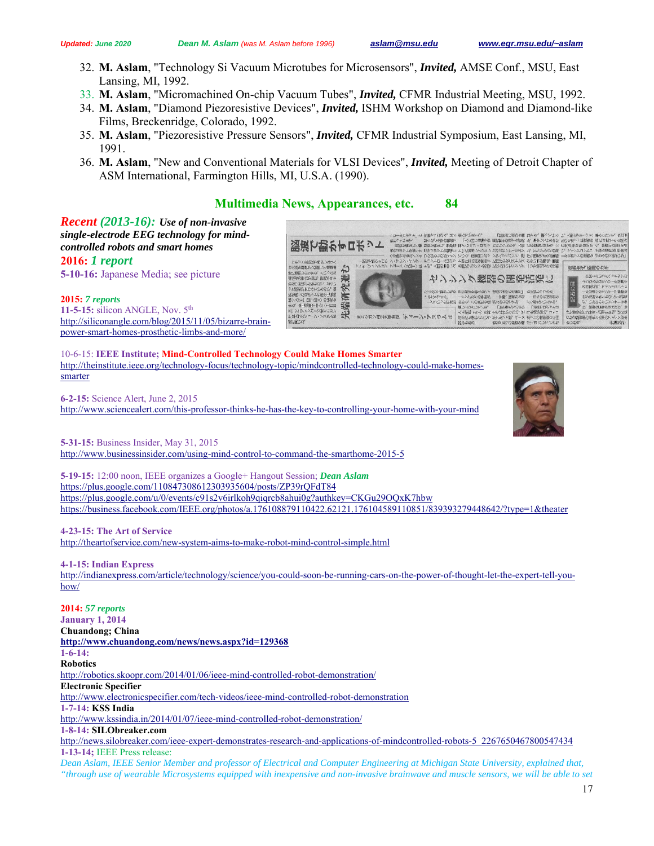- 32. **M. Aslam**, "Technology Si Vacuum Microtubes for Microsensors", *Invited,* AMSE Conf., MSU, East Lansing, MI, 1992.
- 33. **M. Aslam**, "Micromachined On-chip Vacuum Tubes", *Invited,* CFMR Industrial Meeting, MSU, 1992.
- 34. **M. Aslam**, "Diamond Piezoresistive Devices", *Invited,* ISHM Workshop on Diamond and Diamond-like Films, Breckenridge, Colorado, 1992.
- 35. **M. Aslam**, "Piezoresistive Pressure Sensors", *Invited,* CFMR Industrial Symposium, East Lansing, MI, 1991.
- 36. **M. Aslam**, "New and Conventional Materials for VLSI Devices", *Invited,* Meeting of Detroit Chapter of ASM International, Farmington Hills, MI, U.S.A. (1990).

# **Multimedia News, Appearances, etc. 84**



**2015:** *7 reports* **11-5-15:** silicon ANGLE, Nov. 5th http://siliconangle.com/blog/2015/11/05/bizarre-brainpower-smart-homes-prosthetic-limbs-and-more/

*controlled robots and smart homes* 

**2016:** *1 report*

10-6-15: **IEEE Institute; Mind-Controlled Technology Could Make Homes Smarter** http://theinstitute.ieee.org/technology-focus/technology-topic/mindcontrolled-technology-could-make-homessmarter

**6-2-15:** Science Alert, June 2, 2015 http://www.sciencealert.com/this-professor-thinks-he-has-the-key-to-controlling-your-home-with-your-mind

**5-31-15:** Business Insider, May 31, 2015 http://www.businessinsider.com/using-mind-control-to-command-the-smarthome-2015-5

**5-19-15:** 12:00 noon, IEEE organizes a Google+ Hangout Session; *Dean Aslam* https://plus.google.com/110847308612303935604/posts/ZP39rQFdT84 https://plus.google.com/u/0/events/c91s2v6irlkoh9qiqrcb8ahui0g?authkey=CKGu29OQxK7hbw https://business.facebook.com/IEEE.org/photos/a.176108879110422.62121.176104589110851/839393279448642/?type=1&theater

**4-23-15: The Art of Service**  http://theartofservice.com/new-system-aims-to-make-robot-mind-control-simple.html

**4-1-15: Indian Express** 

http://indianexpress.com/article/technology/science/you-could-soon-be-running-cars-on-the-power-of-thought-let-the-expert-tell-youhow/

**2014:** *57 reports* **January 1, 2014 Chuandong; China http://www.chuandong.com/news/news.aspx?id=129368 1-6-14: Robotics**  http://robotics.skoopr.com/2014/01/06/ieee-mind-controlled-robot-demonstration/ **Electronic Specifier**  http://www.electronicspecifier.com/tech-videos/ieee-mind-controlled-robot-demonstration **1-7-14: KSS India** http://www.kssindia.in/2014/01/07/ieee-mind-controlled-robot-demonstration/ **1-8-14: SILObreaker.com** http://news.silobreaker.com/ieee-expert-demonstrates-research-and-applications-of-mindcontrolled-robots-5\_2267650467800547434 **1-13-14;** IEEE Press release:

*Dean Aslam, IEEE Senior Member and professor of Electrical and Computer Engineering at Michigan State University, explained that, "through use of wearable Microsystems equipped with inexpensive and non-invasive brainwave and muscle sensors, we will be able to set* 

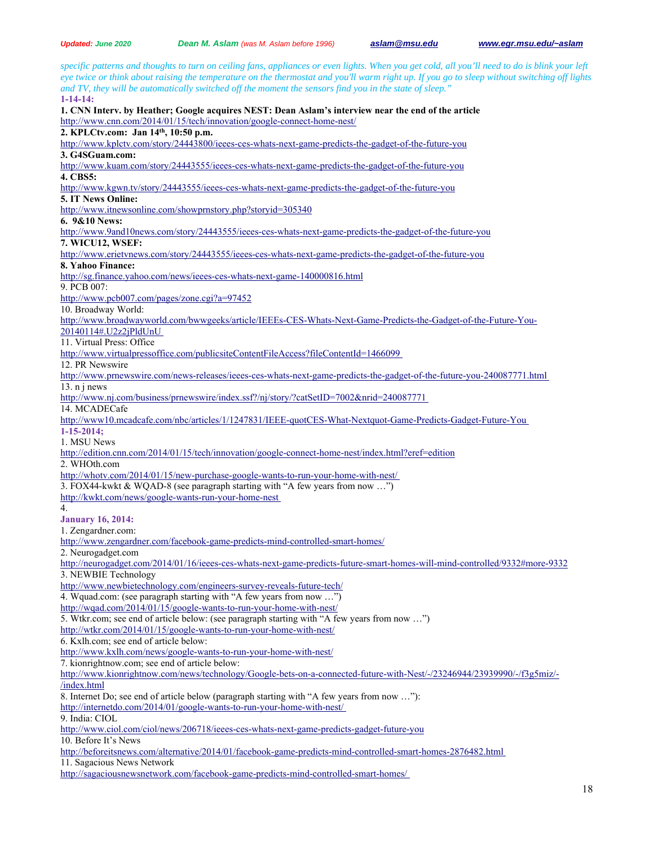*specific patterns and thoughts to turn on ceiling fans, appliances or even lights. When you get cold, all you'll need to do is blink your left eye twice or think about raising the temperature on the thermostat and you'll warm right up. If you go to sleep without switching off lights and TV, they will be automatically switched off the moment the sensors find you in the state of sleep."* **1-14-14: 1. CNN Interv. by Heather; Google acquires NEST: Dean Aslam's interview near the end of the article**  http://www.cnn.com/2014/01/15/tech/innovation/google-connect-home-nest/ **2. KPLCtv.com: Jan 14th, 10:50 p.m.**  http://www.kplctv.com/story/24443800/ieees-ces-whats-next-game-predicts-the-gadget-of-the-future-you **3. G4SGuam.com:**  http://www.kuam.com/story/24443555/ieees-ces-whats-next-game-predicts-the-gadget-of-the-future-you **4. CBS5:**  http://www.kgwn.tv/story/24443555/ieees-ces-whats-next-game-predicts-the-gadget-of-the-future-you **5. IT News Online:**  http://www.itnewsonline.com/showprnstory.php?storyid=305340 **6. 9&10 News:**  http://www.9and10news.com/story/24443555/ieees-ces-whats-next-game-predicts-the-gadget-of-the-future-you **7. WICU12, WSEF:**  http://www.erietvnews.com/story/24443555/ieees-ces-whats-next-game-predicts-the-gadget-of-the-future-you **8. Yahoo Finance:**  http://sg.finance.yahoo.com/news/ieees-ces-whats-next-game-140000816.html 9. PCB 007: http://www.pcb007.com/pages/zone.cgi?a=97452 10. Broadway World: http://www.broadwayworld.com/bwwgeeks/article/IEEEs-CES-Whats-Next-Game-Predicts-the-Gadget-of-the-Future-You-20140114#.U2z2jPldUnU 11. Virtual Press: Office http://www.virtualpressoffice.com/publicsiteContentFileAccess?fileContentId=1466099 12. PR Newswire http://www.prnewswire.com/news-releases/ieees-ces-whats-next-game-predicts-the-gadget-of-the-future-you-240087771.html 13. n j news http://www.nj.com/business/prnewswire/index.ssf?/nj/story/?catSetID=7002&nrid=240087771 14. MCADECafe http://www10.mcadcafe.com/nbc/articles/1/1247831/IEEE-quotCES-What-Nextquot-Game-Predicts-Gadget-Future-You **1-15-2014;**  1. MSU News http://edition.cnn.com/2014/01/15/tech/innovation/google-connect-home-nest/index.html?eref=edition 2. WHOth.com http://whotv.com/2014/01/15/new-purchase-google-wants-to-run-your-home-with-nest/ 3. FOX44-kwkt & WQAD-8 (see paragraph starting with "A few years from now …") http://kwkt.com/news/google-wants-run-your-home-nest 4. **January 16, 2014:**  1. Zengardner.com: http://www.zengardner.com/facebook-game-predicts-mind-controlled-smart-homes/ 2. Neurogadget.com http://neurogadget.com/2014/01/16/ieees-ces-whats-next-game-predicts-future-smart-homes-will-mind-controlled/9332#more-9332 3. NEWBIE Technology http://www.newbietechnology.com/engineers-survey-reveals-future-tech/ 4. Wquad.com: (see paragraph starting with "A few years from now …") http://wqad.com/2014/01/15/google-wants-to-run-your-home-with-nest/ 5. Wtkr.com; see end of article below: (see paragraph starting with "A few years from now …") http://wtkr.com/2014/01/15/google-wants-to-run-your-home-with-nest/ 6. Kxlh.com; see end of article below: http://www.kxlh.com/news/google-wants-to-run-your-home-with-nest/ 7. kionrightnow.com; see end of article below: http://www.kionrightnow.com/news/technology/Google-bets-on-a-connected-future-with-Nest/-/23246944/23939990/-/f3g5miz/- /index.html 8. Internet Do; see end of article below (paragraph starting with "A few years from now …"): http://internetdo.com/2014/01/google-wants-to-run-your-home-with-nest/ 9. India: CIOL http://www.ciol.com/ciol/news/206718/ieees-ces-whats-next-game-predicts-gadget-future-you 10. Before It's News http://beforeitsnews.com/alternative/2014/01/facebook-game-predicts-mind-controlled-smart-homes-2876482.html 11. Sagacious News Network http://sagaciousnewsnetwork.com/facebook-game-predicts-mind-controlled-smart-homes/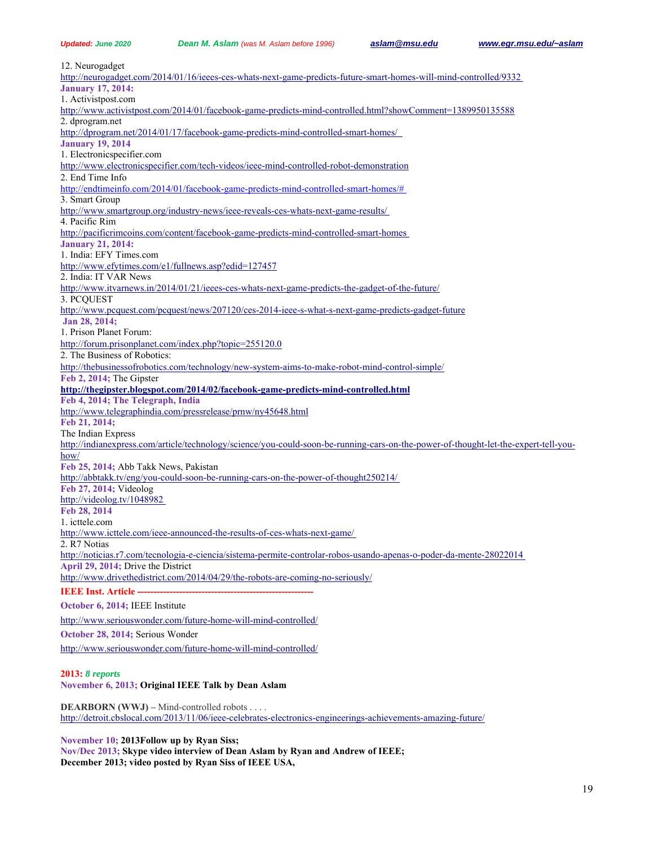|  | <b>Updated: June 2020</b> |  |
|--|---------------------------|--|
|  |                           |  |

*Updated: June 2020 Dean M. Aslam (was M. Aslam before 1996) aslam@msu.edu www.egr.msu.edu/~aslam*

12. Neurogadget http://neurogadget.com/2014/01/16/ieees-ces-whats-next-game-predicts-future-smart-homes-will-mind-controlled/9332 **January 17, 2014:**  1. Activistpost.com http://www.activistpost.com/2014/01/facebook-game-predicts-mind-controlled.html?showComment=1389950135588 2. dprogram.net http://dprogram.net/2014/01/17/facebook-game-predicts-mind-controlled-smart-homes/ **January 19, 2014**  1. Electronicspecifier.com http://www.electronicspecifier.com/tech-videos/ieee-mind-controlled-robot-demonstration 2. End Time Info http://endtimeinfo.com/2014/01/facebook-game-predicts-mind-controlled-smart-homes/# 3. Smart Group http://www.smartgroup.org/industry-news/ieee-reveals-ces-whats-next-game-results/ 4. Pacific Rim http://pacificrimcoins.com/content/facebook-game-predicts-mind-controlled-smart-homes **January 21, 2014:**  1. India: EFY Times.com http://www.efytimes.com/e1/fullnews.asp?edid=127457 2. India: IT VAR News http://www.itvarnews.in/2014/01/21/ieees-ces-whats-next-game-predicts-the-gadget-of-the-future/ 3. PCQUEST http://www.pcquest.com/pcquest/news/207120/ces-2014-ieee-s-what-s-next-game-predicts-gadget-future **Jan 28, 2014;**  1. Prison Planet Forum: http://forum.prisonplanet.com/index.php?topic=255120.0 2. The Business of Robotics: http://thebusinessofrobotics.com/technology/new-system-aims-to-make-robot-mind-control-simple/ **Feb 2, 2014;** The Gipster **http://thegipster.blogspot.com/2014/02/facebook-game-predicts-mind-controlled.html Feb 4, 2014; The Telegraph, India**  http://www.telegraphindia.com/pressrelease/prnw/ny45648.html **Feb 21, 2014;**  The Indian Express http://indianexpress.com/article/technology/science/you-could-soon-be-running-cars-on-the-power-of-thought-let-the-expert-tell-youhow/ **Feb 25, 2014;** Abb Takk News, Pakistan http://abbtakk.tv/eng/you-could-soon-be-running-cars-on-the-power-of-thought250214/ **Feb 27, 2014;** Videolog http://videolog.tv/1048982 **Feb 28, 2014**  1. icttele.com http://www.icttele.com/ieee-announced-the-results-of-ces-whats-next-game/ 2. R7 Notias http://noticias.r7.com/tecnologia-e-ciencia/sistema-permite-controlar-robos-usando-apenas-o-poder-da-mente-28022014 **April 29, 2014;** Drive the District http://www.drivethedistrict.com/2014/04/29/the-robots-are-coming-no-seriously/ **IEEE Inst. Article -October 6, 2014;** IEEE Institute http://www.seriouswonder.com/future-home-will-mind-controlled/ **October 28, 2014;** Serious Wonder http://www.seriouswonder.com/future-home-will-mind-controlled/

#### **2013:** *8 reports*

**November 6, 2013; Original IEEE Talk by Dean Aslam**

**DEARBORN (WWJ) –** Mind-controlled robots . . . . http://detroit.cbslocal.com/2013/11/06/ieee-celebrates-electronics-engineerings-achievements-amazing-future/

**November 10; 2013Follow up by Ryan Siss;** 

**Nov/Dec 2013; Skype video interview of Dean Aslam by Ryan and Andrew of IEEE; December 2013; video posted by Ryan Siss of IEEE USA,**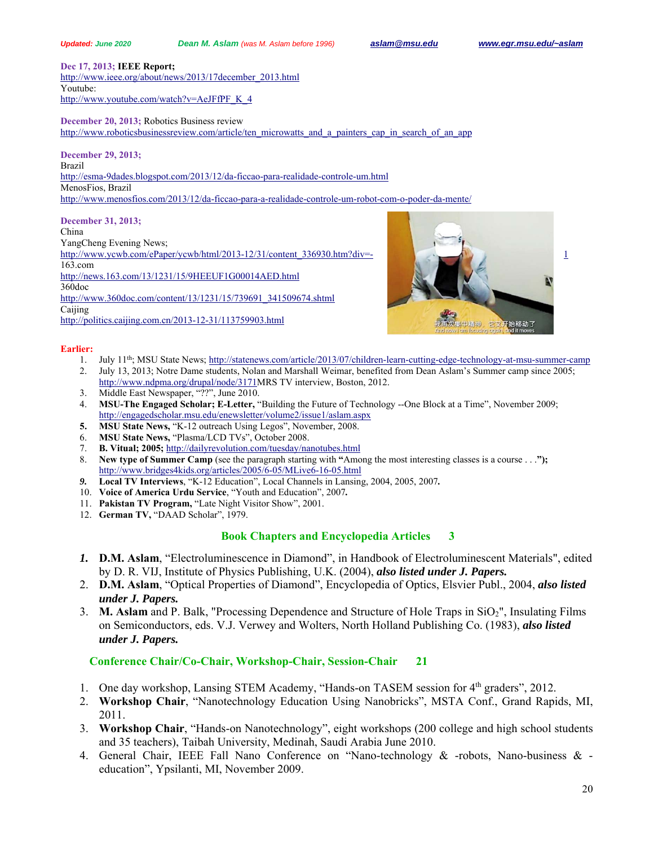**Dec 17, 2013; IEEE Report;** 

http://www.ieee.org/about/news/2013/17december\_2013.html Youtube: http://www.youtube.com/watch?v=AeJFfPF\_K\_4

**December 20, 2013;** Robotics Business review

http://www.roboticsbusinessreview.com/article/ten\_microwatts\_and\_a\_painters\_cap\_in\_search\_of\_an\_app

**December 29, 2013;**  Brazil http://esma-9dades.blogspot.com/2013/12/da-ficcao-para-realidade-controle-um.html MenosFios, Brazil http://www.menosfios.com/2013/12/da-ficcao-para-a-realidade-controle-um-robot-com-o-poder-da-mente/

#### **December 31, 2013;**

China

YangCheng Evening News;

http://www.ycwb.com/ePaper/ycwb/html/2013-12/31/content\_336930.htm?div=- 1 163.com http://news.163.com/13/1231/15/9HEEUF1G00014AED.html 360doc

http://www.360doc.com/content/13/1231/15/739691\_341509674.shtml Caijing http://politics.caijing.com.cn/2013-12-31/113759903.html



#### **Earlier:**

- 1. July 11<sup>th</sup>; MSU State News; http://statenews.com/article/2013/07/children-learn-cutting-edge-technology-at-msu-summer-camp
- 2. July 13, 2013; Notre Dame students, Nolan and Marshall Weimar, benefited from Dean Aslam's Summer camp since 2005; http://www.ndpma.org/drupal/node/3171MRS TV interview, Boston, 2012.
- 3. Middle East Newspaper, "??", June 2010.
- 4. **MSU-The Engaged Scholar; E-Letter,** "Building the Future of Technology --One Block at a Time", November 2009; http://engagedscholar.msu.edu/enewsletter/volume2/issue1/aslam.aspx
- **5. MSU State News,** "K-12 outreach Using Legos", November, 2008.
- 6. **MSU State News,** "Plasma/LCD TVs", October 2008.
- 7. **B. Vitual; 2005;** http://dailyrevolution.com/tuesday/nanotubes.html
- 8. **New type of Summer Camp** (see the paragraph starting with **"**Among the most interesting classes is a course . . .**");** http://www.bridges4kids.org/articles/2005/6-05/MLive6-16-05.html
- *9.* **Local TV Interviews**, "K-12 Education", Local Channels in Lansing, 2004, 2005, 2007*.*
- 10. **Voice of America Urdu Service**, "Youth and Education", 2007*.*
- 11. **Pakistan TV Program,** "Late Night Visitor Show", 2001.
- 12. **German TV,** "DAAD Scholar", 1979.

# **Book Chapters and Encyclopedia Articles 3**

- *1.* **D.M. Aslam**, "Electroluminescence in Diamond", in Handbook of Electroluminescent Materials", edited by D. R. VIJ, Institute of Physics Publishing, U.K. (2004), *also listed under J. Papers.*
- 2. **D.M. Aslam**, "Optical Properties of Diamond", Encyclopedia of Optics, Elsvier Publ., 2004, *also listed under J. Papers.*
- 3. **M. Aslam** and P. Balk, "Processing Dependence and Structure of Hole Traps in SiO2", Insulating Films on Semiconductors, eds. V.J. Verwey and Wolters, North Holland Publishing Co. (1983), *also listed under J. Papers.*

# **Conference Chair/Co-Chair, Workshop-Chair, Session-Chair 21**

- 1. One day workshop, Lansing STEM Academy, "Hands-on TASEM session for 4<sup>th</sup> graders", 2012.
- 2. **Workshop Chair**, "Nanotechnology Education Using Nanobricks", MSTA Conf., Grand Rapids, MI, 2011.
- 3. **Workshop Chair**, "Hands-on Nanotechnology", eight workshops (200 college and high school students and 35 teachers), Taibah University, Medinah, Saudi Arabia June 2010.
- 4. General Chair, IEEE Fall Nano Conference on "Nano-technology & -robots, Nano-business & education", Ypsilanti, MI, November 2009.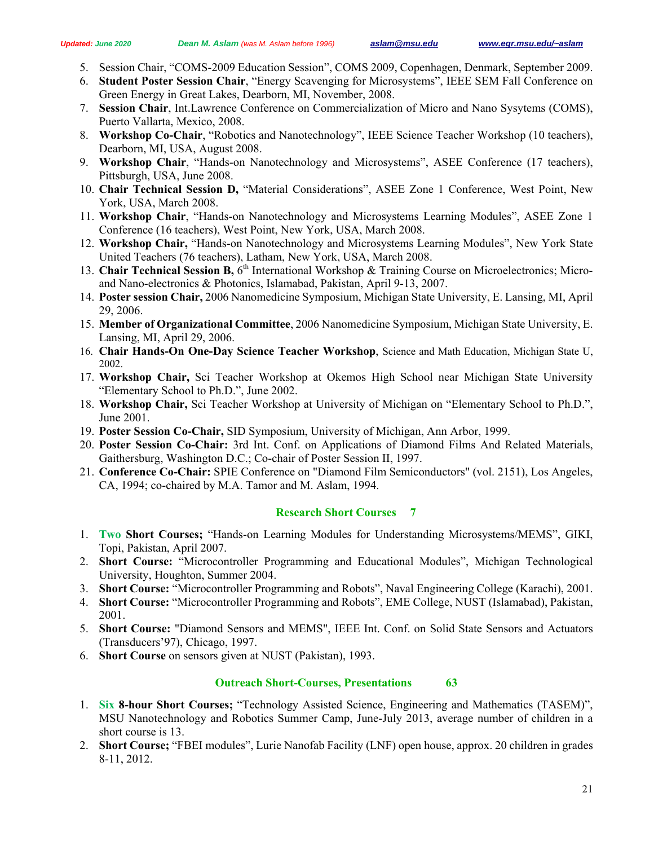- 5. Session Chair, "COMS-2009 Education Session", COMS 2009, Copenhagen, Denmark, September 2009.
- 6. **Student Poster Session Chair**, "Energy Scavenging for Microsystems", IEEE SEM Fall Conference on Green Energy in Great Lakes, Dearborn, MI, November, 2008.
- 7. **Session Chair**, Int.Lawrence Conference on Commercialization of Micro and Nano Sysytems (COMS), Puerto Vallarta, Mexico, 2008.
- 8. **Workshop Co-Chair**, "Robotics and Nanotechnology", IEEE Science Teacher Workshop (10 teachers), Dearborn, MI, USA, August 2008.
- 9. **Workshop Chair**, "Hands-on Nanotechnology and Microsystems", ASEE Conference (17 teachers), Pittsburgh, USA, June 2008.
- 10. **Chair Technical Session D,** "Material Considerations", ASEE Zone 1 Conference, West Point, New York, USA, March 2008.
- 11. **Workshop Chair**, "Hands-on Nanotechnology and Microsystems Learning Modules", ASEE Zone 1 Conference (16 teachers), West Point, New York, USA, March 2008.
- 12. **Workshop Chair,** "Hands-on Nanotechnology and Microsystems Learning Modules", New York State United Teachers (76 teachers), Latham, New York, USA, March 2008.
- 13. **Chair Technical Session B,** 6th International Workshop & Training Course on Microelectronics; Microand Nano-electronics & Photonics, Islamabad, Pakistan, April 9-13, 2007.
- 14. **Poster session Chair,** 2006 Nanomedicine Symposium, Michigan State University, E. Lansing, MI, April 29, 2006.
- 15. **Member of Organizational Committee**, 2006 Nanomedicine Symposium, Michigan State University, E. Lansing, MI, April 29, 2006.
- 16. **Chair Hands-On One-Day Science Teacher Workshop**, Science and Math Education, Michigan State U, 2002.
- 17. **Workshop Chair,** Sci Teacher Workshop at Okemos High School near Michigan State University "Elementary School to Ph.D.", June 2002.
- 18. **Workshop Chair,** Sci Teacher Workshop at University of Michigan on "Elementary School to Ph.D.", June 2001.
- 19. **Poster Session Co-Chair,** SID Symposium, University of Michigan, Ann Arbor, 1999.
- 20. **Poster Session Co-Chair:** 3rd Int. Conf. on Applications of Diamond Films And Related Materials, Gaithersburg, Washington D.C.; Co-chair of Poster Session II, 1997.
- 21. **Conference Co-Chair:** SPIE Conference on "Diamond Film Semiconductors" (vol. 2151), Los Angeles, CA, 1994; co-chaired by M.A. Tamor and M. Aslam, 1994.

# **Research Short Courses 7**

- 1. **Two Short Courses;** "Hands-on Learning Modules for Understanding Microsystems/MEMS", GIKI, Topi, Pakistan, April 2007.
- 2. **Short Course:** "Microcontroller Programming and Educational Modules", Michigan Technological University, Houghton, Summer 2004.
- 3. **Short Course:** "Microcontroller Programming and Robots", Naval Engineering College (Karachi), 2001.
- 4. **Short Course:** "Microcontroller Programming and Robots", EME College, NUST (Islamabad), Pakistan, 2001.
- 5. **Short Course:** "Diamond Sensors and MEMS", IEEE Int. Conf. on Solid State Sensors and Actuators (Transducers'97), Chicago, 1997.
- 6. **Short Course** on sensors given at NUST (Pakistan), 1993.

# **Outreach Short-Courses, Presentations 63**

- 1. **Six 8-hour Short Courses;** "Technology Assisted Science, Engineering and Mathematics (TASEM)", MSU Nanotechnology and Robotics Summer Camp, June-July 2013, average number of children in a short course is 13.
- 2. **Short Course;** "FBEI modules", Lurie Nanofab Facility (LNF) open house, approx. 20 children in grades 8-11, 2012.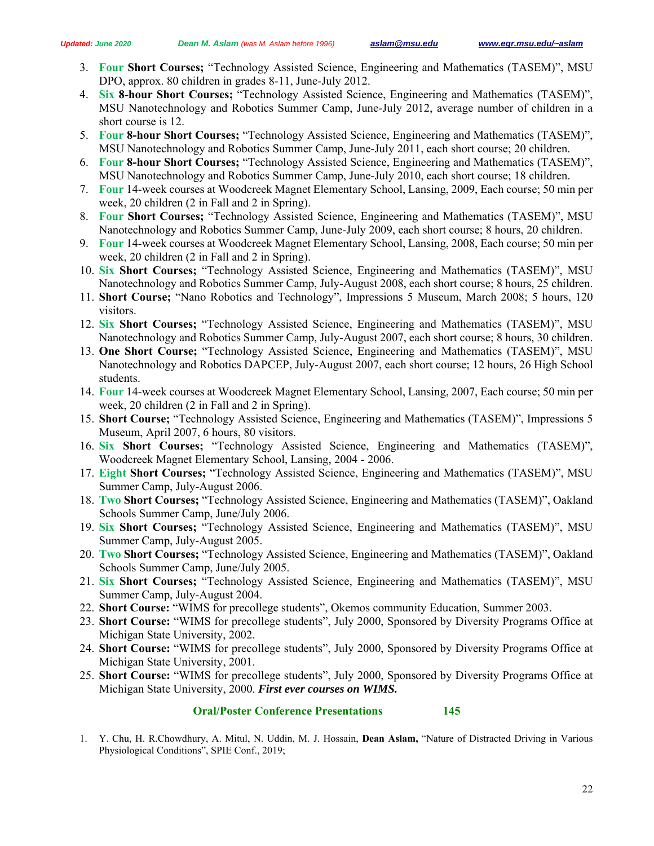- 3. **Four Short Courses;** "Technology Assisted Science, Engineering and Mathematics (TASEM)", MSU DPO, approx. 80 children in grades 8-11, June-July 2012.
- 4. **Six 8-hour Short Courses;** "Technology Assisted Science, Engineering and Mathematics (TASEM)", MSU Nanotechnology and Robotics Summer Camp, June-July 2012, average number of children in a short course is 12.
- 5. **Four 8-hour Short Courses;** "Technology Assisted Science, Engineering and Mathematics (TASEM)", MSU Nanotechnology and Robotics Summer Camp, June-July 2011, each short course; 20 children.
- 6. **Four 8-hour Short Courses;** "Technology Assisted Science, Engineering and Mathematics (TASEM)", MSU Nanotechnology and Robotics Summer Camp, June-July 2010, each short course; 18 children.
- 7. **Four** 14-week courses at Woodcreek Magnet Elementary School, Lansing, 2009, Each course; 50 min per week, 20 children (2 in Fall and 2 in Spring).
- 8. **Four Short Courses;** "Technology Assisted Science, Engineering and Mathematics (TASEM)", MSU Nanotechnology and Robotics Summer Camp, June-July 2009, each short course; 8 hours, 20 children.
- 9. **Four** 14-week courses at Woodcreek Magnet Elementary School, Lansing, 2008, Each course; 50 min per week, 20 children (2 in Fall and 2 in Spring).
- 10. **Six Short Courses;** "Technology Assisted Science, Engineering and Mathematics (TASEM)", MSU Nanotechnology and Robotics Summer Camp, July-August 2008, each short course; 8 hours, 25 children.
- 11. **Short Course;** "Nano Robotics and Technology", Impressions 5 Museum, March 2008; 5 hours, 120 visitors.
- 12. **Six Short Courses;** "Technology Assisted Science, Engineering and Mathematics (TASEM)", MSU Nanotechnology and Robotics Summer Camp, July-August 2007, each short course; 8 hours, 30 children.
- 13. **One Short Course;** "Technology Assisted Science, Engineering and Mathematics (TASEM)", MSU Nanotechnology and Robotics DAPCEP, July-August 2007, each short course; 12 hours, 26 High School students.
- 14. **Four** 14-week courses at Woodcreek Magnet Elementary School, Lansing, 2007, Each course; 50 min per week, 20 children (2 in Fall and 2 in Spring).
- 15. **Short Course;** "Technology Assisted Science, Engineering and Mathematics (TASEM)", Impressions 5 Museum, April 2007, 6 hours, 80 visitors.
- 16. **Six Short Courses;** "Technology Assisted Science, Engineering and Mathematics (TASEM)", Woodcreek Magnet Elementary School, Lansing, 2004 - 2006.
- 17. **Eight Short Courses;** "Technology Assisted Science, Engineering and Mathematics (TASEM)", MSU Summer Camp, July-August 2006.
- 18. **Two Short Courses;** "Technology Assisted Science, Engineering and Mathematics (TASEM)", Oakland Schools Summer Camp, June/July 2006.
- 19. **Six Short Courses;** "Technology Assisted Science, Engineering and Mathematics (TASEM)", MSU Summer Camp, July-August 2005.
- 20. **Two Short Courses;** "Technology Assisted Science, Engineering and Mathematics (TASEM)", Oakland Schools Summer Camp, June/July 2005.
- 21. **Six Short Courses;** "Technology Assisted Science, Engineering and Mathematics (TASEM)", MSU Summer Camp, July-August 2004.
- 22. **Short Course:** "WIMS for precollege students", Okemos community Education, Summer 2003.
- 23. **Short Course:** "WIMS for precollege students", July 2000, Sponsored by Diversity Programs Office at Michigan State University, 2002.
- 24. **Short Course:** "WIMS for precollege students", July 2000, Sponsored by Diversity Programs Office at Michigan State University, 2001.
- 25. **Short Course:** "WIMS for precollege students", July 2000, Sponsored by Diversity Programs Office at Michigan State University, 2000. *First ever courses on WIMS.*

# **Oral/Poster Conference Presentations 145**

1. Y. Chu, H. R.Chowdhury, A. Mitul, N. Uddin, M. J. Hossain, **Dean Aslam,** "Nature of Distracted Driving in Various Physiological Conditions", SPIE Conf., 2019;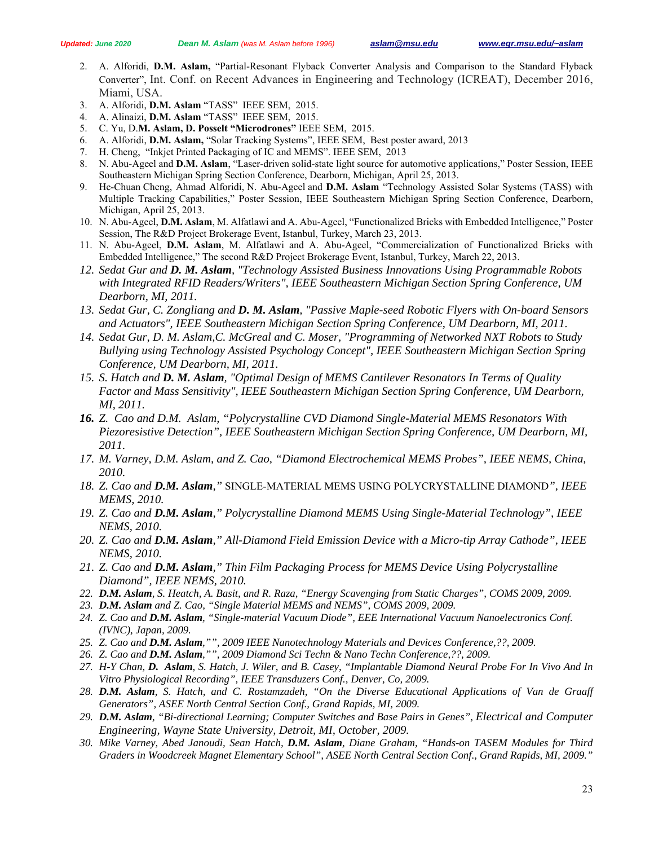- 2. A. Alforidi, **D.M. Aslam,** "Partial-Resonant Flyback Converter Analysis and Comparison to the Standard Flyback Converter", Int. Conf. on Recent Advances in Engineering and Technology (ICREAT), December 2016, Miami, USA.
- 3. A. Alforidi, **D.M. Aslam** "TASS" IEEE SEM, 2015.
- 4. A. Alinaizi, **D.M. Aslam** "TASS" IEEE SEM, 2015.
- 5. C. Yu, D.**M. Aslam, D. Posselt "Microdrones"** IEEE SEM, 2015.
- 6. A. Alforidi, **D.M. Aslam,** "Solar Tracking Systems", IEEE SEM, Best poster award, 2013
- 7. H. Cheng, "Inkjet Printed Packaging of IC and MEMS". IEEE SEM, 2013
- 8. N. Abu-Ageel and **D.M. Aslam**, "Laser-driven solid-state light source for automotive applications," Poster Session, IEEE Southeastern Michigan Spring Section Conference, Dearborn, Michigan, April 25, 2013.
- 9. He-Chuan Cheng, Ahmad Alforidi, N. Abu-Ageel and **D.M. Aslam** "Technology Assisted Solar Systems (TASS) with Multiple Tracking Capabilities," Poster Session, IEEE Southeastern Michigan Spring Section Conference, Dearborn, Michigan, April 25, 2013.
- 10. N. Abu-Ageel, **D.M. Aslam**, M. Alfatlawi and A. Abu-Ageel, "Functionalized Bricks with Embedded Intelligence," Poster Session, The R&D Project Brokerage Event, Istanbul, Turkey, March 23, 2013.
- 11. N. Abu-Ageel, **D.M. Aslam**, M. Alfatlawi and A. Abu-Ageel, "Commercialization of Functionalized Bricks with Embedded Intelligence," The second R&D Project Brokerage Event, Istanbul, Turkey, March 22, 2013.
- *12. Sedat Gur and D. M. Aslam, "Technology Assisted Business Innovations Using Programmable Robots with Integrated RFID Readers/Writers", IEEE Southeastern Michigan Section Spring Conference, UM Dearborn, MI, 2011.*
- *13. Sedat Gur, C. Zongliang and D. M. Aslam, "Passive Maple-seed Robotic Flyers with On-board Sensors and Actuators", IEEE Southeastern Michigan Section Spring Conference, UM Dearborn, MI, 2011.*
- *14. Sedat Gur, D. M. Aslam,C. McGreal and C. Moser, "Programming of Networked NXT Robots to Study Bullying using Technology Assisted Psychology Concept", IEEE Southeastern Michigan Section Spring Conference, UM Dearborn, MI, 2011.*
- *15. S. Hatch and D. M. Aslam, "Optimal Design of MEMS Cantilever Resonators In Terms of Quality Factor and Mass Sensitivity", IEEE Southeastern Michigan Section Spring Conference, UM Dearborn, MI, 2011.*
- *16. Z. Cao and D.M. Aslam, "Polycrystalline CVD Diamond Single-Material MEMS Resonators With Piezoresistive Detection", IEEE Southeastern Michigan Section Spring Conference, UM Dearborn, MI, 2011.*
- *17. M. Varney, D.M. Aslam, and Z. Cao, "Diamond Electrochemical MEMS Probes", IEEE NEMS, China, 2010.*
- *18. Z. Cao and D.M. Aslam,"* SINGLE-MATERIAL MEMS USING POLYCRYSTALLINE DIAMOND*", IEEE MEMS, 2010.*
- *19. Z. Cao and D.M. Aslam," Polycrystalline Diamond MEMS Using Single-Material Technology", IEEE NEMS, 2010.*
- *20. Z. Cao and D.M. Aslam," All-Diamond Field Emission Device with a Micro-tip Array Cathode", IEEE NEMS, 2010.*
- *21. Z. Cao and D.M. Aslam," Thin Film Packaging Process for MEMS Device Using Polycrystalline Diamond", IEEE NEMS, 2010.*
- *22. D.M. Aslam, S. Heatch, A. Basit, and R. Raza, "Energy Scavenging from Static Charges", COMS 2009, 2009.*
- *23. D.M. Aslam and Z. Cao, "Single Material MEMS and NEMS", COMS 2009, 2009.*
- *24. Z. Cao and D.M. Aslam, "Single-material Vacuum Diode", EEE International Vacuum Nanoelectronics Conf. (IVNC), Japan, 2009.*
- *25. Z. Cao and D.M. Aslam,"", 2009 IEEE Nanotechnology Materials and Devices Conference,??, 2009.*
- *26. Z. Cao and D.M. Aslam,"", 2009 Diamond Sci Techn & Nano Techn Conference,??, 2009.*
- *27. H-Y Chan, D. Aslam, S. Hatch, J. Wiler, and B. Casey, "Implantable Diamond Neural Probe For In Vivo And In Vitro Physiological Recording", IEEE Transduzers Conf., Denver, Co, 2009.*
- *28. D.M. Aslam, S. Hatch, and C. Rostamzadeh, "On the Diverse Educational Applications of Van de Graaff Generators", ASEE North Central Section Conf., Grand Rapids, MI, 2009.*
- *29. D.M. Aslam, "Bi-directional Learning; Computer Switches and Base Pairs in Genes", Electrical and Computer Engineering, Wayne State University, Detroit, MI, October, 2009.*
- *30. Mike Varney, Abed Janoudi, Sean Hatch, D.M. Aslam, Diane Graham, "Hands-on TASEM Modules for Third Graders in Woodcreek Magnet Elementary School", ASEE North Central Section Conf., Grand Rapids, MI, 2009."*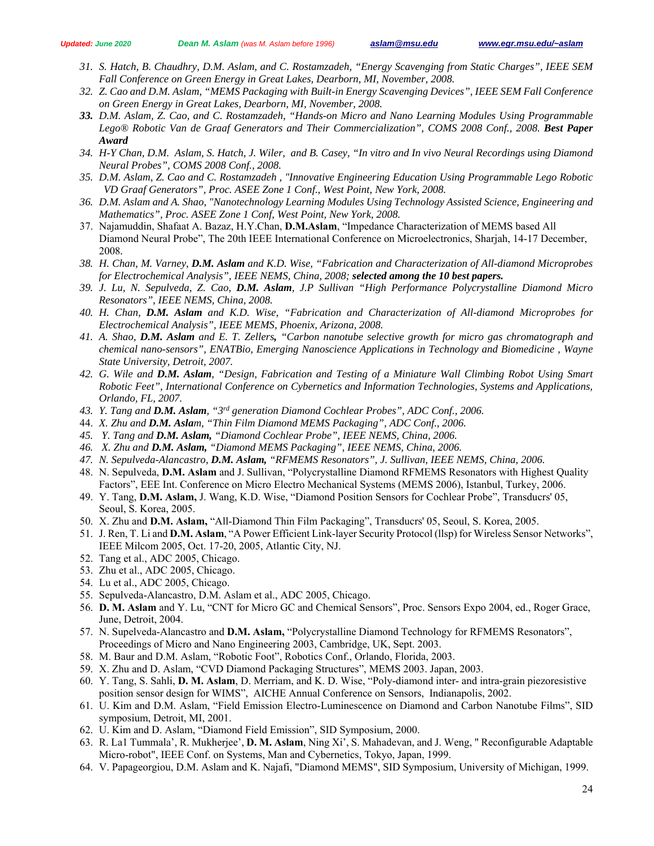- *31. S. Hatch, B. Chaudhry, D.M. Aslam, and C. Rostamzadeh, "Energy Scavenging from Static Charges", IEEE SEM Fall Conference on Green Energy in Great Lakes, Dearborn, MI, November, 2008.*
- *32. Z. Cao and D.M. Aslam, "MEMS Packaging with Built-in Energy Scavenging Devices", IEEE SEM Fall Conference on Green Energy in Great Lakes, Dearborn, MI, November, 2008.*
- *33. D.M. Aslam, Z. Cao, and C. Rostamzadeh, "Hands-on Micro and Nano Learning Modules Using Programmable*  Lego® Robotic Van de Graaf Generators and Their Commercialization", COMS 2008 Conf., 2008. Best Paper *Award*
- *34. H-Y Chan, D.M. Aslam, S. Hatch, J. Wiler, and B. Casey, "In vitro and In vivo Neural Recordings using Diamond Neural Probes", COMS 2008 Conf., 2008.*
- *35. D.M. Aslam, Z. Cao and C. Rostamzadeh , "Innovative Engineering Education Using Programmable Lego Robotic VD Graaf Generators", Proc. ASEE Zone 1 Conf., West Point, New York, 2008.*
- *36. D.M. Aslam and A. Shao, "Nanotechnology Learning Modules Using Technology Assisted Science, Engineering and Mathematics", Proc. ASEE Zone 1 Conf, West Point, New York, 2008.*
- 37. Najamuddin, Shafaat A. Bazaz, H.Y.Chan, **D.M.Aslam**, "Impedance Characterization of MEMS based All Diamond Neural Probe", The 20th IEEE International Conference on Microelectronics, Sharjah, 14-17 December, 2008*.*
- *38. H. Chan, M. Varney, D.M. Aslam and K.D. Wise, "Fabrication and Characterization of All-diamond Microprobes for Electrochemical Analysis", IEEE NEMS, China, 2008; selected among the 10 best papers.*
- *39. J. Lu, N. Sepulveda, Z. Cao, D.M. Aslam, J.P Sullivan "High Performance Polycrystalline Diamond Micro Resonators", IEEE NEMS, China, 2008.*
- *40. H. Chan, D.M. Aslam and K.D. Wise, "Fabrication and Characterization of All-diamond Microprobes for Electrochemical Analysis", IEEE MEMS, Phoenix, Arizona, 2008.*
- *41. A. Shao, D.M. Aslam and E. T. Zellers, "Carbon nanotube selective growth for micro gas chromatograph and chemical nano-sensors", ENATBio, Emerging Nanoscience Applications in Technology and Biomedicine , Wayne State University, Detroit, 2007.*
- *42. G. Wile and D.M. Aslam, "Design, Fabrication and Testing of a Miniature Wall Climbing Robot Using Smart Robotic Feet", International Conference on Cybernetics and Information Technologies, Systems and Applications, Orlando, FL, 2007.*
- *43. Y. Tang and D.M. Aslam, "3rd generation Diamond Cochlear Probes", ADC Conf., 2006.*
- 44. *X. Zhu and D.M. Aslam, "Thin Film Diamond MEMS Packaging", ADC Conf., 2006.*
- *45. Y. Tang and D.M. Aslam, "Diamond Cochlear Probe", IEEE NEMS, China, 2006.*
- *46. X. Zhu and D.M. Aslam, "Diamond MEMS Packaging", IEEE NEMS, China, 2006.*
- *47. N. Sepulveda-Alancastro, D.M. Aslam, "RFMEMS Resonators", J. Sullivan, IEEE NEMS, China, 2006.*
- 48. N. Sepulveda, **D.M. Aslam** and J. Sullivan, "Polycrystalline Diamond RFMEMS Resonators with Highest Quality Factors", EEE Int. Conference on Micro Electro Mechanical Systems (MEMS 2006), Istanbul, Turkey, 2006.
- 49. Y. Tang, **D.M. Aslam,** J. Wang, K.D. Wise, "Diamond Position Sensors for Cochlear Probe", Transducrs' 05, Seoul, S. Korea, 2005.
- 50. X. Zhu and **D.M. Aslam,** "All-Diamond Thin Film Packaging", Transducrs' 05, Seoul, S. Korea, 2005.
- 51. J. Ren, T. Li and **D.M. Aslam**, "A Power Efficient Link-layer Security Protocol (llsp) for Wireless Sensor Networks", IEEE Milcom 2005, Oct. 17-20, 2005, Atlantic City, NJ.
- 52. Tang et al., ADC 2005, Chicago.
- 53. Zhu et al., ADC 2005, Chicago.
- 54. Lu et al., ADC 2005, Chicago.
- 55. Sepulveda-Alancastro, D.M. Aslam et al., ADC 2005, Chicago.
- 56. **D. M. Aslam** and Y. Lu, "CNT for Micro GC and Chemical Sensors", Proc. Sensors Expo 2004, ed., Roger Grace, June, Detroit, 2004.
- 57. N. Supelveda-Alancastro and **D.M. Aslam,** "Polycrystalline Diamond Technology for RFMEMS Resonators", Proceedings of Micro and Nano Engineering 2003, Cambridge, UK, Sept. 2003.
- 58. M. Baur and D.M. Aslam, "Robotic Foot", Robotics Conf., Orlando, Florida, 2003.
- 59. X. Zhu and D. Aslam, "CVD Diamond Packaging Structures", MEMS 2003. Japan, 2003.
- 60. Y. Tang, S. Sahli, **D. M. Aslam**, D. Merriam, and K. D. Wise, "Poly-diamond inter- and intra-grain piezoresistive position sensor design for WIMS", AICHE Annual Conference on Sensors, Indianapolis, 2002.
- 61. U. Kim and D.M. Aslam, "Field Emission Electro-Luminescence on Diamond and Carbon Nanotube Films", SID symposium, Detroit, MI, 2001.
- 62. U. Kim and D. Aslam, "Diamond Field Emission", SID Symposium, 2000.
- 63. R. La1 Tummala', R. Mukherjee', **D. M. Aslam**, Ning Xi', S. Mahadevan, and J. Weng, " Reconfigurable Adaptable Micro-robot", IEEE Conf. on Systems, Man and Cybernetics, Tokyo, Japan, 1999.
- 64. V. Papageorgiou, D.M. Aslam and K. Najafi, "Diamond MEMS", SID Symposium, University of Michigan, 1999.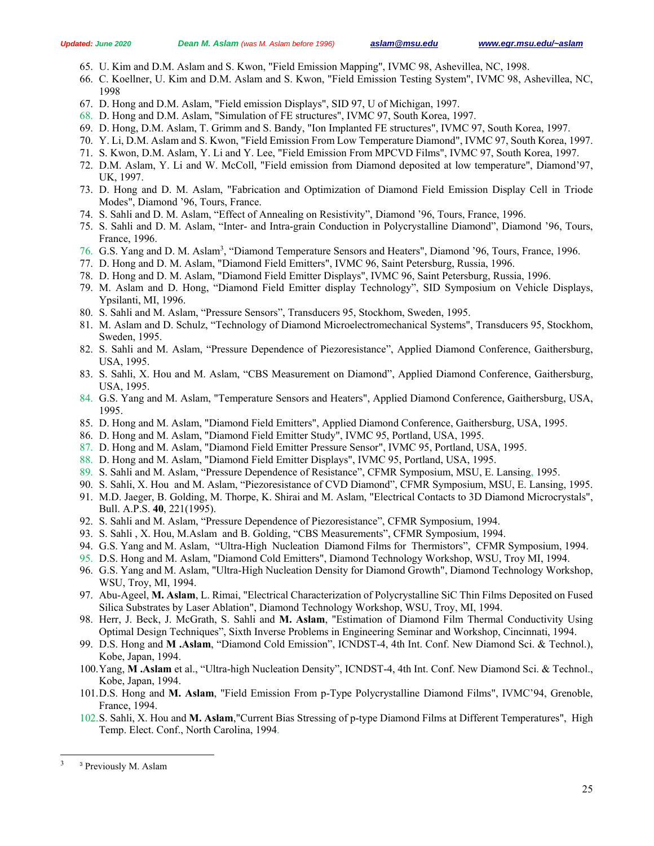- 65. U. Kim and D.M. Aslam and S. Kwon, "Field Emission Mapping", IVMC 98, Ashevillea, NC, 1998.
- 66. C. Koellner, U. Kim and D.M. Aslam and S. Kwon, "Field Emission Testing System", IVMC 98, Ashevillea, NC, 1998
- 67. D. Hong and D.M. Aslam, "Field emission Displays", SID 97, U of Michigan, 1997.
- 68. D. Hong and D.M. Aslam, "Simulation of FE structures", IVMC 97, South Korea, 1997.
- 69. D. Hong, D.M. Aslam, T. Grimm and S. Bandy, "Ion Implanted FE structures", IVMC 97, South Korea, 1997.
- 70. Y. Li, D.M. Aslam and S. Kwon, "Field Emission From Low Temperature Diamond", IVMC 97, South Korea, 1997.
- 71. S. Kwon, D.M. Aslam, Y. Li and Y. Lee, "Field Emission From MPCVD Films", IVMC 97, South Korea, 1997.
- 72. D.M. Aslam, Y. Li and W. McColl, "Field emission from Diamond deposited at low temperature", Diamond'97, UK, 1997.
- 73. D. Hong and D. M. Aslam, "Fabrication and Optimization of Diamond Field Emission Display Cell in Triode Modes", Diamond '96, Tours, France.
- 74. S. Sahli and D. M. Aslam, "Effect of Annealing on Resistivity", Diamond '96, Tours, France, 1996.
- 75. S. Sahli and D. M. Aslam, "Inter- and Intra-grain Conduction in Polycrystalline Diamond", Diamond '96, Tours, France, 1996.
- 76. G.S. Yang and D. M. Aslam<sup>3</sup>, "Diamond Temperature Sensors and Heaters", Diamond '96, Tours, France, 1996.
- 77. D. Hong and D. M. Aslam, "Diamond Field Emitters", IVMC 96, Saint Petersburg, Russia, 1996.
- 78. D. Hong and D. M. Aslam, "Diamond Field Emitter Displays", IVMC 96, Saint Petersburg, Russia, 1996.
- 79. M. Aslam and D. Hong, "Diamond Field Emitter display Technology", SID Symposium on Vehicle Displays, Ypsilanti, MI, 1996.
- 80. S. Sahli and M. Aslam, "Pressure Sensors", Transducers 95, Stockhom, Sweden, 1995.
- 81. M. Aslam and D. Schulz, "Technology of Diamond Microelectromechanical Systems", Transducers 95, Stockhom, Sweden, 1995.
- 82. S. Sahli and M. Aslam, "Pressure Dependence of Piezoresistance", Applied Diamond Conference, Gaithersburg, USA, 1995.
- 83. S. Sahli, X. Hou and M. Aslam, "CBS Measurement on Diamond", Applied Diamond Conference, Gaithersburg, USA, 1995.
- 84. G.S. Yang and M. Aslam, "Temperature Sensors and Heaters", Applied Diamond Conference, Gaithersburg, USA, 1995.
- 85. D. Hong and M. Aslam, "Diamond Field Emitters", Applied Diamond Conference, Gaithersburg, USA, 1995.
- 86. D. Hong and M. Aslam, "Diamond Field Emitter Study", IVMC 95, Portland, USA, 1995.
- 87. D. Hong and M. Aslam, "Diamond Field Emitter Pressure Sensor", IVMC 95, Portland, USA, 1995.
- 88. D. Hong and M. Aslam, "Diamond Field Emitter Displays", IVMC 95, Portland, USA, 1995.
- 89. S. Sahli and M. Aslam, "Pressure Dependence of Resistance", CFMR Symposium, MSU, E. Lansing, 1995.
- 90. S. Sahli, X. Hou and M. Aslam, "Piezoresistance of CVD Diamond", CFMR Symposium, MSU, E. Lansing, 1995.
- 91. M.D. Jaeger, B. Golding, M. Thorpe, K. Shirai and M. Aslam, "Electrical Contacts to 3D Diamond Microcrystals", Bull. A.P.S. **40**, 221(1995).
- 92. S. Sahli and M. Aslam, "Pressure Dependence of Piezoresistance", CFMR Symposium, 1994.
- 93. S. Sahli , X. Hou, M.Aslam and B. Golding, "CBS Measurements", CFMR Symposium, 1994.
- 94. G.S. Yang and M. Aslam, "Ultra-High Nucleation Diamond Films for Thermistors", CFMR Symposium, 1994.
- 95. D.S. Hong and M. Aslam, "Diamond Cold Emitters", Diamond Technology Workshop, WSU, Troy MI, 1994.
- 96. G.S. Yang and M. Aslam, "Ultra-High Nucleation Density for Diamond Growth", Diamond Technology Workshop, WSU, Troy, MI, 1994.
- 97. Abu-Ageel, **M. Aslam**, L. Rimai, "Electrical Characterization of Polycrystalline SiC Thin Films Deposited on Fused Silica Substrates by Laser Ablation", Diamond Technology Workshop, WSU, Troy, MI, 1994.
- 98. Herr, J. Beck, J. McGrath, S. Sahli and **M. Aslam**, "Estimation of Diamond Film Thermal Conductivity Using Optimal Design Techniques", Sixth Inverse Problems in Engineering Seminar and Workshop, Cincinnati, 1994.
- 99. D.S. Hong and **M .Aslam**, "Diamond Cold Emission", ICNDST-4, 4th Int. Conf. New Diamond Sci. & Technol.), Kobe, Japan, 1994.
- 100.Yang, **M .Aslam** et al., "Ultra-high Nucleation Density", ICNDST-4, 4th Int. Conf. New Diamond Sci. & Technol., Kobe, Japan, 1994.
- 101.D.S. Hong and **M. Aslam**, "Field Emission From p-Type Polycrystalline Diamond Films", IVMC'94, Grenoble, France, 1994.
- 102.S. Sahli, X. Hou and **M. Aslam**,"Current Bias Stressing of p-type Diamond Films at Different Temperatures", High Temp. Elect. Conf., North Carolina, 1994.

 $\overline{a}$ 

<sup>&</sup>lt;sup>3</sup> Previously M. Aslam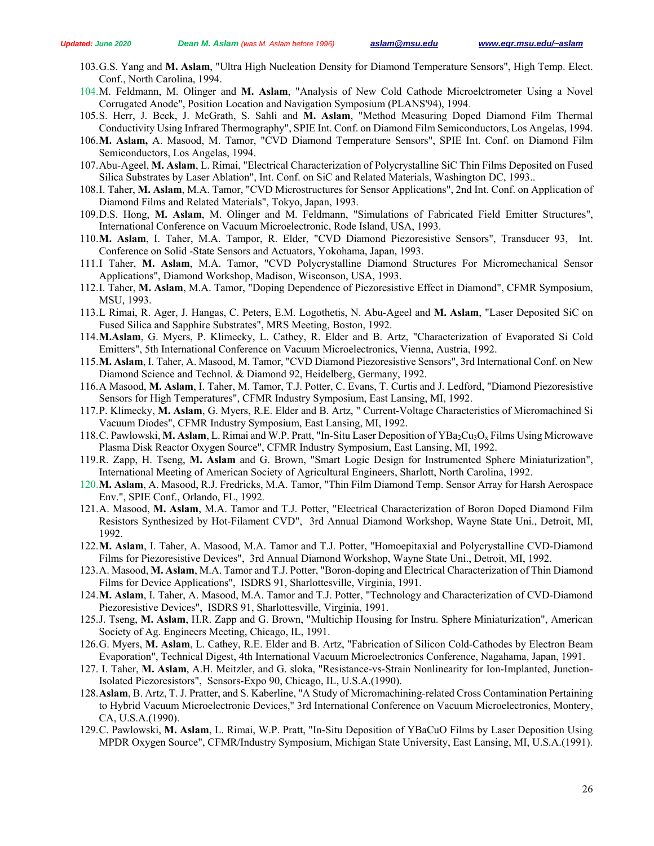- 103.G.S. Yang and **M. Aslam**, "Ultra High Nucleation Density for Diamond Temperature Sensors", High Temp. Elect. Conf., North Carolina, 1994.
- 104.M. Feldmann, M. Olinger and **M. Aslam**, "Analysis of New Cold Cathode Microelctrometer Using a Novel Corrugated Anode", Position Location and Navigation Symposium (PLANS'94), 1994.
- 105.S. Herr, J. Beck, J. McGrath, S. Sahli and **M. Aslam**, "Method Measuring Doped Diamond Film Thermal Conductivity Using Infrared Thermography", SPIE Int. Conf. on Diamond Film Semiconductors, Los Angelas, 1994.
- 106.**M. Aslam,** A. Masood, M. Tamor, "CVD Diamond Temperature Sensors", SPIE Int. Conf. on Diamond Film Semiconductors, Los Angelas, 1994.
- 107.Abu-Ageel, **M. Aslam**, L. Rimai, "Electrical Characterization of Polycrystalline SiC Thin Films Deposited on Fused Silica Substrates by Laser Ablation", Int. Conf. on SiC and Related Materials, Washington DC, 1993..
- 108.I. Taher, **M. Aslam**, M.A. Tamor, "CVD Microstructures for Sensor Applications", 2nd Int. Conf. on Application of Diamond Films and Related Materials", Tokyo, Japan, 1993.
- 109.D.S. Hong, **M. Aslam**, M. Olinger and M. Feldmann, "Simulations of Fabricated Field Emitter Structures", International Conference on Vacuum Microelectronic, Rode Island, USA, 1993.
- 110.**M. Aslam**, I. Taher, M.A. Tampor, R. Elder, "CVD Diamond Piezoresistive Sensors", Transducer 93, Int. Conference on Solid -State Sensors and Actuators, Yokohama, Japan, 1993.
- 111.I Taher, **M. Aslam**, M.A. Tamor, "CVD Polycrystalline Diamond Structures For Micromechanical Sensor Applications", Diamond Workshop, Madison, Wisconson, USA, 1993.
- 112.I. Taher, **M. Aslam**, M.A. Tamor, "Doping Dependence of Piezoresistive Effect in Diamond", CFMR Symposium, MSU, 1993.
- 113.L Rimai, R. Ager, J. Hangas, C. Peters, E.M. Logothetis, N. Abu-Ageel and **M. Aslam**, "Laser Deposited SiC on Fused Silica and Sapphire Substrates", MRS Meeting, Boston, 1992.
- 114.**M.Aslam**, G. Myers, P. Klimecky, L. Cathey, R. Elder and B. Artz, "Characterization of Evaporated Si Cold Emitters", 5th International Conference on Vacuum Microelectronics, Vienna, Austria, 1992.
- 115.**M. Aslam**, I. Taher, A. Masood, M. Tamor, "CVD Diamond Piezoresistive Sensors", 3rd International Conf. on New Diamond Science and Technol. & Diamond 92, Heidelberg, Germany, 1992.
- 116.A Masood, **M. Aslam**, I. Taher, M. Tamor, T.J. Potter, C. Evans, T. Curtis and J. Ledford, "Diamond Piezoresistive Sensors for High Temperatures", CFMR Industry Symposium, East Lansing, MI, 1992.
- 117.P. Klimecky, **M. Aslam**, G. Myers, R.E. Elder and B. Artz, " Current-Voltage Characteristics of Micromachined Si Vacuum Diodes", CFMR Industry Symposium, East Lansing, MI, 1992.
- 118.C. Pawlowski, **M. Aslam**, L. Rimai and W.P. Pratt, "In-Situ Laser Deposition of YBa2Cu3Ox Films Using Microwave Plasma Disk Reactor Oxygen Source", CFMR Industry Symposium, East Lansing, MI, 1992.
- 119.R. Zapp, H. Tseng, **M. Aslam** and G. Brown, "Smart Logic Design for Instrumented Sphere Miniaturization", International Meeting of American Society of Agricultural Engineers, Sharlott, North Carolina, 1992.
- 120.**M. Aslam**, A. Masood, R.J. Fredricks, M.A. Tamor, "Thin Film Diamond Temp. Sensor Array for Harsh Aerospace Env.", SPIE Conf., Orlando, FL, 1992.
- 121.A. Masood, **M. Aslam**, M.A. Tamor and T.J. Potter, "Electrical Characterization of Boron Doped Diamond Film Resistors Synthesized by Hot-Filament CVD", 3rd Annual Diamond Workshop, Wayne State Uni., Detroit, MI, 1992.
- 122.**M. Aslam**, I. Taher, A. Masood, M.A. Tamor and T.J. Potter, "Homoepitaxial and Polycrystalline CVD-Diamond Films for Piezoresistive Devices", 3rd Annual Diamond Workshop, Wayne State Uni., Detroit, MI, 1992.
- 123.A. Masood, **M. Aslam**, M.A. Tamor and T.J. Potter, "Boron-doping and Electrical Characterization of Thin Diamond Films for Device Applications", ISDRS 91, Sharlottesville, Virginia, 1991.
- 124.**M. Aslam**, I. Taher, A. Masood, M.A. Tamor and T.J. Potter, "Technology and Characterization of CVD-Diamond Piezoresistive Devices", ISDRS 91, Sharlottesville, Virginia, 1991.
- 125.J. Tseng, **M. Aslam**, H.R. Zapp and G. Brown, "Multichip Housing for Instru. Sphere Miniaturization", American Society of Ag. Engineers Meeting, Chicago, IL, 1991.
- 126.G. Myers, **M. Aslam**, L. Cathey, R.E. Elder and B. Artz, "Fabrication of Silicon Cold-Cathodes by Electron Beam Evaporation", Technical Digest, 4th International Vacuum Microelectronics Conference, Nagahama, Japan, 1991.
- 127. I. Taher, **M. Aslam**, A.H. Meitzler, and G. sloka, "Resistance-vs-Strain Nonlinearity for Ion-Implanted, Junction-Isolated Piezoresistors", Sensors-Expo 90, Chicago, IL, U.S.A.(1990).
- 128.**Aslam**, B. Artz, T. J. Pratter, and S. Kaberline, "A Study of Micromachining-related Cross Contamination Pertaining to Hybrid Vacuum Microelectronic Devices," 3rd International Conference on Vacuum Microelectronics, Montery, CA, U.S.A.(1990).
- 129.C. Pawlowski, **M. Aslam**, L. Rimai, W.P. Pratt, "In-Situ Deposition of YBaCuO Films by Laser Deposition Using MPDR Oxygen Source", CFMR/Industry Symposium, Michigan State University, East Lansing, MI, U.S.A.(1991).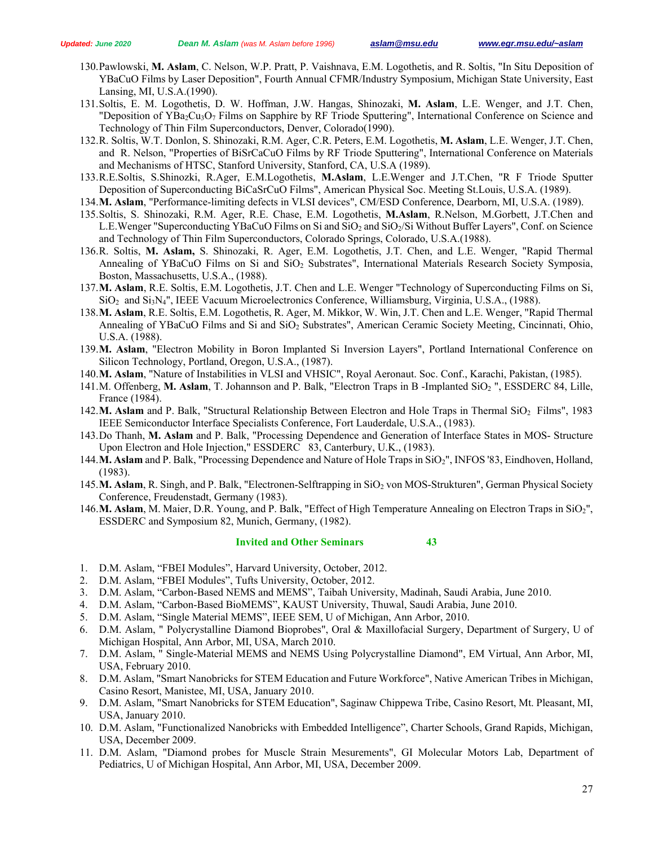- 130.Pawlowski, **M. Aslam**, C. Nelson, W.P. Pratt, P. Vaishnava, E.M. Logothetis, and R. Soltis, "In Situ Deposition of YBaCuO Films by Laser Deposition", Fourth Annual CFMR/Industry Symposium, Michigan State University, East Lansing, MI, U.S.A.(1990).
- 131.Soltis, E. M. Logothetis, D. W. Hoffman, J.W. Hangas, Shinozaki, **M. Aslam**, L.E. Wenger, and J.T. Chen, "Deposition of YBa<sub>2</sub>Cu<sub>3</sub>O<sub>7</sub> Films on Sapphire by RF Triode Sputtering", International Conference on Science and Technology of Thin Film Superconductors, Denver, Colorado(1990).
- 132.R. Soltis, W.T. Donlon, S. Shinozaki, R.M. Ager, C.R. Peters, E.M. Logothetis, **M. Aslam**, L.E. Wenger, J.T. Chen, and R. Nelson, "Properties of BiSrCaCuO Films by RF Triode Sputtering", International Conference on Materials and Mechanisms of HTSC, Stanford University, Stanford, CA, U.S.A (1989).
- 133.R.E.Soltis, S.Shinozki, R.Ager, E.M.Logothetis, **M.Aslam**, L.E.Wenger and J.T.Chen, "R F Triode Sputter Deposition of Superconducting BiCaSrCuO Films", American Physical Soc. Meeting St.Louis, U.S.A. (1989).
- 134.**M. Aslam**, "Performance-limiting defects in VLSI devices", CM/ESD Conference, Dearborn, MI, U.S.A. (1989).
- 135.Soltis, S. Shinozaki, R.M. Ager, R.E. Chase, E.M. Logothetis, **M.Aslam**, R.Nelson, M.Gorbett, J.T.Chen and L.E.Wenger "Superconducting YBaCuO Films on Si and SiO<sub>2</sub> and SiO<sub>2</sub>/Si Without Buffer Layers", Conf. on Science and Technology of Thin Film Superconductors, Colorado Springs, Colorado, U.S.A.(1988).
- 136.R. Soltis, **M. Aslam,** S. Shinozaki, R. Ager, E.M. Logothetis, J.T. Chen, and L.E. Wenger, "Rapid Thermal Annealing of YBaCuO Films on Si and SiO2 Substrates", International Materials Research Society Symposia, Boston, Massachusetts, U.S.A., (1988).
- 137.**M. Aslam**, R.E. Soltis, E.M. Logothetis, J.T. Chen and L.E. Wenger "Technology of Superconducting Films on Si, SiO2 and Si3N4", IEEE Vacuum Microelectronics Conference, Williamsburg, Virginia, U.S.A., (1988).
- 138.**M. Aslam**, R.E. Soltis, E.M. Logothetis, R. Ager, M. Mikkor, W. Win, J.T. Chen and L.E. Wenger, "Rapid Thermal Annealing of YBaCuO Films and Si and SiO2 Substrates", American Ceramic Society Meeting, Cincinnati, Ohio, U.S.A. (1988).
- 139.**M. Aslam**, "Electron Mobility in Boron Implanted Si Inversion Layers", Portland International Conference on Silicon Technology, Portland, Oregon, U.S.A., (1987).
- 140.**M. Aslam**, "Nature of Instabilities in VLSI and VHSIC", Royal Aeronaut. Soc. Conf., Karachi, Pakistan, (1985).
- 141.M. Offenberg, M. Aslam, T. Johannson and P. Balk, "Electron Traps in B -Implanted SiO<sub>2</sub>", ESSDERC 84, Lille, France (1984).
- 142.M. Aslam and P. Balk, "Structural Relationship Between Electron and Hole Traps in Thermal SiO<sub>2</sub> Films", 1983 IEEE Semiconductor Interface Specialists Conference, Fort Lauderdale, U.S.A., (1983).
- 143.Do Thanh, **M. Aslam** and P. Balk, "Processing Dependence and Generation of Interface States in MOS- Structure Upon Electron and Hole Injection," ESSDERC 83, Canterbury, U.K., (1983).
- 144.M. Aslam and P. Balk, "Processing Dependence and Nature of Hole Traps in SiO<sub>2</sub>", INFOS '83, Eindhoven, Holland, (1983).
- 145.M. Aslam, R. Singh, and P. Balk, "Electronen-Selftrapping in SiO<sub>2</sub> von MOS-Strukturen", German Physical Society Conference, Freudenstadt, Germany (1983).
- 146.**M. Aslam**, M. Maier, D.R. Young, and P. Balk, "Effect of High Temperature Annealing on Electron Traps in SiO2", ESSDERC and Symposium 82, Munich, Germany, (1982).

#### **Invited and Other Seminars 43**

- 1. D.M. Aslam, "FBEI Modules", Harvard University, October, 2012.
- 2. D.M. Aslam, "FBEI Modules", Tufts University, October, 2012.
- 3. D.M. Aslam, "Carbon-Based NEMS and MEMS", Taibah University, Madinah, Saudi Arabia, June 2010.
- 4. D.M. Aslam, "Carbon-Based BioMEMS", KAUST University, Thuwal, Saudi Arabia, June 2010.
- 5. D.M. Aslam, "Single Material MEMS", IEEE SEM, U of Michigan, Ann Arbor, 2010.
- 6. D.M. Aslam, " Polycrystalline Diamond Bioprobes", Oral & Maxillofacial Surgery, Department of Surgery, U of Michigan Hospital, Ann Arbor, MI, USA, March 2010.
- 7. D.M. Aslam, " Single-Material MEMS and NEMS Using Polycrystalline Diamond", EM Virtual, Ann Arbor, MI, USA, February 2010.
- 8. D.M. Aslam, "Smart Nanobricks for STEM Education and Future Workforce", Native American Tribes in Michigan, Casino Resort, Manistee, MI, USA, January 2010.
- 9. D.M. Aslam, "Smart Nanobricks for STEM Education", Saginaw Chippewa Tribe, Casino Resort, Mt. Pleasant, MI, USA, January 2010.
- 10. D.M. Aslam, "Functionalized Nanobricks with Embedded Intelligence", Charter Schools, Grand Rapids, Michigan, USA, December 2009.
- 11. D.M. Aslam, "Diamond probes for Muscle Strain Mesurements", GI Molecular Motors Lab, Department of Pediatrics, U of Michigan Hospital, Ann Arbor, MI, USA, December 2009.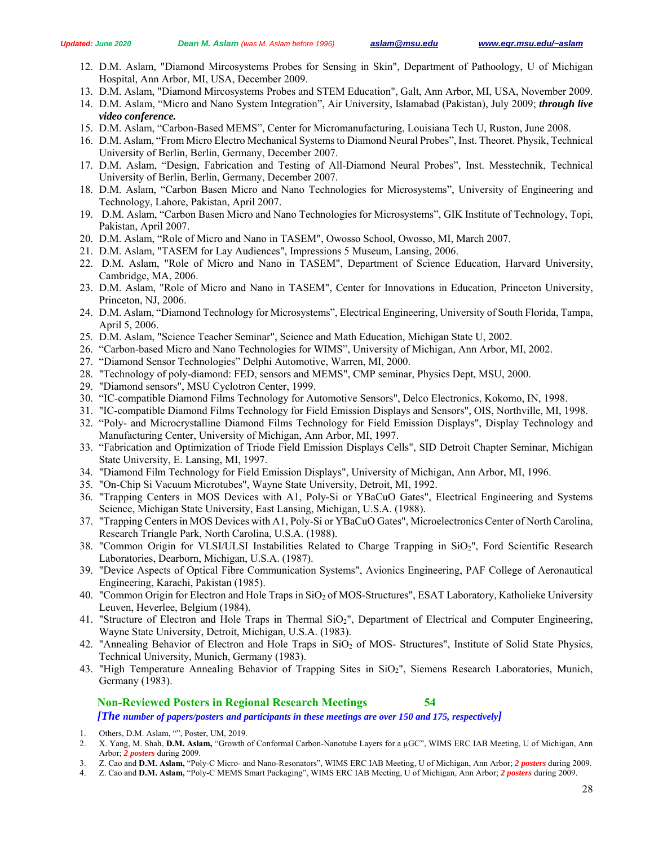- 12. D.M. Aslam, "Diamond Mircosystems Probes for Sensing in Skin", Department of Pathoology, U of Michigan Hospital, Ann Arbor, MI, USA, December 2009.
- 13. D.M. Aslam, "Diamond Mircosystems Probes and STEM Education", Galt, Ann Arbor, MI, USA, November 2009.
- 14. D.M. Aslam, "Micro and Nano System Integration", Air University, Islamabad (Pakistan), July 2009; *through live video conference.*
- 15. D.M. Aslam, "Carbon-Based MEMS", Center for Micromanufacturing, Louisiana Tech U, Ruston, June 2008.
- 16. D.M. Aslam, "From Micro Electro Mechanical Systems to Diamond Neural Probes", Inst. Theoret. Physik, Technical University of Berlin, Berlin, Germany, December 2007.
- 17. D.M. Aslam, "Design, Fabrication and Testing of All-Diamond Neural Probes", Inst. Messtechnik, Technical University of Berlin, Berlin, Germany, December 2007.
- 18. D.M. Aslam, "Carbon Basen Micro and Nano Technologies for Microsystems", University of Engineering and Technology, Lahore, Pakistan, April 2007.
- 19. D.M. Aslam, "Carbon Basen Micro and Nano Technologies for Microsystems", GIK Institute of Technology, Topi, Pakistan, April 2007.
- 20. D.M. Aslam, "Role of Micro and Nano in TASEM", Owosso School, Owosso, MI, March 2007.
- 21. D.M. Aslam, "TASEM for Lay Audiences", Impressions 5 Museum, Lansing, 2006.
- 22. D.M. Aslam, "Role of Micro and Nano in TASEM", Department of Science Education, Harvard University, Cambridge, MA, 2006.
- 23. D.M. Aslam, "Role of Micro and Nano in TASEM", Center for Innovations in Education, Princeton University, Princeton, NJ, 2006.
- 24. D.M. Aslam, "Diamond Technology for Microsystems", Electrical Engineering, University of South Florida, Tampa, April 5, 2006.
- 25. D.M. Aslam, "Science Teacher Seminar", Science and Math Education, Michigan State U, 2002.
- 26. "Carbon-based Micro and Nano Technologies for WIMS", University of Michigan, Ann Arbor, MI, 2002.
- 27. "Diamond Sensor Technologies" Delphi Automotive, Warren, MI, 2000.
- 28. "Technology of poly-diamond: FED, sensors and MEMS", CMP seminar, Physics Dept, MSU, 2000.
- 29. "Diamond sensors", MSU Cyclotron Center, 1999.
- 30. "IC-compatible Diamond Films Technology for Automotive Sensors", Delco Electronics, Kokomo, IN, 1998.
- 31. "IC-compatible Diamond Films Technology for Field Emission Displays and Sensors", OIS, Northville, MI, 1998.
- 32. "Poly- and Microcrystalline Diamond Films Technology for Field Emission Displays", Display Technology and Manufacturing Center, University of Michigan, Ann Arbor, MI, 1997.
- 33. "Fabrication and Optimization of Triode Field Emission Displays Cells", SID Detroit Chapter Seminar, Michigan State University, E. Lansing, MI, 1997.
- 34. "Diamond Film Technology for Field Emission Displays", University of Michigan, Ann Arbor, MI, 1996.
- 35. "On-Chip Si Vacuum Microtubes", Wayne State University, Detroit, MI, 1992.
- 36. "Trapping Centers in MOS Devices with A1, Poly-Si or YBaCuO Gates", Electrical Engineering and Systems Science, Michigan State University, East Lansing, Michigan, U.S.A. (1988).
- 37. "Trapping Centers in MOS Devices with A1, Poly-Si or YBaCuO Gates", Microelectronics Center of North Carolina, Research Triangle Park, North Carolina, U.S.A. (1988).
- 38. "Common Origin for VLSI/ULSI Instabilities Related to Charge Trapping in SiO2", Ford Scientific Research Laboratories, Dearborn, Michigan, U.S.A. (1987).
- 39. "Device Aspects of Optical Fibre Communication Systems", Avionics Engineering, PAF College of Aeronautical Engineering, Karachi, Pakistan (1985).
- 40. "Common Origin for Electron and Hole Traps in SiO<sub>2</sub> of MOS-Structures", ESAT Laboratory, Katholieke University Leuven, Heverlee, Belgium (1984).
- 41. "Structure of Electron and Hole Traps in Thermal SiO2", Department of Electrical and Computer Engineering, Wayne State University, Detroit, Michigan, U.S.A. (1983).
- 42. "Annealing Behavior of Electron and Hole Traps in SiO<sub>2</sub> of MOS- Structures", Institute of Solid State Physics, Technical University, Munich, Germany (1983).
- 43. "High Temperature Annealing Behavior of Trapping Sites in SiO2", Siemens Research Laboratories, Munich, Germany (1983).

## **Non-Reviewed Posters in Regional Research Meetings 54**

*[The number of papers/posters and participants in these meetings are over 150 and 175, respectively]* 

- 1. Others, D.M. Aslam, "", Poster, UM, 2019.
- 2. X. Yang, M. Shah, **D.M. Aslam,** "Growth of Conformal Carbon-Nanotube Layers for a µGC", WIMS ERC IAB Meeting, U of Michigan, Ann Arbor; *2 posters* during 2009.
- 3. Z. Cao and **D.M. Aslam,** "Poly-C Micro- and Nano-Resonators", WIMS ERC IAB Meeting, U of Michigan, Ann Arbor; *2 posters* during 2009.
- 4. Z. Cao and **D.M. Aslam,** "Poly-C MEMS Smart Packaging", WIMS ERC IAB Meeting, U of Michigan, Ann Arbor; *2 posters* during 2009.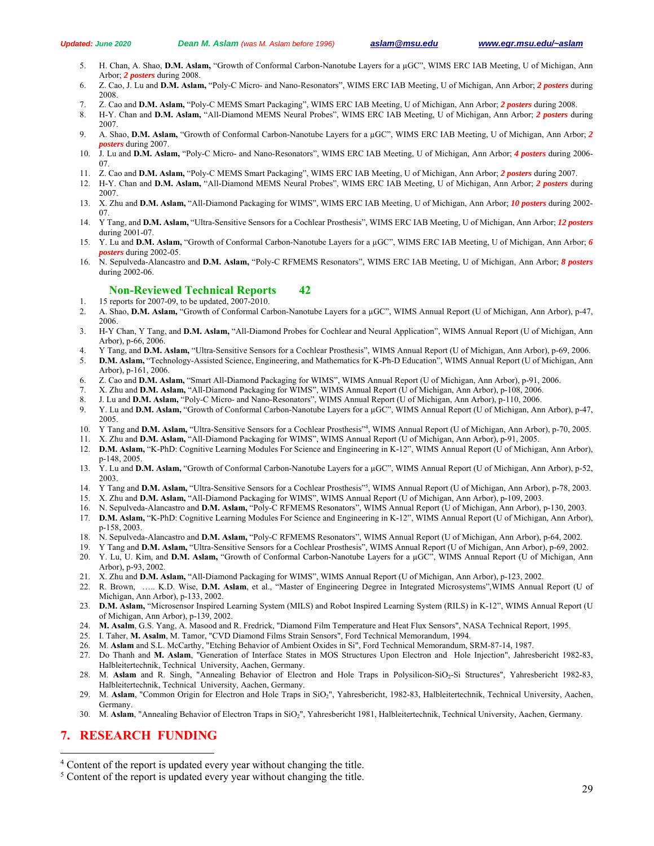- 5. H. Chan, A. Shao, **D.M. Aslam,** "Growth of Conformal Carbon-Nanotube Layers for a µGC", WIMS ERC IAB Meeting, U of Michigan, Ann Arbor; *2 posters* during 2008.
- 6. Z. Cao, J. Lu and **D.M. Aslam,** "Poly-C Micro- and Nano-Resonators", WIMS ERC IAB Meeting, U of Michigan, Ann Arbor; *2 posters* during 2008.
- 7. Z. Cao and **D.M. Aslam,** "Poly-C MEMS Smart Packaging", WIMS ERC IAB Meeting, U of Michigan, Ann Arbor; *2 posters* during 2008.
- 8. H-Y. Chan and **D.M. Aslam,** "All-Diamond MEMS Neural Probes", WIMS ERC IAB Meeting, U of Michigan, Ann Arbor; *2 posters* during 2007.
- 9. A. Shao, **D.M. Aslam,** "Growth of Conformal Carbon-Nanotube Layers for a µGC", WIMS ERC IAB Meeting, U of Michigan, Ann Arbor; *2 posters* during 2007.
- 10. J. Lu and **D.M. Aslam,** "Poly-C Micro- and Nano-Resonators", WIMS ERC IAB Meeting, U of Michigan, Ann Arbor; *4 posters* during 2006- 07.
- 11. Z. Cao and **D.M. Aslam,** "Poly-C MEMS Smart Packaging", WIMS ERC IAB Meeting, U of Michigan, Ann Arbor; *2 posters* during 2007.
- 12. H-Y. Chan and **D.M. Aslam,** "All-Diamond MEMS Neural Probes", WIMS ERC IAB Meeting, U of Michigan, Ann Arbor; *2 posters* during 2007.
- 13. X. Zhu and **D.M. Aslam,** "All-Diamond Packaging for WIMS", WIMS ERC IAB Meeting, U of Michigan, Ann Arbor; *10 posters* during 2002- 07.
- 14. Y Tang, and **D.M. Aslam,** "Ultra-Sensitive Sensors for a Cochlear Prosthesis", WIMS ERC IAB Meeting, U of Michigan, Ann Arbor; *12 posters* during 2001-07.
- 15. Y. Lu and **D.M. Aslam,** "Growth of Conformal Carbon-Nanotube Layers for a µGC", WIMS ERC IAB Meeting, U of Michigan, Ann Arbor; *6 posters* during 2002-05.
- 16. N. Sepulveda-Alancastro and **D.M. Aslam,** "Poly-C RFMEMS Resonators", WIMS ERC IAB Meeting, U of Michigan, Ann Arbor; *8 posters* during 2002-06.

#### **Non-Reviewed Technical Reports 42**

- 1. 15 reports for 2007-09, to be updated, 2007-2010.
- 2. A. Shao, **D.M. Aslam,** "Growth of Conformal Carbon-Nanotube Layers for a µGC", WIMS Annual Report (U of Michigan, Ann Arbor), p-47, 2006.
- 3. H-Y Chan, Y Tang, and **D.M. Aslam,** "All-Diamond Probes for Cochlear and Neural Application", WIMS Annual Report (U of Michigan, Ann Arbor), p-66, 2006.
- 4. Y Tang, and **D.M. Aslam,** "Ultra-Sensitive Sensors for a Cochlear Prosthesis", WIMS Annual Report (U of Michigan, Ann Arbor), p-69, 2006.
- 5. **D.M. Aslam,** "Technology-Assisted Science, Engineering, and Mathematics for K-Ph-D Education", WIMS Annual Report (U of Michigan, Ann Arbor), p-161, 2006.
- 6. Z. Cao and **D.M. Aslam,** "Smart All-Diamond Packaging for WIMS", WIMS Annual Report (U of Michigan, Ann Arbor), p-91, 2006.
- 7. X. Zhu and **D.M. Aslam,** "All-Diamond Packaging for WIMS", WIMS Annual Report (U of Michigan, Ann Arbor), p-108, 2006.
- 8. J. Lu and **D.M. Aslam,** "Poly-C Micro- and Nano-Resonators", WIMS Annual Report (U of Michigan, Ann Arbor), p-110, 2006.
- 9. Y. Lu and **D.M. Aslam,** "Growth of Conformal Carbon-Nanotube Layers for a µGC", WIMS Annual Report (U of Michigan, Ann Arbor), p-47, 2005.
- 10. Y Tang and **D.M. Aslam,** "Ultra-Sensitive Sensors for a Cochlear Prosthesis"4 , WIMS Annual Report (U of Michigan, Ann Arbor), p-70, 2005.
- 11. X. Zhu and **D.M. Aslam,** "All-Diamond Packaging for WIMS", WIMS Annual Report (U of Michigan, Ann Arbor), p-91, 2005.
- 12. **D.M. Aslam,** "K-PhD: Cognitive Learning Modules For Science and Engineering in K-12", WIMS Annual Report (U of Michigan, Ann Arbor), p-148, 2005.
- 13. Y. Lu and **D.M. Aslam,** "Growth of Conformal Carbon-Nanotube Layers for a µGC", WIMS Annual Report (U of Michigan, Ann Arbor), p-52, 2003.
- 14. Y Tang and **D.M. Aslam,** "Ultra-Sensitive Sensors for a Cochlear Prosthesis"5 , WIMS Annual Report (U of Michigan, Ann Arbor), p-78, 2003.
- 15. X. Zhu and **D.M. Aslam,** "All-Diamond Packaging for WIMS", WIMS Annual Report (U of Michigan, Ann Arbor), p-109, 2003.
- 16. N. Sepulveda-Alancastro and **D.M. Aslam,** "Poly-C RFMEMS Resonators", WIMS Annual Report (U of Michigan, Ann Arbor), p-130, 2003.
- 17. **D.M. Aslam,** "K-PhD: Cognitive Learning Modules For Science and Engineering in K-12", WIMS Annual Report (U of Michigan, Ann Arbor), p-158, 2003.
- 18. N. Sepulveda-Alancastro and **D.M. Aslam,** "Poly-C RFMEMS Resonators", WIMS Annual Report (U of Michigan, Ann Arbor), p-64, 2002.
- 19. Y Tang and **D.M. Aslam,** "Ultra-Sensitive Sensors for a Cochlear Prosthesis", WIMS Annual Report (U of Michigan, Ann Arbor), p-69, 2002.
- 20. Y. Lu, U. Kim, and **D.M. Aslam,** "Growth of Conformal Carbon-Nanotube Layers for a µGC", WIMS Annual Report (U of Michigan, Ann Arbor), p-93, 2002.
- 21. X. Zhu and **D.M. Aslam,** "All-Diamond Packaging for WIMS", WIMS Annual Report (U of Michigan, Ann Arbor), p-123, 2002.
- 22. R. Brown, ….. K.D. Wise, **D.M. Aslam**, et al., "Master of Engineering Degree in Integrated Microsystems",WIMS Annual Report (U of Michigan, Ann Arbor), p-133, 2002.
- 23. **D.M. Aslam,** "Microsensor Inspired Learning System (MILS) and Robot Inspired Learning System (RILS) in K-12", WIMS Annual Report (U of Michigan, Ann Arbor), p-139, 2002.
- 24. **M. Asalm**, G.S. Yang, A. Masood and R. Fredrick, "Diamond Film Temperature and Heat Flux Sensors", NASA Technical Report, 1995.
- 25. I. Taher, **M. Asalm**, M. Tamor, "CVD Diamond Films Strain Sensors", Ford Technical Memorandum, 1994.
- 26. M. **Aslam** and S.L. McCarthy, "Etching Behavior of Ambient Oxides in Si", Ford Technical Memorandum, SRM-87-14, 1987.
- 27. Do Thanh and **M. Aslam**, "Generation of Interface States in MOS Structures Upon Electron and Hole Injection", Jahresbericht 1982-83, Halbleitertechnik, Technical University, Aachen, Germany.
- 28. M. Aslam and R. Singh, "Annealing Behavior of Electron and Hole Traps in Polysilicon-SiO<sub>2</sub>-Si Structures", Yahresbericht 1982-83, Halbleitertechnik, Technical University, Aachen, Germany.
- 29. M. Aslam, "Common Origin for Electron and Hole Traps in SiO<sub>2</sub>", Yahresbericht, 1982-83, Halbleitertechnik, Technical University, Aachen, Germany.
- 30. M. **Aslam**, "Annealing Behavior of Electron Traps in SiO2", Yahresbericht 1981, Halbleitertechnik, Technical University, Aachen, Germany.

## **7. RESEARCH FUNDING**

 $\overline{a}$ 

 $\frac{4}{5}$  Content of the report is updated every year without changing the title.

 $\frac{1}{2}$ <sup>5</sup> Content of the report is updated every year without changing the title.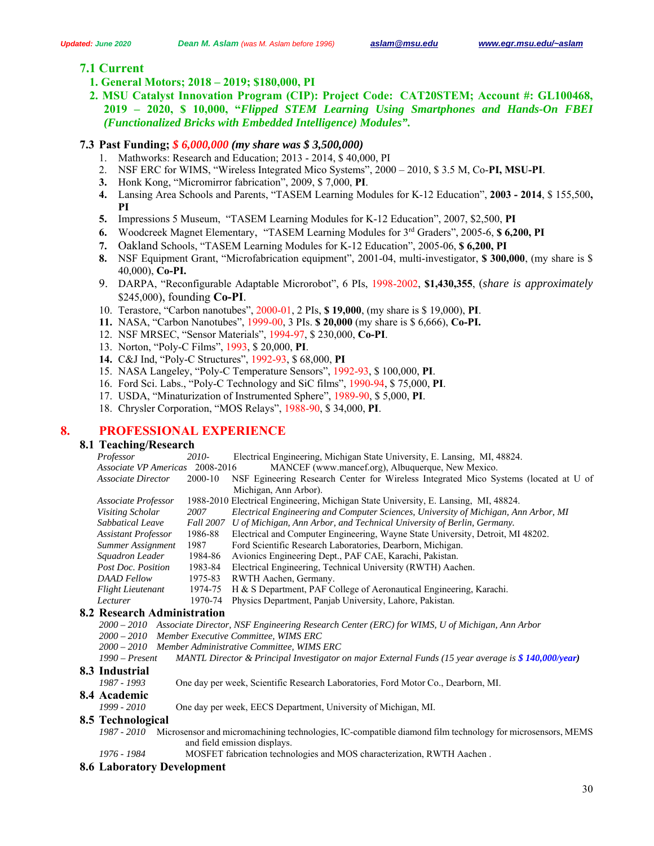# **7.1 Current**

- **1. General Motors; 2018 2019; \$180,000, PI**
- **2. MSU Catalyst Innovation Program (CIP): Project Code: CAT20STEM; Account #: GL100468, 2019 – 2020, \$ 10,000, "***Flipped STEM Learning Using Smartphones and Hands-On FBEI (Functionalized Bricks with Embedded Intelligence) Modules".*

## **7.3 Past Funding;** *\$ 6,000,000 (my share was \$ 3,500,000)*

- 1. Mathworks: Research and Education; 2013 2014, \$ 40,000, PI
- 2. NSF ERC for WIMS, "Wireless Integrated Mico Systems", 2000 2010, \$ 3.5 M, Co-**PI, MSU-PI**.
- **3.** Honk Kong, "Micromirror fabrication", 2009, \$ 7,000, **PI**.
- **4.** Lansing Area Schools and Parents, "TASEM Learning Modules for K-12 Education", **2003 2014**, \$ 155,500**, PI**
- **5.** Impressions 5 Museum, "TASEM Learning Modules for K-12 Education", 2007, \$2,500, **PI**
- **6.** Woodcreek Magnet Elementary, "TASEM Learning Modules for 3rd Graders", 2005-6, **\$ 6,200, PI**
- **7.** Oakland Schools, "TASEM Learning Modules for K-12 Education", 2005-06, **\$ 6,200, PI**
- **8.** NSF Equipment Grant, "Microfabrication equipment", 2001-04, multi-investigator, **\$ 300,000**, (my share is \$ 40,000), **Co-PI.**
- 9. DARPA, "Reconfigurable Adaptable Microrobot", 6 PIs, 1998-2002, **\$1,430,355**, (*share is approximately*  \$245,000), founding **Co-PI**.
- 10. Terastore, "Carbon nanotubes", 2000-01, 2 PIs, **\$ 19,000**, (my share is \$ 19,000), **PI**.
- **11.** NASA, "Carbon Nanotubes", 1999-00, 3 PIs. **\$ 20,000** (my share is \$ 6,666), **Co-PI.**
- 12. NSF MRSEC, "Sensor Materials", 1994-97, \$ 230,000, **Co-PI**.
- 13. Norton, "Poly-C Films", 1993, \$ 20,000, **PI**.
- **14.** C&J Ind, "Poly-C Structures", 1992-93, \$ 68,000, **PI**
- 15. NASA Langeley, "Poly-C Temperature Sensors", 1992-93, \$ 100,000, **PI**.
- 16. Ford Sci. Labs., "Poly-C Technology and SiC films", 1990-94, \$ 75,000, **PI**.
- 17. USDA, "Minaturization of Instrumented Sphere", 1989-90, \$ 5,000, **PI**.
- 18. Chrysler Corporation, "MOS Relays", 1988-90, \$ 34,000, **PI**.

## **8. PROFESSIONAL EXPERIENCE**

## **8.1 Teaching/Research**

*Professor 2010*- Electrical Engineering, Michigan State University, E. Lansing, MI, 48824. *Associate VP Americas* 2008-2016 MANCEF (www.mancef.org), Albuquerque, New Mexico. *Associate Director* 2000-10 NSF Egineering Research Center for Wireless Integrated Mico Systems (located at U of Michigan, Ann Arbor). *Associate Professor* 1988-2010 Electrical Engineering, Michigan State University, E. Lansing, MI, 48824. *Visiting Scholar 2007 Electrical Engineering and Computer Sciences, University of Michigan, Ann Arbor, MI Sabbatical Leave Fall 2007 U of Michigan, Ann Arbor, and Technical University of Berlin, Germany. Assistant Professor* 1986-88 Electrical and Computer Engineering, Wayne State University, Detroit, MI 48202. *Summer Assignment* 1987 Ford Scientific Research Laboratories, Dearborn, Michigan. *Squadron Leader* 1984-86 Avionics Engineering Dept., PAF CAE, Karachi, Pakistan. *Post Doc. Position* 1983-84 Electrical Engineering, Technical University (RWTH) Aachen. *DAAD Fellow* 1975-83 RWTH Aachen, Germany. *Flight Lieutenant* 1974-75 H & S Department, PAF College of Aeronautical Engineering, Karachi. *Lecturer* 1970-74 Physics Department, Panjab University, Lahore, Pakistan.  **8.2 Research Administration**  *2000 – 2010 Associate Director, NSF Engineering Research Center (ERC) for WIMS, U of Michigan, Ann Arbor 2000 – 2010 Member Executive Committee, WIMS ERC* 

- *2000 2010 Member Administrative Committee, WIMS ERC*
- *1990 Present MANTL Director & Principal Investigator on major External Funds (15 year average is \$ 140,000/year)*   **8.3 Industrial** 
	- *1987 1993* One day per week, Scientific Research Laboratories, Ford Motor Co., Dearborn, MI.

#### **8.4 Academic**

*1999 - 2010* One day per week, EECS Department, University of Michigan, MI.

- **8.5 Technological** 
	- *1987 2010* Microsensor and micromachining technologies, IC-compatible diamond film technology for microsensors, MEMS and field emission displays.
	- *1976 1984* MOSFET fabrication technologies and MOS characterization, RWTH Aachen .

#### **8.6 Laboratory Development**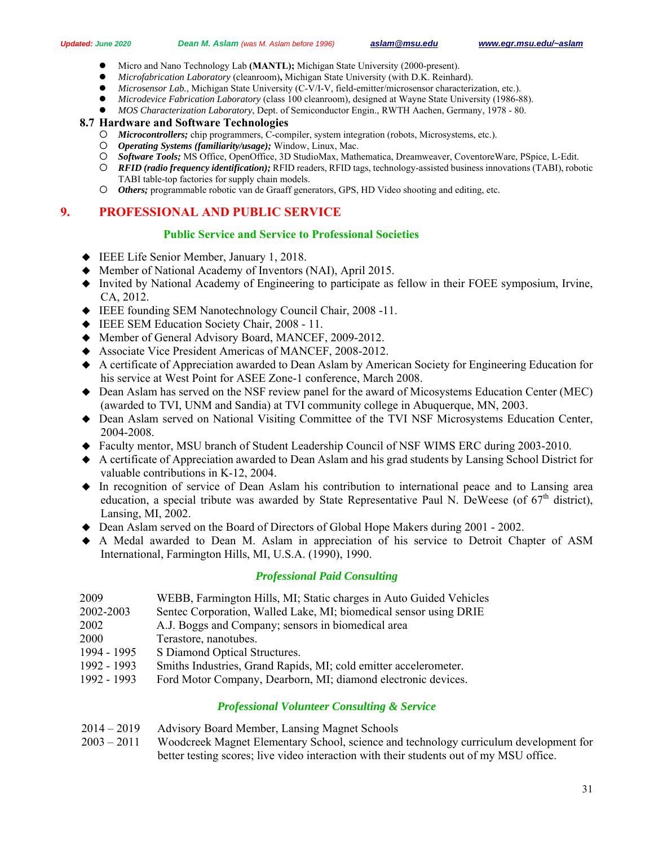- Micro and Nano Technology Lab **(MANTL);** Michigan State University (2000-present).
- *Microfabrication Laboratory* (cleanroom)**,** Michigan State University (with D.K. Reinhard).
- *Microsensor Lab.*, Michigan State University (C-V/I-V, field-emitter/microsensor characterization, etc.).
- *Microdevice Fabrication Laboratory* (class 100 cleanroom)*,* designed at Wayne State University (1986-88).
- *MOS Characterization Laboratory*, Dept. of Semiconductor Engin., RWTH Aachen, Germany, 1978 80.

#### **8.7 Hardware and Software Technologies**

- *Microcontrollers;* chip programmers, C-compiler, system integration (robots, Microsystems, etc.).
- *Operating Systems (familiarity/usage);* Window, Linux, Mac.
- *Software Tools;* MS Office, OpenOffice, 3D StudioMax, Mathematica, Dreamweaver, CoventoreWare, PSpice, L-Edit.
- *RFID (radio frequency identification);* RFID readers, RFID tags, technology-assisted business innovations (TABI), robotic TABI table-top factories for supply chain models.
- *Others;* programmable robotic van de Graaff generators, GPS, HD Video shooting and editing, etc.

# **9. PROFESSIONAL AND PUBLIC SERVICE**

## **Public Service and Service to Professional Societies**

- ◆ IEEE Life Senior Member, January 1, 2018.
- Member of National Academy of Inventors (NAI), April 2015.
- Invited by National Academy of Engineering to participate as fellow in their FOEE symposium, Irvine, CA, 2012.
- IEEE founding SEM Nanotechnology Council Chair, 2008 -11.
- IEEE SEM Education Society Chair, 2008 11.
- Member of General Advisory Board, MANCEF, 2009-2012.
- Associate Vice President Americas of MANCEF, 2008-2012.
- A certificate of Appreciation awarded to Dean Aslam by American Society for Engineering Education for his service at West Point for ASEE Zone-1 conference, March 2008.
- Dean Aslam has served on the NSF review panel for the award of Micosystems Education Center (MEC) (awarded to TVI, UNM and Sandia) at TVI community college in Abuquerque, MN, 2003.
- Dean Aslam served on National Visiting Committee of the TVI NSF Microsystems Education Center, 2004-2008.
- Faculty mentor, MSU branch of Student Leadership Council of NSF WIMS ERC during 2003-2010.
- A certificate of Appreciation awarded to Dean Aslam and his grad students by Lansing School District for valuable contributions in K-12, 2004.
- In recognition of service of Dean Aslam his contribution to international peace and to Lansing area education, a special tribute was awarded by State Representative Paul N. DeWeese (of  $67<sup>th</sup>$  district), Lansing, MI, 2002.
- Dean Aslam served on the Board of Directors of Global Hope Makers during 2001 2002.
- A Medal awarded to Dean M. Aslam in appreciation of his service to Detroit Chapter of ASM International, Farmington Hills, MI, U.S.A. (1990), 1990.

## *Professional Paid Consulting*

| 2009        | WEBB, Farmington Hills, MI; Static charges in Auto Guided Vehicles |
|-------------|--------------------------------------------------------------------|
| 2002-2003   | Sentec Corporation, Walled Lake, MI; biomedical sensor using DRIE  |
| 2002        | A.J. Boggs and Company; sensors in biomedical area                 |
| 2000        | Terastore, nanotubes.                                              |
| 1994 - 1995 | S Diamond Optical Structures.                                      |
| 1992 - 1993 | Smiths Industries, Grand Rapids, MI; cold emitter accelerometer.   |
| 1992 - 1993 | Ford Motor Company, Dearborn, MI; diamond electronic devices.      |
|             |                                                                    |

# *Professional Volunteer Consulting & Service*

- 2014 2019 Advisory Board Member, Lansing Magnet Schools
- 2003 2011 Woodcreek Magnet Elementary School, science and technology curriculum development for better testing scores; live video interaction with their students out of my MSU office.